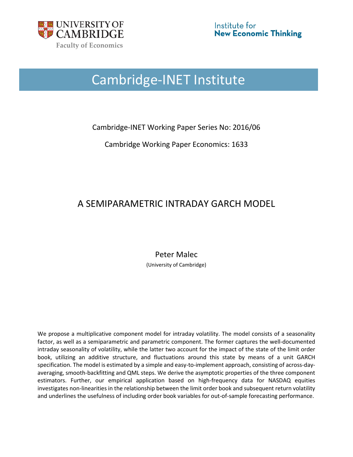

# Cambridge-INET Institute

### Cambridge-INET Working Paper Series No: 2016/06

Cambridge Working Paper Economics: 1633

## A SEMIPARAMETRIC INTRADAY GARCH MODEL

Peter Malec (University of Cambridge)

We propose a multiplicative component model for intraday volatility. The model consists of a seasonality factor, as well as a semiparametric and parametric component. The former captures the well-documented intraday seasonality of volatility, while the latter two account for the impact of the state of the limit order book, utilizing an additive structure, and fluctuations around this state by means of a unit GARCH specification. The model is estimated by a simple and easy-to-implement approach, consisting of across-dayaveraging, smooth-backfitting and QML steps. We derive the asymptotic properties of the three component estimators. Further, our empirical application based on high-frequency data for NASDAQ equities investigates non-linearities in the relationship between the limit order book and subsequent return volatility and underlines the usefulness of including order book variables for out-of-sample forecasting performance.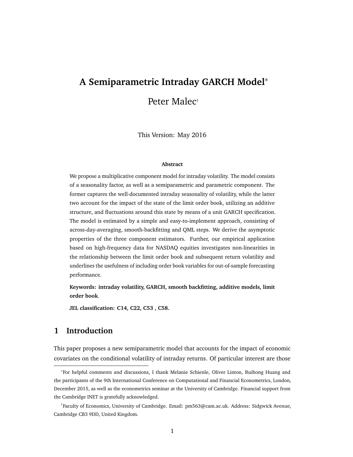### <span id="page-1-0"></span>**A Semiparametric Intraday GARCH Model**<sup>∗</sup>

### Peter Malec†

This Version: May 2016

#### **Abstract**

We propose a multiplicative component model for intraday volatility. The model consists of a seasonality factor, as well as a semiparametric and parametric component. The former captures the well-documented intraday seasonality of volatility, while the latter two account for the impact of the state of the limit order book, utilizing an additive structure, and fluctuations around this state by means of a unit GARCH specification. The model is estimated by a simple and easy-to-implement approach, consisting of across-day-averaging, smooth-backfitting and QML steps. We derive the asymptotic properties of the three component estimators. Further, our empirical application based on high-frequency data for NASDAQ equities investigates non-linearities in the relationship between the limit order book and subsequent return volatility and underlines the usefulness of including order book variables for out-of-sample forecasting performance.

**Keywords: intraday volatility, GARCH, smooth backfitting, additive models, limit order book**.

**JEL classification: C14, C22, C53 , C58.**

### **1 Introduction**

This paper proposes a new semiparametric model that accounts for the impact of economic covariates on the conditional volatility of intraday returns. Of particular interest are those

<sup>∗</sup>For helpful comments and discussions, I thank Melanie Schienle, Oliver Linton, Ruihong Huang and the participants of the 9th International Conference on Computational and Financial Econometrics, London, December 2015, as well as the econometrics seminar at the University of Cambridge. Financial support from the Cambridge INET is gratefully acknowledged.

<sup>†</sup>Faculty of Economics, University of Cambridge. Email: pm563@cam.ac.uk. Address: Sidgwick Avenue, Cambridge CB3 9DD, United Kingdom.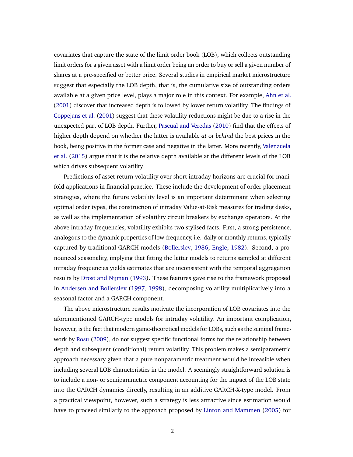covariates that capture the state of the limit order book (LOB), which collects outstanding limit orders for a given asset with a limit order being an order to buy or sell a given number of shares at a pre-specified or better price. Several studies in empirical market microstructure suggest that especially the LOB depth, that is, the cumulative size of outstanding orders available at a given price level, plays a major role in this context. For example, [Ahn et al.](#page-33-0) [\(2001\)](#page-33-0) discover that increased depth is followed by lower return volatility. The findings of [Coppejans et al.](#page-34-0) [\(2001\)](#page-34-0) suggest that these volatility reductions might be due to a rise in the unexpected part of LOB depth. Further, [Pascual and Veredas](#page-37-0) [\(2010\)](#page-37-0) find that the effects of higher depth depend on whether the latter is available *at* or *behind* the best prices in the book, being positive in the former case and negative in the latter. More recently, [Valenzuela](#page-37-1) [et al.](#page-37-1) [\(2015\)](#page-37-1) argue that it is the relative depth available at the different levels of the LOB which drives subsequent volatility.

Predictions of asset return volatility over short intraday horizons are crucial for manifold applications in financial practice. These include the development of order placement strategies, where the future volatility level is an important determinant when selecting optimal order types, the construction of intraday Value-at-Risk measures for trading desks, as well as the implementation of volatility circuit breakers by exchange operators. At the above intraday frequencies, volatility exhibits two stylised facts. First, a strong persistence, analogous to the dynamic properties of low-frequency, i.e. daily or monthly returns, typically captured by traditional GARCH models [\(Bollerslev,](#page-33-1) [1986;](#page-33-1) [Engle,](#page-34-1) [1982\)](#page-34-1). Second, a pronounced seasonality, implying that fitting the latter models to returns sampled at different intraday frequencies yields estimates that are inconsistent with the temporal aggregation results by [Drost and Nijman](#page-34-2) [\(1993\)](#page-34-2). These features gave rise to the framework proposed in [Andersen and Bollerslev](#page-33-2) [\(1997,](#page-33-2) [1998\)](#page-33-3), decomposing volatility multiplicatively into a seasonal factor and a GARCH component.

The above microstructure results motivate the incorporation of LOB covariates into the aforementioned GARCH-type models for intraday volatility. An important complication, however, is the fact that modern game-theoretical models for LOBs, such as the seminal framework by [Rosu](#page-37-2) [\(2009\)](#page-37-2), do not suggest specific functional forms for the relationship between depth and subsequent (conditional) return volatility. This problem makes a semiparametric approach necessary given that a pure nonparametric treatment would be infeasible when including several LOB characteristics in the model. A seemingly straightforward solution is to include a non- or semiparametric component accounting for the impact of the LOB state into the GARCH dynamics directly, resulting in an additive GARCH-X-type model. From a practical viewpoint, however, such a strategy is less attractive since estimation would have to proceed similarly to the approach proposed by [Linton and Mammen](#page-36-0) [\(2005\)](#page-36-0) for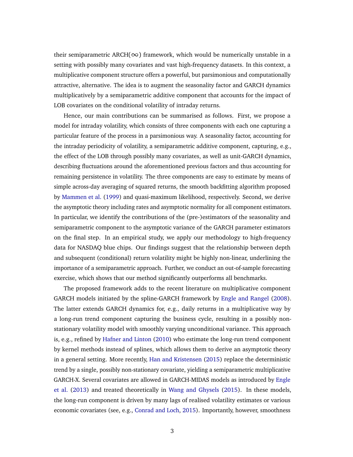their semiparametric ARCH( $\infty$ ) framework, which would be numerically unstable in a setting with possibly many covariates and vast high-frequency datasets. In this context, a multiplicative component structure offers a powerful, but parsimonious and computationally attractive, alternative. The idea is to augment the seasonality factor and GARCH dynamics multiplicatively by a semiparametric additive component that accounts for the impact of LOB covariates on the conditional volatility of intraday returns.

Hence, our main contributions can be summarised as follows. First, we propose a model for intraday volatility, which consists of three components with each one capturing a particular feature of the process in a parsimonious way. A seasonality factor, accounting for the intraday periodicity of volatility, a semiparametric additive component, capturing, e.g., the effect of the LOB through possibly many covariates, as well as unit-GARCH dynamics, describing fluctuations around the aforementioned previous factors and thus accounting for remaining persistence in volatility. The three components are easy to estimate by means of simple across-day averaging of squared returns, the smooth backfitting algorithm proposed by [Mammen et al.](#page-36-1) [\(1999\)](#page-36-1) and quasi-maximum likelihood, respectively. Second, we derive the asymptotic theory including rates and asymptotic normality for all component estimators. In particular, we identify the contributions of the (pre-)estimators of the seasonality and semiparametric component to the asymptotic variance of the GARCH parameter estimators on the final step. In an empirical study, we apply our methodology to high-frequency data for NASDAQ blue chips. Our findings suggest that the relationship between depth and subsequent (conditional) return volatility might be highly non-linear, underlining the importance of a semiparametric approach. Further, we conduct an out-of-sample forecasting exercise, which shows that our method significantly outperforms all benchmarks.

The proposed framework adds to the recent literature on multiplicative component GARCH models initiated by the spline-GARCH framework by [Engle and Rangel](#page-34-3) [\(2008\)](#page-34-3). The latter extends GARCH dynamics for, e.g., daily returns in a multiplicative way by a long-run trend component capturing the business cycle, resulting in a possibly nonstationary volatility model with smoothly varying unconditional variance. This approach is, e.g., refined by [Hafner and Linton](#page-35-0) [\(2010\)](#page-35-0) who estimate the long-run trend component by kernel methods instead of splines, which allows them to derive an asymptotic theory in a general setting. More recently, [Han and Kristensen](#page-35-1) [\(2015\)](#page-35-1) replace the deterministic trend by a single, possibly non-stationary covariate, yielding a semiparametric multiplicative GARCH-X. Several covariates are allowed in GARCH-MIDAS models as introduced by [Engle](#page-34-4) [et al.](#page-34-4) [\(2013\)](#page-34-4) and treated theoretically in [Wang and Ghysels](#page-37-3) [\(2015\)](#page-37-3). In these models, the long-run component is driven by many lags of realised volatility estimates or various economic covariates (see, e.g., [Conrad and Loch,](#page-34-5) [2015\)](#page-34-5). Importantly, however, smoothness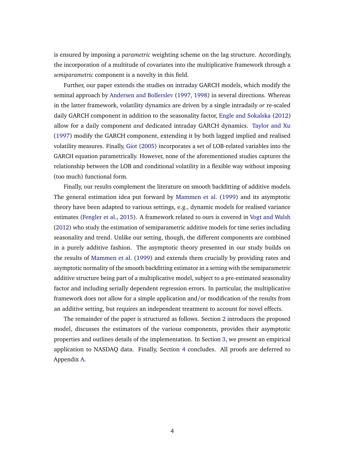is ensured by imposing a *parametric* weighting scheme on the lag structure. Accordingly, the incorporation of a multitude of covariates into the multiplicative framework through a *semiparametric* component is a novelty in this field.

Further, our paper extends the studies on intraday GARCH models, which modify the seminal approach by [Andersen and Bollerslev](#page-33-2) [\(1997,](#page-33-2) [1998\)](#page-33-3) in several directions. Whereas in the latter framework, volatility dynamics are driven by a single intradaily *or* re-scaled daily GARCH component in addition to the seasonality factor, [Engle and Sokalska](#page-34-6) [\(2012\)](#page-34-6) allow for a daily component *and* dedicated intraday GARCH dynamics. [Taylor and Xu](#page-37-4) [\(1997\)](#page-37-4) modify the GARCH component, extending it by both lagged implied and realised volatility measures. Finally, [Giot](#page-35-2) [\(2005\)](#page-35-2) incorporates a set of LOB-related variables into the GARCH equation parametrically. However, none of the aforementioned studies captures the relationship between the LOB and conditional volatility in a flexible way without imposing (too much) functional form.

Finally, our results complement the literature on smooth backfitting of additive models. The general estimation idea put forward by [Mammen et al.](#page-36-1) [\(1999\)](#page-36-1) and its asymptotic theory have been adapted to various settings, e.g., dynamic models for realised variance estimates [\(Fengler et al.,](#page-34-7) [2015\)](#page-34-7). A framework related to ours is covered in [Vogt and Walsh](#page-37-5) [\(2012\)](#page-37-5) who study the estimation of semiparametric additive models for time series including seasonality and trend. Unlike our setting, though, the different components are combined in a purely additive fashion. The asymptotic theory presented in our study builds on the results of [Mammen et al.](#page-36-1) [\(1999\)](#page-36-1) and extends them crucially by providing rates and asymptotic normality of the smooth backfitting estimator in a setting with the semiparametric additive structure being part of a multiplicative model, subject to a pre-estimated seasonality factor and including serially dependent regression errors. In particular, the multiplicative framework does not allow for a simple application and/or modification of the results from an additive setting, but requires an independent treatment to account for novel effects.

The remainder of the paper is structured as follows. Section [2](#page-5-0) introduces the proposed model, discusses the estimators of the various components, provides their asymptotic properties and outlines details of the implementation. In Section [3,](#page-16-0) we present an empirical application to NASDAQ data. Finally, Section [4](#page-32-0) concludes. All proofs are deferred to Appendix [A.](#page-38-0)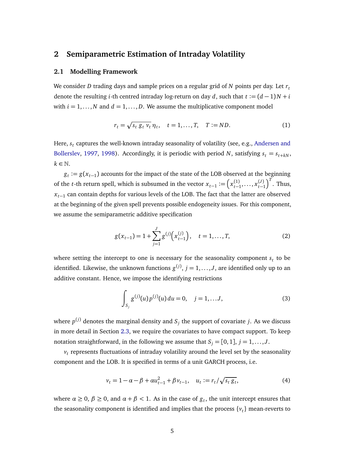### <span id="page-5-0"></span>**2 Semiparametric Estimation of Intraday Volatility**

#### <span id="page-5-3"></span>**2.1 Modelling Framework**

We consider *D* trading days and sample prices on a regular grid of *N* points per day. Let *r<sup>t</sup>* denote the resulting *i*-th centred intraday log-return on day *d*, such that  $t := (d - 1)N + i$ with  $i = 1, \ldots, N$  and  $d = 1, \ldots, D$ . We assume the multiplicative component model

<span id="page-5-2"></span>
$$
r_t = \sqrt{s_t \ g_t \ v_t} \ \eta_t, \quad t = 1, \dots, T, \quad T := ND.
$$

Here, *s<sup>t</sup>* captures the well-known intraday seasonality of volatility (see, e.g., [Andersen and](#page-33-2) [Bollerslev,](#page-33-2) [1997,](#page-33-2) [1998\)](#page-33-3). Accordingly, it is periodic with period *N*, satisfying  $s_t = s_{t+kN}$ ,  $k \in \mathbb{N}$ .

*g*<sub>*t*</sub> := *g*(*x*<sub>*t*−1</sub>) accounts for the impact of the state of the LOB observed at the beginning of the *t*-th return spell, which is subsumed in the vector  $x_{t-1} := (x_{t-1}^{(1)}, \ldots, x_{t-1}^{(J)})^T$ . Thus, *xt*−<sup>1</sup> can contain depths for various levels of the LOB. The fact that the latter are observed at the beginning of the given spell prevents possible endogeneity issues. For this component, we assume the semiparametric additive specification

$$
g(x_{t-1}) = 1 + \sum_{j=1}^{J} g^{(j)}(x_{t-1}^{(j)}), \quad t = 1, ..., T,
$$
 (2)

where setting the intercept to one is necessary for the seasonality component  $s_t$  to be identified. Likewise, the unknown functions  $g^{(j)},$   $j=1,\ldots,J,$  are identified only up to an additive constant. Hence, we impose the identifying restrictions

$$
\int_{S_j} g^{(j)}(u) p^{(j)}(u) du = 0, \quad j = 1,...J,
$$
\n(3)

where  $p^{(j)}$  denotes the marginal density and  $S_j$  the support of covariate  $j$ . As we discuss in more detail in Section [2.3,](#page-9-0) we require the covariates to have compact support. To keep notation straightforward, in the following we assume that  $S_j = [0, 1]$ ,  $j = 1, \ldots, J$ .

 $v_t$  represents fluctuations of intraday volatility around the level set by the seasonality component and the LOB. It is specified in terms of a unit GARCH process, i.e.

<span id="page-5-1"></span>
$$
v_t = 1 - \alpha - \beta + \alpha u_{t-1}^2 + \beta v_{t-1}, \quad u_t := r_t / \sqrt{s_t \, g_t},
$$
 (4)

where  $\alpha \geq 0$ ,  $\beta \geq 0$ , and  $\alpha + \beta < 1$ . As in the case of  $g_t$ , the unit intercept ensures that the seasonality component is identified and implies that the process  $\{v_t\}$  mean-reverts to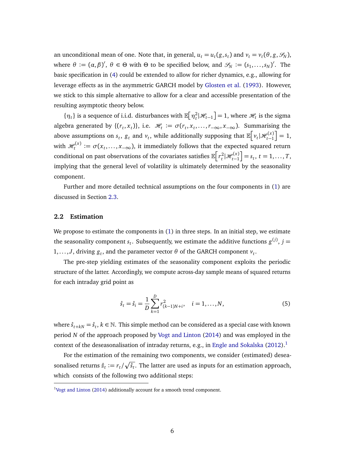an unconditional mean of one. Note that, in general,  $u_t = u_t(g, s_t)$  and  $v_t = v_t(\theta, g, \mathcal{S}_N)$ , where  $\theta := (\alpha, \beta)'$ ,  $\theta \in \Theta$  with  $\Theta$  to be specified below, and  $\mathscr{S}_N := (s_1, \ldots, s_N)'$ . The basic specification in [\(4\)](#page-5-1) could be extended to allow for richer dynamics, e.g., allowing for leverage effects as in the asymmetric GARCH model by [Glosten et al.](#page-35-3) [\(1993\)](#page-35-3). However, we stick to this simple alternative to allow for a clear and accessible presentation of the resulting asymptotic theory below.

 $\{\eta_t\}$  is a sequence of i.i.d. disturbances with  $\mathbb{E}[\eta_t^2|\mathcal{H}_{t-1}]=1$ , where  $\mathcal{H}_t$  is the sigma algebra generated by  $\{(r_t, x_t)\}\)$ , i.e.  $\mathcal{H}_t := \sigma(r_t, x_t, \ldots, r_{-\infty}, x_{-\infty})$ . Summarising the above assumptions on  $s_t$ ,  $g_t$  and  $v_t$ , while additionally supposing that  $\mathbb{E}\Big[v_t|\mathscr{H}_{t-1}^{(x)}\Big]=1$ , with  $\mathcal{H}_t^{(x)} \coloneqq \sigma(x_t, \ldots, x_{-\infty})$ , it immediately follows that the expected squared return conditional on past observations of the covariates satisfies  $\mathbb{E}\Big[r_t^2|\mathscr{H}_{t-1}^{(x)}\Big]=s_t,~t=1,\ldots,T,$ implying that the general level of volatility is ultimately determined by the seasonality component.

Further and more detailed technical assumptions on the four components in [\(1\)](#page-5-2) are discussed in Section [2.3.](#page-9-0)

#### <span id="page-6-1"></span>**2.2 Estimation**

We propose to estimate the components in  $(1)$  in three steps. In an initial step, we estimate the seasonality component  $s_t$ . Subsequently, we estimate the additive functions  $g^{(j)}$ ,  $j =$  $1, \ldots, J$ , driving  $g_t$ , and the parameter vector  $\theta$  of the GARCH component  $v_t$ .

The pre-step yielding estimates of the seasonality component exploits the periodic structure of the latter. Accordingly, we compute across-day sample means of squared returns for each intraday grid point as

<span id="page-6-0"></span>
$$
\hat{s}_t = \hat{s}_i = \frac{1}{D} \sum_{k=1}^{D} r_{(k-1)N+i}^2, \quad i = 1, ..., N,
$$
\n(5)

where  $\hat{s}_{t+kN} = \hat{s}_t$ ,  $k \in \mathbb{N}$ . This simple method can be considered as a special case with known period *N* of the approach proposed by [Vogt and Linton](#page-37-6) [\(2014\)](#page-37-6) and was employed in the context of the deseasonalisation of intraday returns, e.g., in [Engle and Sokalska](#page-34-6)  $(2012).$  $(2012).$ <sup>[1](#page-1-0)</sup>

For the estimation of the remaining two components, we consider (estimated) deseasonalised returns  $\hat{z}_t := r_t/\sqrt{\hat{s}_t}$ . The latter are used as inputs for an estimation approach, which consists of the following two additional steps:

 $1$ [Vogt and Linton](#page-37-6) [\(2014\)](#page-37-6) additionally account for a smooth trend component.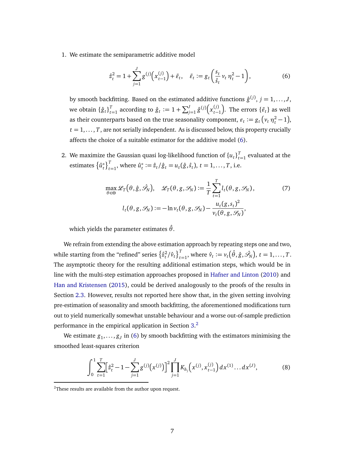1. We estimate the semiparametric additive model

<span id="page-7-0"></span>
$$
\hat{z}_t^2 = 1 + \sum_{j=1}^J g^{(j)}(x_{t-1}^{(j)}) + \tilde{\varepsilon}_t, \quad \tilde{\varepsilon}_t := g_t\left(\frac{s_t}{\hat{s}_t}v_t\,\eta_t^2 - 1\right),\tag{6}
$$

by smooth backfitting. Based on the estimated additive functions  $\hat{g}^{(j)},\,j=1,\ldots,J,$ we obtain  $\{\hat{g}_t\}_{t}^T$  $\sum_{t=1}^{T} \text{according to } \hat{g}_t := 1 + \sum_{j=1}^{J} \hat{g}^{(j)} \left( x_{t-1}^{(j)} \right)$ . The errors  $\{\tilde{\varepsilon}_t\}$  as well as their counterparts based on the true seasonality component,  $\varepsilon_t := g_t \left( v_t \, \eta_t^2 - 1 \right)$ ,  $t = 1, \ldots, T$ , are not serially independent. As is discussed below, this property crucially affects the choice of a suitable estimator for the additive model [\(6\)](#page-7-0).

2. We maximize the Gaussian quasi log-likelihood function of  $\{u_t\}_{t=1}^T$  $t_{t=1}^{I}$  evaluated at the estimates  $\{\hat{u}^*_t\}$  $\left\{t \atop t \right\}^T_{t=1}$ , where  $\hat{u}^*_t$  $t_t^* := \hat{z}_t / \hat{g}_t = u_t(\hat{g}, \hat{s}_t), t = 1, ..., T$ , i.e.

<span id="page-7-2"></span>
$$
\max_{\theta \in \Theta} \mathcal{L}_T(\theta, \hat{g}, \hat{\mathcal{S}}_N), \quad \mathcal{L}_T(\theta, g, \mathcal{S}_N) := \frac{1}{T} \sum_{t=1}^T l_t(\theta, g, \mathcal{S}_N),
$$
\n
$$
l_t(\theta, g, \mathcal{S}_N) := -\ln v_t(\theta, g, \mathcal{S}_N) - \frac{u_t(g, s_t)^2}{v_t(\theta, g, \mathcal{S}_N)},
$$
\n(7)

which yields the parameter estimates *θ*ˆ.

We refrain from extending the above estimation approach by repeating steps one and two, while starting from the "refined" series  $\left\{\hat{z}_t^2 / \hat{v}_t\right\}_{t=1}^T$ , where  $\hat{v}_t := v_t(\hat{\theta}, \hat{g}, \hat{\mathscr{S}}_N)$ ,  $t = 1, \ldots, T$ . The asymptotic theory for the resulting additional estimation steps, which would be in line with the multi-step estimation approaches proposed in [Hafner and Linton](#page-35-0) [\(2010\)](#page-35-0) and [Han and Kristensen](#page-35-1) [\(2015\)](#page-35-1), could be derived analogously to the proofs of the results in Section [2.3.](#page-9-0) However, results not reported here show that, in the given setting involving pre-estimation of seasonality and smooth backfitting, the aforementioned modifications turn out to yield numerically somewhat unstable behaviour and a worse out-of-sample prediction performance in the empirical application in Section [3.](#page-16-0)<sup>[2](#page-1-0)</sup>

We estimate  $g_1, \ldots, g_J$  in [\(6\)](#page-7-0) by smooth backfitting with the estimators minimising the smoothed least-squares criterion

<span id="page-7-1"></span>
$$
\int_0^1 \sum_{t=1}^T \left[ \hat{z}_t^2 - 1 - \sum_{j=1}^J g^{(j)}(x^{(j)}) \right]^2 \prod_{j=1}^J K_{h_j}\left( x^{(j)}, x_{t-1}^{(j)} \right) dx^{(1)} \dots dx^{(J)}, \tag{8}
$$

 $2$ These results are available from the author upon request.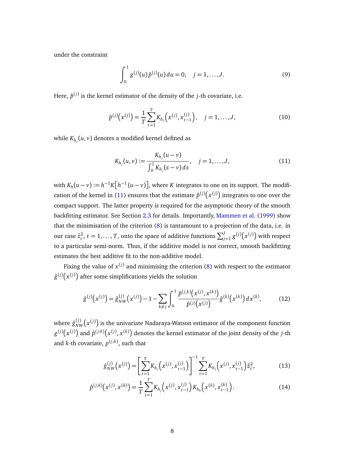under the constraint

$$
\int_0^1 g^{(j)}(u)\hat{p}^{(j)}(u) du = 0, \quad j = 1, ..., J.
$$
 (9)

Here,  $\hat{p}^{(j)}$  is the kernel estimator of the density of the *j*-th covariate, i.e.

$$
\hat{p}^{(j)}(x^{(j)}) = \frac{1}{T} \sum_{t=1}^{T} K_{h_j}(x^{(j)}, x_{t-1}^{(j)}), \quad j = 1, ..., J,
$$
\n(10)

while *Kh<sup>j</sup>* (*u*, *v*) denotes a modified kernel defined as

<span id="page-8-0"></span>
$$
K_{h_j}(u,v) := \frac{K_{h_j}(u-v)}{\int_0^1 K_{h_j}(z-v) dz}, \quad j = 1,\dots,J,
$$
\n(11)

with  $K_h(u-v) := h^{-1}K\big[h^{-1}(u-v)\big]$ , where *K* integrates to one on its support. The modifi-cation of the kernel in [\(11\)](#page-8-0) ensures that the estimate  $\hat{p}^{(j)}(x^{(j)})$  integrates to one over the compact support. The latter property is required for the asymptotic theory of the smooth backfitting estimator. See Section [2.3](#page-9-0) for details. Importantly, [Mammen et al.](#page-36-1) [\(1999\)](#page-36-1) show that the minimisation of the criterion [\(8\)](#page-7-1) is tantamount to a projection of the data, i.e. in our case  $\hat{z}_t^2$ ,  $t = 1, \ldots, T$ , onto the space of additive functions  $\sum_{j=1}^J g^{(j)}(x^{(j)})$  with respect to a particular semi-norm. Thus, if the additive model is not correct, smooth backfitting estimates the best additive fit to the non-additive model.

Fixing the value of  $x^{(j)}$  and minimising the criterion [\(8\)](#page-7-1) with respect to the estimator  $\hat{g}^{(j)}(x^{(j)})$  after some simplifications yields the solution

$$
\hat{g}^{(j)}(x^{(j)}) = \hat{g}_{NW}^{(j)}(x^{(j)}) - 1 - \sum_{k \neq j} \int_0^1 \frac{\hat{p}^{(j,k)}(x^{(j)}, x^{(k)})}{\hat{p}^{(j)}(x^{(j)})} \hat{g}^{(k)}(x^{(k)}) dx^{(k)},
$$
(12)

where  $\hat{g}^{(j)}_{_{NV}}$  $\mathcal{L}_{NW}^{(j)}(x^{(j)})$  is the univariate Nadaraya-Watson estimator of the component function  $g^{(j)}\!(x^{(j)})$  and  $\hat{p}^{(j,k)}\!(x^{(j)},x^{(k)})$  denotes the kernel estimator of the joint density of the *j*-th and *k*-th covariate,  $p^{(j,k)}$ , such that

<span id="page-8-2"></span><span id="page-8-1"></span>
$$
\hat{g}_{NW}^{(j)}(x^{(j)}) = \left[\sum_{t=1}^{T} K_{h_j}\left(x^{(j)}, x_{t-1}^{(j)}\right)\right]^{-1} \sum_{t=1}^{T} K_{h_j}\left(x^{(j)}, x_{t-1}^{(j)}\right) \hat{z}_t^2, \tag{13}
$$

$$
\hat{p}^{(j,k)}(x^{(j)}, x^{(k)}) = \frac{1}{T} \sum_{t=1}^{T} K_{h_j}(x^{(j)}, x_{t-1}^{(j)}) K_{h_k}(x^{(k)}, x_{t-1}^{(k)}).
$$
\n(14)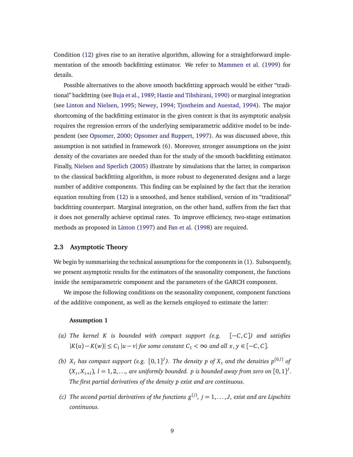Condition [\(12\)](#page-8-1) gives rise to an iterative algorithm, allowing for a straightforward implementation of the smooth backfitting estimator. We refer to [Mammen et al.](#page-36-1) [\(1999\)](#page-36-1) for details.

Possible alternatives to the above smooth backfitting approach would be either "traditional" backfitting (see [Buja et al.,](#page-33-4) [1989;](#page-33-4) [Hastie and Tibshirani,](#page-35-4) [1990\)](#page-35-4) or marginal integration (see [Linton and Nielsen,](#page-36-2) [1995;](#page-36-2) [Newey,](#page-36-3) [1994;](#page-36-3) [Tjostheim and Auestad,](#page-37-7) [1994\)](#page-37-7). The major shortcoming of the backfitting estimator in the given context is that its asymptotic analysis requires the regression errors of the underlying semiparametric additive model to be independent (see [Opsomer,](#page-36-4) [2000;](#page-36-4) [Opsomer and Ruppert,](#page-36-5) [1997\)](#page-36-5). As was discussed above, this assumption is not satisfied in framework [\(6\)](#page-7-0). Moreover, stronger assumptions on the joint density of the covariates are needed than for the study of the smooth backfitting estimator. Finally, [Nielsen and Sperlich](#page-36-6) [\(2005\)](#page-36-6) illustrate by simulations that the latter, in comparison to the classical backfitting algorithm, is more robust to degenerated designs and a large number of additive components. This finding can be explained by the fact that the iteration equation resulting from [\(12\)](#page-8-1) is a smoothed, and hence stabilised, version of its "traditional" backfitting counterpart. Marginal integration, on the other hand, suffers from the fact that it does not generally achieve optimal rates. To improve efficiency, two-stage estimation methods as proposed in [Linton](#page-36-7) [\(1997\)](#page-36-7) and [Fan et al.](#page-34-8) [\(1998\)](#page-34-8) are required.

### <span id="page-9-0"></span>**2.3 Asymptotic Theory**

We begin by summarising the technical assumptions for the components in [\(1\)](#page-5-2). Subsequently, we present asymptotic results for the estimators of the seasonality component, the functions inside the semiparametric component and the parameters of the GARCH component.

We impose the following conditions on the seasonality component, component functions of the additive component, as well as the kernels employed to estimate the latter:

#### <span id="page-9-1"></span>**Assumption 1**

- <span id="page-9-3"></span>*(a) The kernel K is bounded with compact support (e.g.* [−*C*, *C*]*) and satisfies*  $|K(u) - K(w)|$  ≤  $C_1$  |u − v| for some constant  $C_1$  < ∞ and all  $x, y \in [-C, C]$ *.*
- <span id="page-9-2"></span>(b)  $X_t$  has compact support (e.g.  $[0,1]^J$ ). The density p of  $X_t$  and the densities  $p^{(0,l)}$  of  $(X_t, X_{t+1})$ ,  $l = 1, 2, \ldots$ , are uniformly bounded. p is bounded away from zero on  $[0, 1]^J$ . *The first partial derivatives of the density p exist and are continuous.*
- <span id="page-9-4"></span>*(c)* The second partial derivatives of the functions  $g^{(j)}$ ,  $j = 1, \ldots, J$ , exist and are Lipschitz *continuous.*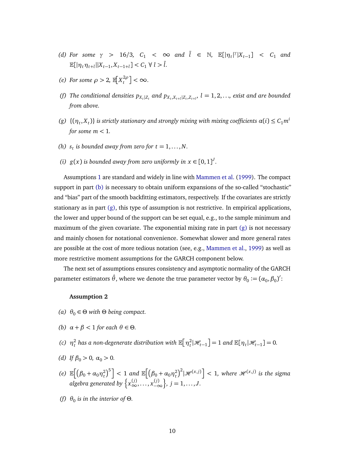- <span id="page-10-7"></span>*(d)* For some  $\gamma$  > 16/3,  $C_1$  <  $\infty$  and  $\overline{l}$   $\in$  N,  $\mathbb{E}[|\eta_t|^{\gamma}|X_{t-1}]$  <  $C_1$  and  $\mathbb{E}[\eta_t \eta_{t+l} | X_{t-1}, X_{t-1+l}] < C_1 \ \forall \ l > \bar{l}.$
- *(e) For some*  $\rho > 2$ ,  $\mathbb{E}[X_t^{2\rho}]$  $\left[\begin{array}{c} 2\rho \\ t \end{array}\right] < \infty$ .
- (f) The conditional densities  $p_{X_t|Z_t}$  and  $p_{X_t,X_{t+l}|Z_t,Z_{t+l}},\ l=1,2,\ldots$ , exist and are bounded *from above.*
- <span id="page-10-0"></span>*(g)*  $\{(\eta_t, X_t)\}$  *is strictly stationary and strongly mixing with mixing coefficients*  $\alpha(i) \le C_1 m^i$ *for some m*  $<$  1.
- <span id="page-10-8"></span>*(h)*  $s_t$  is bounded away from zero for  $t = 1, ..., N$ .
- <span id="page-10-9"></span>*(i)*  $g(x)$  *is bounded away from zero uniformly in*  $x \in [0, 1]^J$ .

Assumptions [1](#page-9-1) are standard and widely in line with [Mammen et al.](#page-36-1) [\(1999\)](#page-36-1). The compact support in part [\(b\)](#page-9-2) is necessary to obtain uniform expansions of the so-called "stochastic" and "bias" part of the smooth backfitting estimators, respectively. If the covariates are strictly stationary as in part  $(g)$ , this type of assumption is not restrictive. In empirical applications, the lower and upper bound of the support can be set equal, e.g., to the sample minimum and maximum of the given covariate. The exponential mixing rate in part  $(g)$  is not necessary and mainly chosen for notational convenience. Somewhat slower and more general rates are possible at the cost of more tedious notation (see, e.g., [Mammen et al.,](#page-36-1) [1999\)](#page-36-1) as well as more restrictive moment assumptions for the GARCH component below.

The next set of assumptions ensures consistency and asymptotic normality of the GARCH parameter estimators  $\hat{\theta}$ , where we denote the true parameter vector by  $\theta_0 \coloneqq (\alpha_0,\beta_0)^\prime$ :

#### <span id="page-10-3"></span>**Assumption 2**

- <span id="page-10-1"></span>*(a)*  $θ_0 ∈ Θ$  *with*  $Θ$  *being compact.*
- <span id="page-10-6"></span>*(b)*  $\alpha + \beta < 1$  *for each*  $\theta \in Θ$ *.*
- *(c)*  $\eta_t^2$  has a non-degenerate distribution with  $\mathbb{E}[\eta_t^2|\mathcal{H}_{t-1}] = 1$  and  $\mathbb{E}[\eta_t|\mathcal{H}_{t-1}] = 0$ .
- <span id="page-10-2"></span>*(d) If*  $\beta_0 > 0$ ,  $\alpha_0 > 0$ .
- <span id="page-10-4"></span> $f(e)$   $\mathbb{E}\left[\left(\beta_0 + \alpha_0 \eta_t^2\right)^5\right] < 1$  and  $\mathbb{E}\left[\left(\beta_0 + \alpha_0 \eta_t^2\right)^2 | \mathcal{H}^{(x,j)}\right] < 1$ , where  $\mathcal{H}^{(x,j)}$  is the sigma algebra generated by  $\left\{ x_{\infty}^{(j)}, \ldots, x_{-\infty}^{(j)} \right\}$ ,  $j = 1, \ldots, J$ .
- <span id="page-10-5"></span>*(f)*  $\theta_0$  *is in the interior of*  $\Theta$ *.*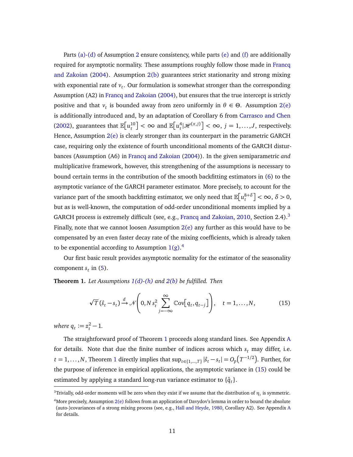Parts [\(a\)-](#page-10-1)[\(d\)](#page-10-2) of Assumption [2](#page-10-3) ensure consistency, while parts [\(e\)](#page-10-4) and [\(f\)](#page-10-5) are additionally required for asymptotic normality. These assumptions roughly follow those made in [Francq](#page-34-9) [and Zakoian](#page-34-9) [\(2004\)](#page-34-9). Assumption [2](#page-10-3)[\(b\)](#page-10-6) guarantees strict stationarity and strong mixing with exponential rate of *v<sup>t</sup>* . Our formulation is somewhat stronger than the corresponding Assumption (A2) in [Francq and Zakoian](#page-34-9) [\(2004\)](#page-34-9), but ensures that the true intercept is strictly positive and that  $v_t$  is bounded away from zero uniformly in  $\theta \in \Theta$ . Assumption [2](#page-10-3)[\(e\)](#page-10-4) is additionally introduced and, by an adaptation of Corollary 6 from [Carrasco and Chen](#page-33-5) [\(2002\)](#page-33-5), guarantees that  $\mathbb{E}[u_t^{10}] < \infty$  and  $\mathbb{E}[u_t^4 | \mathcal{H}^{(x,j)}] < \infty$ ,  $j = 1, ..., J$ , respectively. Hence, Assumption [2](#page-10-3)[\(e\)](#page-10-4) is clearly stronger than its counterpart in the parametric GARCH case, requiring only the existence of fourth unconditional moments of the GARCH disturbances (Assumption (A6) in [Francq and Zakoian](#page-34-9) [\(2004\)](#page-34-9)). In the given semiparametric *and* multiplicative framework, however, this strengthening of the assumptions is necessary to bound certain terms in the contribution of the smooth backfitting estimators in [\(6\)](#page-7-0) to the asymptotic variance of the GARCH parameter estimator. More precisely, to account for the variance part of the smooth backfitting estimator, we only need that  $\mathbb{E}\left[u_t^{8+\delta}\right]<\infty$ ,  $\delta>0$ , but as is well-known, the computation of odd-order unconditional moments implied by a GARCH process is extremely difficult (see, e.g., [Francq and Zakoian,](#page-35-5) [2010,](#page-35-5) Section 2.4).<sup>[3](#page-1-0)</sup> Finally, note that we cannot loosen Assumption [2](#page-10-3)[\(e\)](#page-10-4) any further as this would have to be compensated by an even faster decay rate of the mixing coefficients, which is already taken to be exponential according to Assumption  $1(g)$  $1(g)$ .<sup>[4](#page-1-0)</sup>

Our first basic result provides asymptotic normality for the estimator of the seasonality component  $s_t$  in [\(5\)](#page-6-0).

<span id="page-11-0"></span>**Theorem 1.** *Let Assumptions [1](#page-9-1)[\(d\)](#page-10-7)[-\(h\)](#page-10-8) and [2](#page-10-3)[\(b\)](#page-10-6) be fulfilled. Then*

<span id="page-11-1"></span>
$$
\sqrt{T}(\hat{s}_t - s_t) \xrightarrow{d} \mathcal{N}\left(0, N s_t^2 \sum_{j=-\infty}^{\infty} \text{Cov}\big[q_t, q_{t-j}\big]\right), \quad t = 1, \dots, N,\tag{15}
$$

*where*  $q_t := z_t^2 - 1$ *.* 

The straightforward proof of Theorem [1](#page-11-0) proceeds along standard lines. See Appendix [A](#page-38-0) for details. Note that due the finite number of indices across which  $s_t$  may differ, i.e.  $t = 1, \ldots, N$  $t = 1, \ldots, N$  $t = 1, \ldots, N$ , Theorem 1 directly implies that  $\sup_{t \in \{1, \ldots, T\}} |\hat{s}_t - s_t| = O_p(T^{-1/2})$ . Further, for the purpose of inference in empirical applications, the asymptotic variance in [\(15\)](#page-11-1) could be estimated by applying a standard long-run variance estimator to  $\{\hat{q}_t\}$ .

 $^3$ Trivially, odd-order moments will be zero when they exist if we assume that the distribution of  $\eta_t$  is symmetric.

<sup>4</sup>More precisely, Assumption [2](#page-10-3)[\(e\)](#page-10-4) follows from an application of Davydov's lemma in order to bound the absolute (auto-)covariances of a strong mixing process (see, e.g., [Hall and Heyde,](#page-35-6) [1980,](#page-35-6) Corollary A2). See Appendix [A](#page-38-0) for details.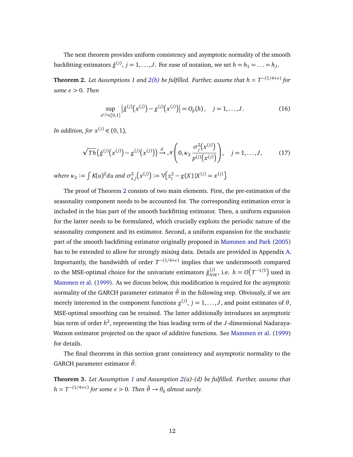The next theorem provides uniform consistency and asymptotic normality of the smooth backfitting estimators  $\hat{g}^{(j)}, j = 1, \ldots, J$ . For ease of notation, we set  $h = h_1 = \ldots = h_J$ .

<span id="page-12-0"></span>**Theorem [2](#page-10-3).** Let Assumptions [1](#page-9-1) and 2[\(b\)](#page-10-6) be fulfilled. Further, assume that  $h \asymp T^{-(1/4+\epsilon)}$  for *some ε >* 0*. Then*

$$
\sup_{x^{(j)} \in [0,1]} \left| \hat{g}^{(j)}(x^{(j)}) - g^{(j)}(x^{(j)}) \right| = O_p(h), \quad j = 1, \dots, J. \tag{16}
$$

*In addition, for*  $x^{(j)} \in (0, 1)$ *,* 

$$
\sqrt{Th}\left(\hat{g}^{(j)}\left(x^{(j)}\right)-g^{(j)}\left(x^{(j)}\right)\right) \stackrel{d}{\rightarrow} \mathcal{N}\left(0,\kappa_2 \frac{\sigma_j^2\left(x^{(j)}\right)}{p^{(j)}\left(x^{(j)}\right)}\right), \quad j=1,\ldots,J,\tag{17}
$$

 $w$ here  $\kappa_2 := \int K(u)^2 du$  and  $\sigma_{z,j}^2(x^{(j)}) := \mathbb{V}[z_t^2 - g(X)|X^{(j)} = x^{(j)}].$ 

The proof of Theorem [2](#page-12-0) consists of two main elements. First, the pre-estimation of the seasonality component needs to be accounted for. The corresponding estimation error is included in the bias part of the smooth backfitting estimator. Then, a uniform expansion for the latter needs to be formulated, which crucially exploits the periodic nature of the seasonality component and its estimator. Second, a uniform expansion for the stochastic part of the smooth backfitting estimator originally proposed in [Mammen and Park](#page-36-8) [\(2005\)](#page-36-8) has to be extended to allow for strongly mixing data. Details are provided in Appendix [A.](#page-38-0) Importantly, the bandwidth of order  $T^{-(1/4+\epsilon)}$  implies that we undersmooth compared to the MSE-optimal choice for the univariate estimators  $\hat{g}^{(j)}_{NW}$ , i.e.  $h=O\bigl(T^{-1/5}\bigr)$  used in [Mammen et al.](#page-36-1) [\(1999\)](#page-36-1). As we discuss below, this modification is required for the asymptotic normality of the GARCH parameter estimator  $\hat{\theta}$  in the following step. Obviously, if we are merely interested in the component functions  $g^{(j)}$ ,  $j = 1, \ldots, J$ , and point estimates of  $\theta$ , MSE-optimal smoothing can be retained. The latter additionally introduces an asymptotic bias term of order *h<sup>2</sup>*, representing the bias leading term of the *J*-dimensional Nadaraya-Watson estimator projected on the space of additive functions. See [Mammen et al.](#page-36-1) [\(1999\)](#page-36-1) for details.

The final theorems in this section grant consistency and asymptotic normality to the GARCH parameter estimator *θ*ˆ.

<span id="page-12-1"></span>**Theorem 3.** *Let Assumption [1](#page-9-1) and Assumption [2\(](#page-10-3)a)-(d) be fulfilled. Further, assume that*  $h \asymp T^{-(1/4+\epsilon)}$  for some  $\epsilon > 0$ . Then  $\hat{\theta} \to \theta_0$  almost surely.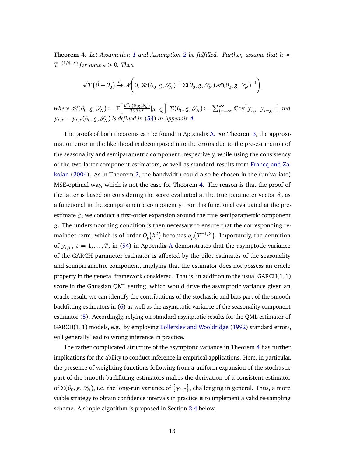<span id="page-13-0"></span>**Theorem 4.** Let Assumption [1](#page-9-1) and Assumption [2](#page-10-3) be fulfilled. Further, assume that  $h \geq$  $T^{-(1/4+\epsilon)}$  for some  $\epsilon > 0$ . Then

$$
\sqrt{T}(\hat{\theta}-\theta_0) \xrightarrow{d} \mathcal{N}\left(0, \mathcal{H}(\theta_0, g, \mathcal{S}_N)^{-1} \Sigma(\theta_0, g, \mathcal{S}_N) \mathcal{H}(\theta_0, g, \mathcal{S}_N)^{-1}\right),
$$

 $where \mathscr{H}(\theta_0, g, \mathscr{S}_N) \vcentcolon= \mathbb{E}\Big[\frac{\partial^2 l_t(\theta, g, \mathscr{S}_N)}{\partial \theta \partial \theta^T}\Big]$  $\frac{I_t(\theta, g, \mathscr{S}_N)}{\partial \theta \partial \theta^T}$   $|_{\theta=\theta_0}$   $], \Sigma(\theta_0, g, \mathscr{S}_N) \coloneqq \sum_{j=-\infty}^{\infty}$  Cov $\big[ y_{t,T}, y_{t-j,T} \big]$  and  $y_{t,T} = y_{t,T}(\theta_0, g, \mathcal{S}_N)$  *is defined in* [\(54\)](#page-44-0) *in Appendix [A.](#page-38-0)* 

The proofs of both theorems can be found in Appendix [A.](#page-38-0) For Theorem [3,](#page-12-1) the approximation error in the likelihood is decomposed into the errors due to the pre-estimation of the seasonality and semiparametric component, respectively, while using the consistency of the two latter component estimators, as well as standard results from [Francq and Za](#page-34-9)[koian](#page-34-9) [\(2004\)](#page-34-9). As in Theorem [2,](#page-12-0) the bandwidth could also be chosen in the (univariate) MSE-optimal way, which is not the case for Theorem [4.](#page-13-0) The reason is that the proof of the latter is based on considering the score evaluated at the true parameter vector  $\theta_0$  as a functional in the semiparametric component *g*. For this functional evaluated at the preestimate  $\hat{g}$ , we conduct a first-order expansion around the true semiparametric component *g*. The undersmoothing condition is then necessary to ensure that the corresponding remainder term, which is of order  $O_p(h^2)$  becomes  $o_p\big(T^{-1/2}\big)$ . Importantly, the definition of  $y_{t,T}$ ,  $t = 1,...,T$ , in [\(54\)](#page-44-0) in [A](#page-38-0)ppendix A demonstrates that the asymptotic variance of the GARCH parameter estimator is affected by the pilot estimates of the seasonality and semiparametric component, implying that the estimator does not possess an oracle property in the general framework considered. That is, in addition to the usual GARCH(1, 1) score in the Gaussian QML setting, which would drive the asymptotic variance given an oracle result, we can identify the contributions of the stochastic and bias part of the smooth backfitting estimators in [\(6\)](#page-7-0) as well as the asymptotic variance of the seasonality component estimator [\(5\)](#page-6-0). Accordingly, relying on standard asymptotic results for the QML estimator of GARCH(1, 1) models, e.g., by employing [Bollerslev and Wooldridge](#page-33-6) [\(1992\)](#page-33-6) standard errors, will generally lead to wrong inference in practice.

The rather complicated structure of the asymptotic variance in Theorem [4](#page-13-0) has further implications for the ability to conduct inference in empirical applications. Here, in particular, the presence of weighting functions following from a uniform expansion of the stochastic part of the smooth backfitting estimators makes the derivation of a consistent estimator of  $\Sigma(\theta_0, g, \mathscr{S}_N)$ , i.e. the long-run variance of  $\{y_{t,T}\}$ , challenging in general. Thus, a more viable strategy to obtain confidence intervals in practice is to implement a valid re-sampling scheme. A simple algorithm is proposed in Section [2.4](#page-14-0) below.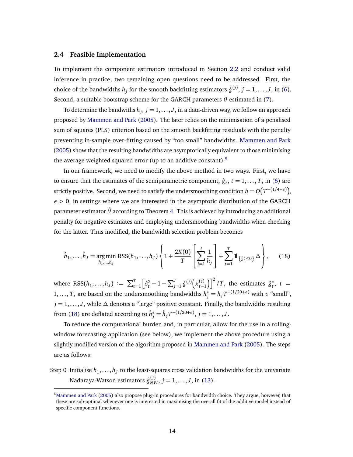#### <span id="page-14-0"></span>**2.4 Feasible Implementation**

To implement the component estimators introduced in Section [2.2](#page-6-1) and conduct valid inference in practice, two remaining open questions need to be addressed. First, the choice of the bandwidths  $h_j$  for the smooth backfitting estimators  $\hat{g}^{(j)}$ ,  $j = 1, ..., J$ , in [\(6\)](#page-7-0). Second, a suitable bootstrap scheme for the GARCH parameters  $\theta$  estimated in [\(7\)](#page-7-2).

To determine the bandwiths  $h_j, j = 1, \ldots, J,$  in a data-driven way, we follow an approach proposed by [Mammen and Park](#page-36-8) [\(2005\)](#page-36-8). The later relies on the minimisation of a penalised sum of squares (PLS) criterion based on the smooth backfitting residuals with the penalty preventing in-sample over-fitting caused by "too small" bandwidths. [Mammen and Park](#page-36-8) [\(2005\)](#page-36-8) show that the resulting bandwidths are asymptotically equivalent to those minimising the average weighted squared error (up to an additive constant).<sup>[5](#page-1-0)</sup>

In our framework, we need to modify the above method in two ways. First, we have to ensure that the estimates of the semiparametric component,  $\hat{g}_t$ ,  $t = 1, \ldots, T$ , in [\(6\)](#page-7-0) are strictly positive. Second, we need to satisfy the undersmoothing condition  $h = O\bigl(T^{-(1/4+\epsilon)}\bigr),$  $\epsilon$  > 0, in settings where we are interested in the asymptotic distribution of the GARCH parameter estimator  $\hat{\theta}$  according to Theorem [4.](#page-13-0) This is achieved by introducing an additional penalty for negative estimates and employing undersmoothing bandwidths when checking for the latter. Thus modified, the bandwidth selection problem becomes

<span id="page-14-1"></span>
$$
\hat{h}_1, \dots, \hat{h}_J = \underset{h_1, \dots, h_J}{\arg \min} \text{RSS}(h_1, \dots, h_J) \left\{ 1 + \frac{2K(0)}{T} \left[ \sum_{j=1}^J \frac{1}{h_j} \right] + \sum_{t=1}^T \mathbb{1}_{\{\hat{g}_t^* \le 0\}} \Delta \right\}, \quad (18)
$$

where  $RSS(h_1, ..., h_J) := \sum_{t=1}^T$  $\left[\hat{z}_t^2 - 1 - \sum_{j=1}^J \hat{g}^{(j)} \left(x_{t-1}^{(j)}\right)\right]^2 / T$ , the estimates  $\hat{g}_t^*$  $_t^*$ ,  $t =$ 1,..., *T*, are based on the undersmoothing bandwidths  $h_j^* = h_j T^{-(1/20+\epsilon)}$  with  $\epsilon$  "small", *j* = 1, . . . , *J*, while *∆* denotes a "large" positive constant. Finally, the bandwidths resulting from [\(18\)](#page-14-1) are deflated according to  $\hat{h}^*_{j} = \hat{h}^{}_{j} T^{-(1/20+\epsilon)}$ ,  $j = 1, \ldots, J$ .

To reduce the computational burden and, in particular, allow for the use in a rollingwindow forecasting application (see below), we implement the above procedure using a slightly modified version of the algorithm proposed in [Mammen and Park](#page-36-8) [\(2005\)](#page-36-8). The steps are as follows:

Step 0 Initialise  $h_1, \ldots, h_J$  to the least-squares cross validation bandwidths for the univariate Nadaraya-Watson estimators  $\hat{g}_{NW}^{(j)}$ ,  $j = 1, ..., J$ , in [\(13\)](#page-8-2).

 $<sup>5</sup>$ [Mammen and Park](#page-36-8) [\(2005\)](#page-36-8) also propose plug-in procedures for bandwidth choice. They argue, however, that</sup> these are sub-optimal whenever one is interested in maximising the overall fit of the additive model instead of specific component functions.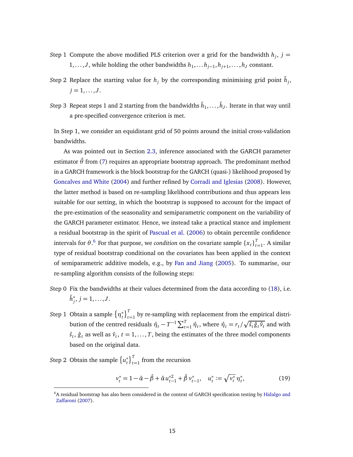- *S*tep 1 Compute the above modified PLS criterion over a grid for the bandwidth  $h_j$ ,  $j =$  $1, \ldots, J$ , while holding the other bandwidths  $h_1, \ldots h_{j-1}, h_{j+1}, \ldots, h_J$  constant.
- *S*tep 2 Replace the starting value for  $h_j$  by the corresponding minimising grid point  $\tilde{h}_j$ ,  $j = 1, \ldots, J$ .
- $S$ tep 3  $\,$  Repeat steps 1 and 2 starting from the bandwidths  $\tilde{h}_1,\ldots,\tilde{h}_J.$  Iterate in that way until a pre-specified convergence criterion is met.

In Step 1, we consider an equidistant grid of 50 points around the initial cross-validation bandwidths.

As was pointed out in Section [2.3,](#page-9-0) inference associated with the GARCH parameter estimator  $\hat{\theta}$  from [\(7\)](#page-7-2) requires an appropriate bootstrap approach. The predominant method in a GARCH framework is the block bootstrap for the GARCH (quasi-) likelihood proposed by [Goncalves and White](#page-35-7) [\(2004\)](#page-35-7) and further refined by [Corradi and Iglesias](#page-34-10) [\(2008\)](#page-34-10). However, the latter method is based on re-sampling likelihood contributions and thus appears less suitable for our setting, in which the bootstrap is supposed to account for the impact of the pre-estimation of the seasonality and semiparametric component on the variability of the GARCH parameter estimator. Hence, we instead take a practical stance and implement a residual bootstrap in the spirit of [Pascual et al.](#page-37-8) [\(2006\)](#page-37-8) to obtain percentile confidence intervals for  $\theta$ .<sup>[6](#page-1-0)</sup> For that purpose, we *condition* on the covariate sample  $\{x_t\}_{t=1}^T$  $t_{t=1}^I$ . A similar type of residual bootstrap conditional on the covariates has been applied in the context of semiparametric additive models, e.g., by [Fan and Jiang](#page-34-11) [\(2005\)](#page-34-11). To summarise, our re-sampling algorithm consists of the following steps:

- *S*tep 0 Fix the bandwidths at their values determined from the data according to [\(18\)](#page-14-1), i.e. ˆ*h* ∗  $j$ ,  $j = 1, ..., J$ .
- *S*tep 1 Obtain a sample *η* ∗  $\left\{t\atop t\right\}_{t=1}^T$  by re-sampling with replacement from the empirical distribution of the centred residuals  $\hat{\eta}_t - T^{-1} \sum_{t=1}^T \hat{\eta}_t$ , where  $\hat{\eta}_t = r_t / \sqrt{\hat{s}_t \hat{g}_t \hat{v}_t}$  and with  $\hat{s}_t$ ,  $\hat{g}_t$  as well as  $\hat{v}_t$ ,  $t = 1, \ldots, T$ , being the estimates of the three model components based on the original data.

Step 2 Obtain the sample  $\{u_t^*\}$  $\left\{t \atop t \right\}^T_{t=1}$  from the recursion

$$
v_t^* = 1 - \hat{\alpha} - \hat{\beta} + \hat{\alpha} u_{t-1}^{*2} + \hat{\beta} v_{t-1}^*, \quad u_t^* := \sqrt{v_t^*} \eta_t^*,
$$
 (19)

<sup>&</sup>lt;sup>6</sup>A residual bootstrap has also been considered in the context of GARCH specification testing by [Hidalgo and](#page-35-8) [Zaffaroni](#page-35-8) [\(2007\)](#page-35-8).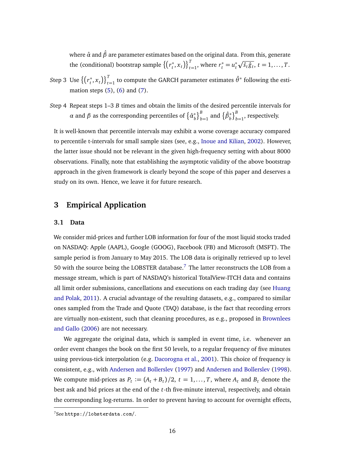where  $\hat{\alpha}$  and  $\hat{\beta}$  are parameter estimates based on the original data. From this, generate the (conditional) bootstrap sample  $\{ (r_t^*) \in \mathcal{F}_t \}$  $\{f_t^*, x_t\}$   $\}$ <sup>T</sup><sub>t=1</sub>, where  $r_t^* = u_t^*$  $t^{*}_{t} \sqrt{\hat{s}_{t} \hat{g}_{t}}, t = 1, ..., T.$ 

- *Step* 3 Use  $\{ (r_t^*) \}$  $\left\{t^*, x_t\right\}\right\}_{t=1}^T$  to compute the GARCH parameter estimates  $\hat{\theta}^*$  following the estimation steps  $(5)$ ,  $(6)$  and  $(7)$ .
- *S*tep 4 Repeat steps 1–3 *B* times and obtain the limits of the desired percentile intervals for  $\alpha$  and  $\beta$  as the corresponding percentiles of  $\{\hat{\alpha}_{h}^{*}$  $\left\{\stackrel{*}{\beta_b}\right\}_{b=1}^B$  and  $\left\{\stackrel{\hat{\beta}_b}{\beta_b}\right\}_{b=1}^B$ , respectively.

It is well-known that percentile intervals may exhibit a worse coverage accuracy compared to percentile t-intervals for small sample sizes (see, e.g., [Inoue and Kilian,](#page-36-9) [2002\)](#page-36-9). However, the latter issue should not be relevant in the given high-frequency setting with about 8000 observations. Finally, note that establishing the asymptotic validity of the above bootstrap approach in the given framework is clearly beyond the scope of this paper and deserves a study on its own. Hence, we leave it for future research.

### <span id="page-16-0"></span>**3 Empirical Application**

#### **3.1 Data**

We consider mid-prices and further LOB information for four of the most liquid stocks traded on NASDAQ: Apple (AAPL), Google (GOOG), Facebook (FB) and Microsoft (MSFT). The sample period is from January to May 2015. The LOB data is originally retrieved up to level 50 with the source being the LOBSTER database.<sup>[7](#page-1-0)</sup> The latter reconstructs the LOB from a message stream, which is part of NASDAQ's historical TotalView-ITCH data and contains all limit order submissions, cancellations and executions on each trading day (see [Huang](#page-36-10) [and Polak,](#page-36-10) [2011\)](#page-36-10). A crucial advantage of the resulting datasets, e.g., compared to similar ones sampled from the Trade and Quote (TAQ) database, is the fact that recording errors are virtually non-existent, such that cleaning procedures, as e.g., proposed in [Brownlees](#page-33-7) [and Gallo](#page-33-7) [\(2006\)](#page-33-7) are not necessary.

We aggregate the original data, which is sampled in event time, i.e. whenever an order event changes the book on the first 50 levels, to a regular frequency of five minutes using previous-tick interpolation (e.g. [Dacorogna et al.,](#page-34-12) [2001\)](#page-34-12). This choice of frequency is consistent, e.g., with [Andersen and Bollerslev](#page-33-2) [\(1997\)](#page-33-2) and [Andersen and Bollerslev](#page-33-3) [\(1998\)](#page-33-3). We compute mid-prices as  $P_t := (A_t + B_t)/2$ ,  $t = 1, ..., T$ , where  $A_t$  and  $B_t$  denote the best ask and bid prices at the end of the *t*-th five-minute interval, respectively, and obtain the corresponding log-returns. In order to prevent having to account for overnight effects,

 $7$ See <https://lobsterdata.com/>.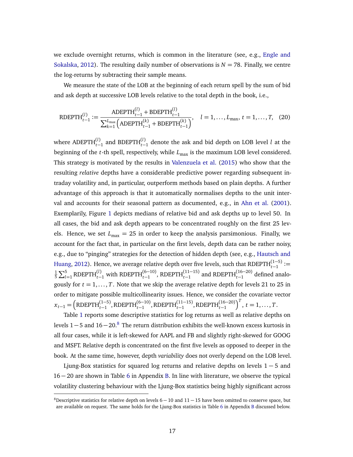we exclude overnight returns, which is common in the literature (see, e.g., [Engle and](#page-34-6) [Sokalska,](#page-34-6) [2012\)](#page-34-6). The resulting daily number of observations is  $N = 78$ . Finally, we centre the log-returns by subtracting their sample means.

We measure the state of the LOB at the beginning of each return spell by the sum of bid and ask depth at successive LOB levels relative to the total depth in the book, i.e.,

$$
RDEPTH_{t-1}^{(l)} := \frac{ADEPTH_{t-1}^{(l)} + BDEPTH_{t-1}^{(l)}}{\sum_{k=1}^{L_{\text{max}}} \left( ADEFH_{t-1}^{(k)} + BDEPTH_{t-1}^{(k)} \right)}, \quad l = 1, ..., L_{\text{max}}, \ t = 1, ..., T, \tag{20}
$$

where  $\mathrm{ADEFH}_{t-1}^{(l)}$  and  $\mathrm{BDEFH}_{t-1}^{(l)}$  denote the ask and bid depth on LOB level  $l$  at the beginning of the *t*-th spell, respectively, while  $L_{\text{max}}$  is the maximum LOB level considered. This strategy is motivated by the results in [Valenzuela et al.](#page-37-1) [\(2015\)](#page-37-1) who show that the resulting *relative* depths have a considerable predictive power regarding subsequent intraday volatility and, in particular, outperform methods based on plain depths. A further advantage of this approach is that it automatically normalises depths to the unit interval and accounts for their seasonal pattern as documented, e.g., in [Ahn et al.](#page-33-0) [\(2001\)](#page-33-0). Exemplarily, Figure [1](#page-18-0) depicts medians of relative bid and ask depths up to level 50. In all cases, the bid and ask depth appears to be concentrated roughly on the first 25 levels. Hence, we set  $L_{\text{max}} = 25$  in order to keep the analysis parsimonious. Finally, we account for the fact that, in particular on the first levels, depth data can be rather noisy, e.g., due to "pinging" strategies for the detection of hidden depth (see, e.g., [Hautsch and](#page-35-9) [Huang,](#page-35-9) [2012\)](#page-35-9). Hence, we average relative depth over five levels, such that RDEPTH $_{t-1}^{(1-5)}$  := 1  $\frac{1}{5}$   $\sum_{l=1}^{5}$  RDEPTH $_{t-1}^{(l)}$  with RDEPTH $_{t-1}^{(6-10)}$ , RDEPTH $_{t-1}^{(11-15)}$  and RDEPTH $_{t-1}^{(16-20)}$  defined analogously for  $t = 1, \ldots, T$ . Note that we skip the average relative depth for levels 21 to 25 in order to mitigate possible multicollinearity issues. Hence, we consider the covariate vector  $x_{t-1} = \left(\text{RDEPTH}_{t-1}^{(1-5)}, \text{RDEPTH}_{t-1}^{(6-10)}, \text{RDEPTH}_{t-1}^{(11-15)}, \text{RDEPTH}_{t-1}^{(16-20)}\right)^T, t = 1, \ldots, T.$ 

Table [1](#page-19-0) reports some descriptive statistics for log returns as well as relative depths on levels  $1 - 5$  and  $16 - 20.8$  $16 - 20.8$  The return distribution exhibits the well-known excess kurtosis in all four cases, while it is left-skewed for AAPL and FB and slightly right-skewed for GOOG and MSFT. Relative depth is concentrated on the first five levels as opposed to deeper in the book. At the same time, however, depth *variability* does not overly depend on the LOB level.

Ljung-Box statistics for squared log returns and relative depths on levels  $1 - 5$  and 16 − 20 are shown in Table [6](#page-59-0) in Appendix [B.](#page-59-1) In line with literature, we observe the typical volatility clustering behaviour with the Ljung-Box statistics being highly significant across

<sup>8</sup>Descriptive statistics for relative depth on levels  $6 - 10$  and  $11 - 15$  have been omitted to conserve space, but are available on request. The same holds for the Ljung-Box statistics in Table [6](#page-59-0) in Appendix [B](#page-59-1) discussed below.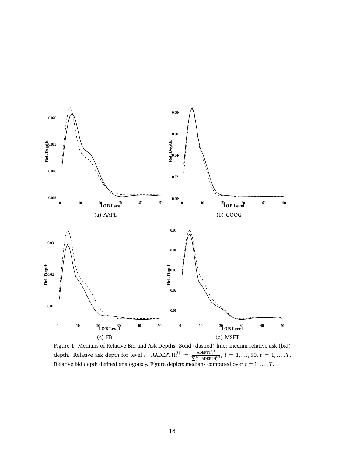<span id="page-18-0"></span>

Figure 1: Medians of Relative Bid and Ask Depths. Solid (dashed) line: median relative ask (bid) depth. Relative ask depth for level *l*: RADEPTH<sup>(*l*)</sup> :=  $\frac{\text{ADEPTH}_{t}^{(l)}}{\sum_{k=1}^{50} \text{ADEPTH}_{t}^{(k)}}$ ,  $l = 1, ..., 50$ ,  $t = 1, ..., T$ . Relative bid depth defined analogously. Figure depicts medians computed over *t* = 1, . . . , *T*.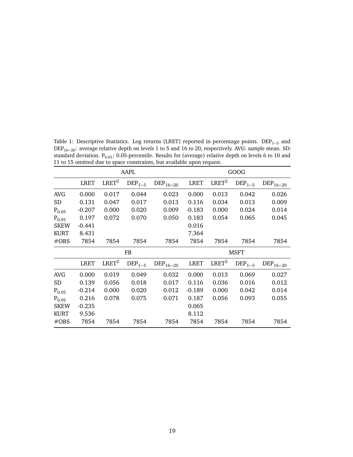<span id="page-19-0"></span>Table 1: Descriptive Statistics. Log returns (LRET) reported in percentage points.  $DEP_{1-5}$  and DEP<sub>16−20</sub>: average relative depth on levels 1 to 5 and 16 to 20, respectively. AVG: sample mean. SD: standard deviation.  $P_{0.05}$ : 0.05-percentile. Results for (average) relative depth on levels 6 to 10 and 11 to 15 omitted due to space constraints, but available upon request.

|             |             |                   | AAPL               |                    | GOOG        |                   |                    |                      |
|-------------|-------------|-------------------|--------------------|--------------------|-------------|-------------------|--------------------|----------------------|
|             | <b>LRET</b> | LRET <sup>2</sup> | $\text{DEP}_{1-5}$ | $\rm{DEP_{16-20}}$ | <b>LRET</b> | LRET <sup>2</sup> | $\text{DEP}_{1-5}$ | $\text{DEP}_{16-20}$ |
| <b>AVG</b>  | 0.000       | 0.017             | 0.044              | 0.023              | 0.000       | 0.013             | 0.042              | 0.026                |
| <b>SD</b>   | 0.131       | 0.047             | 0.017              | 0.013              | 0.116       | 0.034             | 0.013              | 0.009                |
| $P_{0.05}$  | $-0.207$    | 0.000             | 0.020              | 0.009              | $-0.183$    | 0.000             | 0.024              | 0.014                |
| $P_{0.95}$  | 0.197       | 0.072             | 0.070              | 0.050              | 0.183       | 0.054             | 0.065              | 0.045                |
| <b>SKEW</b> | $-0.441$    |                   |                    |                    | 0.016       |                   |                    |                      |
| <b>KURT</b> | 8.431       |                   |                    |                    | 7.364       |                   |                    |                      |
| #OBS        | 7854        | 7854              | 7854               | 7854               | 7854        | 7854              | 7854               | 7854                 |
|             | FB          |                   |                    |                    | MSFT        |                   |                    |                      |
|             | <b>LRET</b> | LRET <sup>2</sup> | $\text{DEP}_{1-5}$ | $\rm{DEP_{16-20}}$ | <b>LRET</b> | LRET <sup>2</sup> | $\text{DEP}_{1-5}$ | $\text{DEP}_{16-20}$ |
| <b>AVG</b>  | 0.000       | 0.019             | 0.049              | 0.032              | 0.000       | 0.013             | 0.069              | 0.027                |
| <b>SD</b>   | 0.139       | 0.056             | 0.018              | 0.017              | 0.116       | 0.036             | 0.016              | 0.012                |
| $P_{0.05}$  | $-0.214$    | 0.000             | 0.020              | 0.012              | $-0.189$    | 0.000             | 0.042              | 0.014                |
| $P_{0.95}$  | 0.216       | 0.078             | 0.075              | 0.071              | 0.187       | 0.056             | 0.093              | 0.055                |
| <b>SKEW</b> | $-0.235$    |                   |                    |                    | 0.065       |                   |                    |                      |
| <b>KURT</b> | 9.536       |                   |                    |                    | 8.112       |                   |                    |                      |
| #OBS        | 7854        | 7854              | 7854               | 7854               | 7854        | 7854              | 7854               | 7854                 |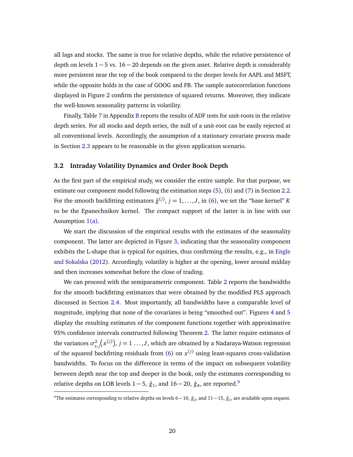all lags and stocks. The same is true for relative depths, while the relative persistence of depth on levels  $1 - 5$  vs.  $16 - 20$  depends on the given asset. Relative depth is considerably more persistent near the top of the book compared to the deeper levels for AAPL and MSFT, while the opposite holds in the case of GOOG and FB. The sample autocorrelation functions displayed in Figure [2](#page-21-0) confirm the persistence of squared returns. Moreover, they indicate the well-known seasonality patterns in volatility.

Finally, Table [7](#page-59-2) in Appendix [B](#page-59-1) reports the results of ADF tests for unit-roots in the relative depth series. For all stocks and depth series, the null of a unit-root can be easily rejected at all conventional levels. Accordingly, the assumption of a stationary covariate process made in Section [2.3](#page-9-0) appears to be reasonable in the given application scenario.

### **3.2 Intraday Volatility Dynamics and Order Book Depth**

As the first part of the empirical study, we consider the entire sample. For that purpose, we estimate our component model following the estimation steps [\(5\)](#page-6-0), [\(6\)](#page-7-0) and [\(7\)](#page-7-2) in Section [2.2.](#page-6-1) For the smooth backfitting estimators  $\hat{g}^{(j)},\,j=1,\ldots,J,$  in [\(6\)](#page-7-0), we set the "base kernel"  $K$ to be the Epanechnikov kernel. The compact support of the latter is in line with our Assumption [1](#page-9-1)[\(a\).](#page-9-3)

We start the discussion of the empirical results with the estimates of the seasonality component. The latter are depicted in Figure [3,](#page-22-0) indicating that the seasonality component exhibits the L-shape that is typical for equities, thus confirming the results, e.g., in [Engle](#page-34-6) [and Sokalska](#page-34-6) [\(2012\)](#page-34-6). Accordingly, volatility is higher at the opening, lower around midday and then increases somewhat before the close of trading.

We can proceed with the semiparametric component. Table [2](#page-23-0) reports the bandwidths for the smooth backfitting estimators that were obtained by the modified PLS approach discussed in Section [2.4.](#page-14-0) Most importantly, all bandwidths have a comparable level of magnitude, implying that none of the covariates is being "smoothed out". Figures [4](#page-24-0) and [5](#page-25-0) display the resulting estimates of the component functions together with approximative 95% confidence intervals constructed following Theorem [2.](#page-12-0) The latter require estimates of the variances  $\sigma^2_{z,j}\big(x^{(j)}\big),\,j=1\,\dots,J,$  which are obtained by a Nadaraya-Watson regression of the squared backfitting residuals from [\(6\)](#page-7-0) on *x* (*j*) using least-squares cross-validation bandwidths. To focus on the difference in terms of the impact on subsequent volatility between depth near the top and deeper in the book, only the estimates corresponding to relative depths on LOB levels  $1\!-\!5, \hat{g}_1^{},$  and  $16\!-\!20, \hat{g}_4^{},$  are reported. $^9$  $^9$ 

 $^9$ The estimates corresponding to relative depths on levels 6—10,  $\hat{g}_2$ , and 11—15,  $\hat{g}_3$ , are available upon request.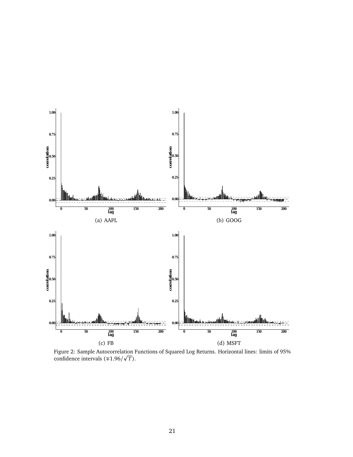<span id="page-21-0"></span>

Figure 2: Sample Autocorrelation Functions of Squared Log Returns. Horizontal lines: limits of 95% p confidence intervals (∓1.96*/ T*).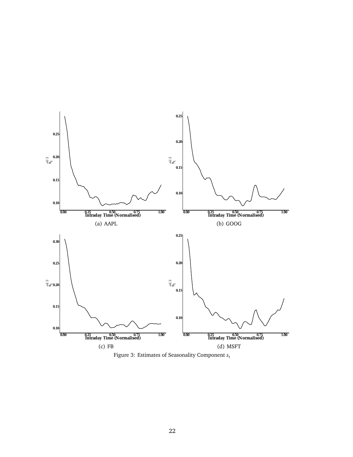<span id="page-22-0"></span>

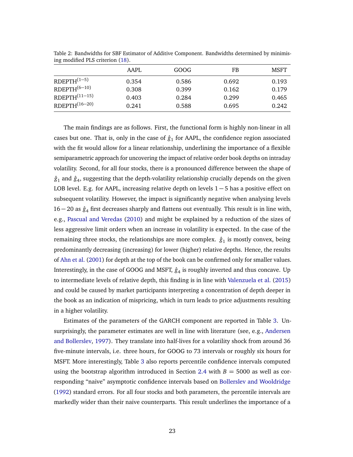|                  | AAPL. | GOOG  | FB    | <b>MSFT</b> |
|------------------|-------|-------|-------|-------------|
| $RDEPTH^{(1-5)}$ | 0.354 | 0.586 | 0.692 | 0.193       |
| $RDEPTH(6-10)$   | 0.308 | 0.399 | 0.162 | 0.179       |
| $RDEPTH(11-15)$  | 0.403 | 0.284 | 0.299 | 0.465       |
| $RDEPTH(16-20)$  | 0.241 | 0.588 | 0.695 | 0.242       |

<span id="page-23-0"></span>Table 2: Bandwidths for SBF Estimator of Additive Component. Bandwidths determined by minimising modified PLS criterion [\(18\)](#page-14-1).

The main findings are as follows. First, the functional form is highly non-linear in all cases but one. That is, only in the case of  $\hat{g}_1$  for AAPL, the confidence region associated with the fit would allow for a linear relationship, underlining the importance of a flexible semiparametric approach for uncovering the impact of relative order book depths on intraday volatility. Second, for all four stocks, there is a pronounced difference between the shape of  $\hat{\mathrm{g}}_{1}$  and  $\hat{\mathrm{g}}_{4}$ , suggesting that the depth-volatility relationship crucially depends on the given LOB level. E.g. for AAPL, increasing relative depth on levels  $1 - 5$  has a positive effect on subsequent volatility. However, the impact is significantly negative when analysing levels 16 − 20 as *g*ˆ<sup>4</sup> first decreases sharply and flattens out eventually. This result is in line with, e.g., [Pascual and Veredas](#page-37-0) [\(2010\)](#page-37-0) and might be explained by a reduction of the sizes of less aggressive limit orders when an increase in volatility is expected. In the case of the remaining three stocks, the relationships are more complex.  $\hat{g}_1$  is mostly convex, being predominantly decreasing (increasing) for lower (higher) relative depths. Hence, the results of [Ahn et al.](#page-33-0) [\(2001\)](#page-33-0) for depth at the top of the book can be confirmed only for smaller values. Interestingly, in the case of GOOG and MSFT,  $\hat{g}_4$  is roughly inverted and thus concave. Up to intermediate levels of relative depth, this finding is in line with [Valenzuela et al.](#page-37-1) [\(2015\)](#page-37-1) and could be caused by market participants interpreting a concentration of depth deeper in the book as an indication of mispricing, which in turn leads to price adjustments resulting in a higher volatility.

Estimates of the parameters of the GARCH component are reported in Table [3.](#page-26-0) Unsurprisingly, the parameter estimates are well in line with literature (see, e.g., [Andersen](#page-33-2) [and Bollerslev,](#page-33-2) [1997\)](#page-33-2). They translate into half-lives for a volatility shock from around 36 five-minute intervals, i.e. three hours, for GOOG to 73 intervals or roughly six hours for MSFT. More interestingly, Table [3](#page-26-0) also reports percentile confidence intervals computed using the bootstrap algorithm introduced in Section [2.4](#page-14-0) with  $B = 5000$  as well as corresponding "naive" asymptotic confidence intervals based on [Bollerslev and Wooldridge](#page-33-6) [\(1992\)](#page-33-6) standard errors. For all four stocks and both parameters, the percentile intervals are markedly wider than their naive counterparts. This result underlines the importance of a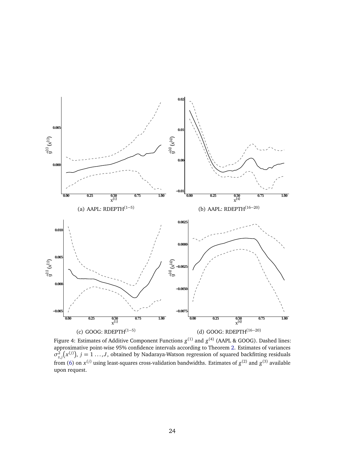<span id="page-24-0"></span>

Figure 4: Estimates of Additive Component Functions  $g^{(1)}$  and  $g^{(4)}$  (AAPL & GOOG). Dashed lines: approximative point-wise 95% confidence intervals according to Theorem [2.](#page-12-0) Estimates of variances  $\sigma_{z,j}^2\big(x^{(j)}\big),\,j=1\,\ldots,J,$  obtained by Nadaraya-Watson regression of squared backfitting residuals from [\(6\)](#page-7-0) on  $x^{(j)}$  using least-squares cross-validation bandwidths. Estimates of  $g^{(2)}$  and  $g^{(3)}$  available upon request.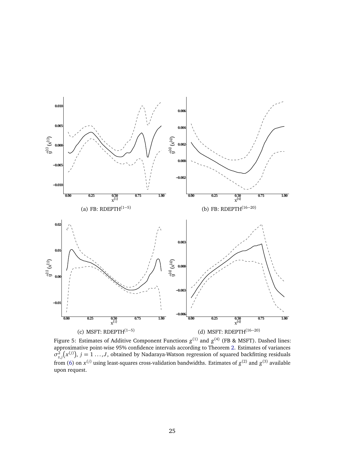<span id="page-25-0"></span>

Figure 5: Estimates of Additive Component Functions  $g^{(1)}$  and  $g^{(4)}$  (FB & MSFT). Dashed lines: approximative point-wise 95% confidence intervals according to Theorem [2.](#page-12-0) Estimates of variances  $\sigma_{z,j}^2\big(x^{(j)}\big),\,j=1\,\ldots,J,$  obtained by Nadaraya-Watson regression of squared backfitting residuals from [\(6\)](#page-7-0) on  $x^{(j)}$  using least-squares cross-validation bandwidths. Estimates of  $g^{(2)}$  and  $g^{(3)}$  available upon request.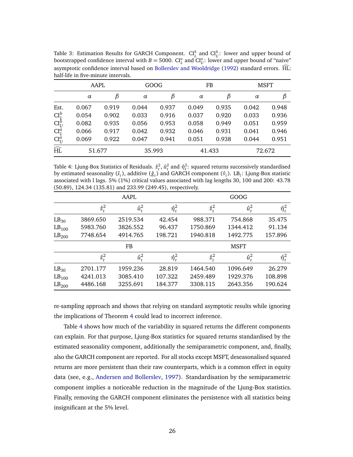<span id="page-26-0"></span>Table 3: Estimation Results for GARCH Component.  $\mathbf{Cl}_L^b$  and  $\mathbf{Cl}_U^b$ : lower and upper bound of bootstrapped confidence interval with  $B = 5000$ . CI<sup>a</sup><sub>L</sub> and CI<sup>a</sup><sub>L</sub>: lower and upper bound of "naive" asymptotic confidence interval based on [Bollerslev and Wooldridge](#page-33-6) [\(1992\)](#page-33-6) standard errors. HL: half-life in five-minute intervals.

|                                      |          | AAPL   |          | GOOG   |          | FB      | <b>MSFT</b> |        |
|--------------------------------------|----------|--------|----------|--------|----------|---------|-------------|--------|
|                                      | $\alpha$ | β      | $\alpha$ | β      | $\alpha$ | $\beta$ | $\alpha$    | β      |
| Est.                                 | 0.067    | 0.919  | 0.044    | 0.937  | 0.049    | 0.935   | 0.042       | 0.948  |
| $\operatorname{CI}^b_U$              | 0.054    | 0.902  | 0.033    | 0.916  | 0.037    | 0.920   | 0.033       | 0.936  |
|                                      | 0.082    | 0.935  | 0.056    | 0.953  | 0.058    | 0.949   | 0.051       | 0.959  |
| $CI_L^a$                             | 0.066    | 0.917  | 0.042    | 0.932  | 0.046    | 0.931   | 0.041       | 0.946  |
| $\operatorname{CI}^{\overline{a}}_U$ | 0.069    | 0.922  | 0.047    | 0.941  | 0.051    | 0.938   | 0.044       | 0.951  |
| $\overline{\widehat{HL}}$            |          | 51.677 |          | 35.993 |          | 41.433  |             | 72.672 |

<span id="page-26-1"></span>Table 4: Ljung-Box Statistics of Residuals.  $\hat{z}_t^2$ ,  $\hat{u}_t^2$  and  $\hat{\eta}_t^2$ : squared returns successively standardised by estimated seasonality  $(\hat{s}_t)$ , additive  $(\hat{g}_t)$  and GARCH component  $(\hat{v}_t)$ . LB<sub>l</sub>: Ljung-Box statistic associated with l lags. 5% (1%) critical values associated with lag lengths 30, 100 and 200: 43.78 (50.89), 124.34 (135.81) and 233.99 (249.45), respectively.

|            |               | AAPL          |                  | GOOG          |               |                  |  |
|------------|---------------|---------------|------------------|---------------|---------------|------------------|--|
|            | $\hat{z}_t^2$ | $\hat{u}_t^2$ | $\hat{\eta}_t^2$ | $\hat{z}_t^2$ | $\hat{u}_t^2$ | $\hat{\eta}_t^2$ |  |
| $LB_{30}$  | 3869.650      | 2519.534      | 42.454           | 988.371       | 754.868       | 35.475           |  |
| $LB_{100}$ | 5983.760      | 3826.552      | 96.437           | 1750.869      | 1344.412      | 91.134           |  |
| $LB_{200}$ | 7748.654      | 4914.765      | 198.721          | 1940.818      | 1492.775      | 157.896          |  |
|            |               | FB            |                  |               | <b>MSFT</b>   |                  |  |
|            | $\hat{z}_t^2$ | $\hat{u}_t^2$ | $\hat{\eta}^2_t$ | $\hat{z}_t^2$ | $\hat{u}_t^2$ | $\hat{\eta}_t^2$ |  |
| $LB_{30}$  | 2701.177      | 1959.236      | 28.819           | 1464.540      | 1096.649      | 26.279           |  |
| $LB_{100}$ | 4241.013      | 3085.410      | 107.322          | 2459.489      | 1929.376      | 108.898          |  |
| $LB_{200}$ | 4486.168      | 3255.691      | 184.377          | 3308.115      | 2643.356      | 190.624          |  |

re-sampling approach and shows that relying on standard asymptotic results while ignoring the implications of Theorem [4](#page-13-0) could lead to incorrect inference.

Table [4](#page-26-1) shows how much of the variability in squared returns the different components can explain. For that purpose, Ljung-Box statistics for squared returns standardised by the estimated seasonality component, additionally the semiparametric component, and, finally, also the GARCH component are reported. For all stocks except MSFT, deseasonalised squared returns are more persistent than their raw counterparts, which is a common effect in equity data (see, e.g., [Andersen and Bollerslev,](#page-33-2) [1997\)](#page-33-2). Standardisation by the semiparametric component implies a noticeable reduction in the magnitude of the Ljung-Box statistics. Finally, removing the GARCH component eliminates the persistence with all statistics being insignificant at the 5% level.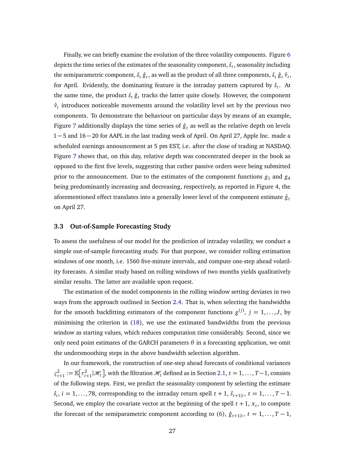Finally, we can briefly examine the evolution of the three volatility components. Figure [6](#page-28-0) depicts the time series of the estimates of the seasonality component,  $\hat{s}_t$ , seasonality including the semiparametric component,  $\hat{s}_t \, \hat{g}_t$ , as well as the product of all three components,  $\hat{s}_t \, \hat{g}_t \, \hat{v}_t$ , for April. Evidently, the dominating feature is the intraday pattern captured by  $\hat{s}_t$ . At the same time, the product  $\hat{s}_t \, \hat{g}_t$  tracks the latter quite closely. However, the component  $\hat{v}_t$  introduces noticeable movements around the volatility level set by the previous two components. To demonstrate the behaviour on particular days by means of an example, Figure [7](#page-29-0) additionally displays the time series of  $\hat{g}_t$  as well as the relative depth on levels 1 − 5 and 16 − 20 for AAPL in the last trading week of April. On April 27, Apple Inc. made a scheduled earnings announcement at 5 pm EST, i.e. after the close of trading at NASDAQ. Figure [7](#page-29-0) shows that, on this day, relative depth was concentrated deeper in the book as opposed to the first five levels, suggesting that rather passive orders were being submitted prior to the announcement. Due to the estimates of the component functions  $g_1$  and  $g_4$ being predominantly increasing and decreasing, respectively, as reported in Figure [4,](#page-24-0) the aforementioned effect translates into a generally lower level of the component estimate  $\hat{g}_t$ on April 27.

#### **3.3 Out-of-Sample Forecasting Study**

To assess the usefulness of our model for the prediction of intraday volatility, we conduct a simple out-of-sample forecasting study. For that purpose, we consider rolling estimation windows of one month, i.e. 1560 five-minute intervals, and compute one-step ahead volatility forecasts. A similar study based on rolling windows of two months yields qualitatively similar results. The latter are available upon request.

The estimation of the model components in the rolling window setting deviates in two ways from the approach outlined in Section [2.4.](#page-14-0) That is, when selecting the bandwidths for the smooth backfitting estimators of the component functions  $g^{(j)}$ ,  $j = 1, \ldots, J$ , by minimising the criterion in [\(18\)](#page-14-1), we use the estimated bandwidths from the previous window as starting values, which reduces computation time considerably. Second, since we only need point estimates of the GARCH parameters  $\theta$  in a forecasting application, we omit the undersmoothing steps in the above bandwidth selection algorithm.

In our framework, the construction of one-step ahead forecasts of conditional variances  $\zeta_{t+1}^2 := \mathbb{E}\big[r_{t+1}^2|\mathcal{H}_t\big]$ , with the filtration  $\mathcal{H}_t$  defined as in Section [2.1,](#page-5-3)  $t = 1, ..., T-1$ , consists of the following steps. First, we predict the seasonality component by selecting the estimate  $\hat{s}_i$ ,  $i = 1, \ldots, 78$ , corresponding to the intraday return spell  $t + 1$ ,  $\hat{s}_{t+1|t}$ ,  $t = 1, \ldots, T - 1$ . Second, we employ the covariate vector at the beginning of the spell  $t + 1$ ,  $x_t$ , to compute the forecast of the semiparametric component according to [\(6\)](#page-7-0),  $\hat{g}_{t+1|t}$ ,  $t = 1,..., T-1$ ,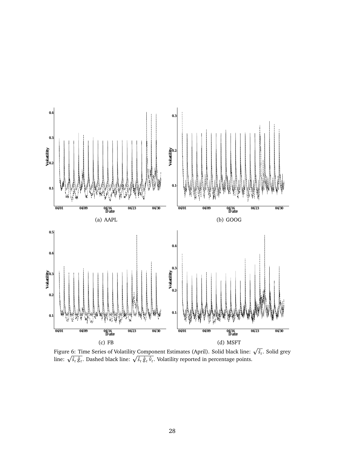<span id="page-28-0"></span>

Figure 6: Time Series of Volatility Component Estimates (April). Solid black line:  $\sqrt{\hat{s}_t}.$  Solid grey line:  $\sqrt{\hat{s}_t \hat{g}_t}$ . Dashed black line:  $\sqrt{\hat{s}_t \hat{g}_t \hat{v}_t}$ . Volatility reported in percentage points.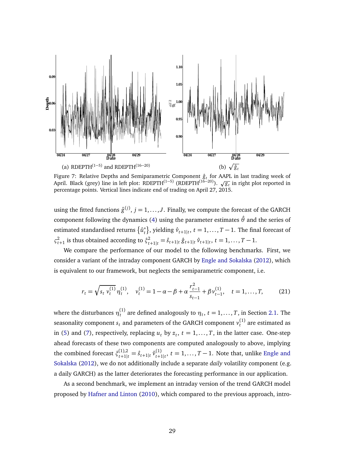<span id="page-29-0"></span>

Figure 7: Relative Depths and Semiparametric Component  $\hat{g}_t$  for AAPL in last trading week of April. Black (grey) line in left plot: RDEPTH(1−5) (RDEPTH(16−20) ). <sup>p</sup>*g<sup>t</sup>* in right plot reported in percentage points. Vertical lines indicate end of trading on April 27, 2015.

using the fitted functions  $\hat{g}^{(j)}$ ,  $j = 1, ..., J$ . Finally, we compute the forecast of the GARCH component following the dynamics [\(4\)](#page-5-1) using the parameter estimates  $\hat{\theta}$  and the series of estimated standardised returns  $\{\hat{u}_t^*\}$  $\hat{v}_t$ , yielding  $\hat{v}_{t+1|t}$ ,  $t = 1, \ldots, T-1$ . The final forecast of  $\zeta_{t+1}^2$  is thus obtained according to  $\hat{\zeta}_{t+1|t}^2 = \hat{s}_{t+1|t} \hat{g}_{t+1|t} \hat{v}_{t+1|t}$ ,  $t = 1, ..., T-1$ .

We compare the performance of our model to the following benchmarks. First, we consider a variant of the intraday component GARCH by [Engle and Sokalska](#page-34-6) [\(2012\)](#page-34-6), which is equivalent to our framework, but neglects the semiparametric component, i.e.

<span id="page-29-1"></span>
$$
r_t = \sqrt{s_t \ v_t^{(1)}} \eta_t^{(1)}, \quad v_t^{(1)} = 1 - \alpha - \beta + \alpha \frac{r_{t-1}^2}{s_{t-1}} + \beta v_{t-1}^{(1)}, \quad t = 1, \dots, T,
$$
 (21)

where the disturbances  $\eta_t^{(1)}$  are defined analogously to  $\eta_t$ ,  $t=1,\ldots,T,$  in Section [2.1.](#page-5-3) The seasonality component  $s_t$  and parameters of the GARCH component  $v_t^{(1)}$  are estimated as in [\(5\)](#page-6-0) and [\(7\)](#page-7-2), respectively, replacing  $u_t$  by  $z_t$ ,  $t = 1, ..., T$ , in the latter case. One-step ahead forecasts of these two components are computed analogously to above, implying the combined forecast *ξ*<sup>(1),2</sup>  $\hat{v}_{t+1|t}^{(1),2} = \hat{s}_{t+1|t} \hat{v}_{t+1}^{(1)}$  $t_{t+1|t}^{(1)}$ ,  $t = 1, ..., T-1$ . Note that, unlike [Engle and](#page-34-6) [Sokalska](#page-34-6) [\(2012\)](#page-34-6), we do not additionally include a separate *daily* volatility component (e.g. a daily GARCH) as the latter deteriorates the forecasting performance in our application.

As a second benchmark, we implement an intraday version of the trend GARCH model proposed by [Hafner and Linton](#page-35-0) [\(2010\)](#page-35-0), which compared to the previous approach, intro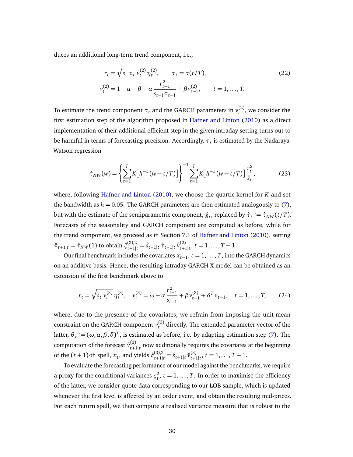duces an additional long-term trend component, i.e.,

<span id="page-30-0"></span>
$$
r_t = \sqrt{s_t \tau_t v_t^{(2)}} \eta_t^{(2)}, \qquad \tau_t = \tau(t/T),
$$
  
\n
$$
v_t^{(2)} = 1 - \alpha - \beta + \alpha \frac{r_{t-1}^2}{s_{t-1} \tau_{t-1}} + \beta v_{t-1}^{(2)}, \qquad t = 1, ..., T.
$$
\n(22)

To estimate the trend component  $\tau_t$  and the GARCH parameters in  $v_t^{(2)}$ , we consider the first estimation step of the algorithm proposed in [Hafner and Linton](#page-35-0) [\(2010\)](#page-35-0) as a direct implementation of their additional efficient step in the given intraday setting turns out to be harmful in terms of forecasting precision. Accordingly, *τ<sup>t</sup>* is estimated by the Nadaraya-Watson regression

$$
\hat{\tau}_{NW}(w) = \left\{ \sum_{t=1}^{T} K\big[h^{-1}(w - t/T)\big] \right\}^{-1} \sum_{t=1}^{T} K\big[h^{-1}(w - t/T)\big] \frac{r_t^2}{\hat{s}_t},\tag{23}
$$

where, following [Hafner and Linton](#page-35-0) [\(2010\)](#page-35-0), we choose the quartic kernel for *K* and set the bandwidth as  $h = 0.05$ . The GARCH parameters are then estimated analogously to [\(7\)](#page-7-2), but with the estimate of the semiparametric component,  $\hat{g}_t$ , replaced by  $\hat{\tau}_t := \hat{\tau}_{NW}(t/T)$ . Forecasts of the seasonality and GARCH component are computed as before, while for the trend component, we proceed as in Section 7.1 of [Hafner and Linton](#page-35-0) [\(2010\)](#page-35-0), setting  $\hat{\tau}_{t+1|t} = \hat{\tau}_{NW}(1)$  to obtain  $\hat{\zeta}_{t+1|t}^{(2),2}$  $\hat{t}_{t+1|t}^{(2),2} = \hat{s}_{t+1|t} \hat{\tau}_{t+1|t} \hat{\nu}_{t+1}^{(2)}$  $\sum_{t+1|t}^{(2)}$ ,  $t = 1, \ldots, T-1$ .

Our final benchmark includes the covariates  $x_{t-1}$ ,  $t = 1, \ldots, T$ , into the GARCH dynamics on an additive basis. Hence, the resulting intraday GARCH-X model can be obtained as an extension of the first benchmark above to

<span id="page-30-1"></span>
$$
r_t = \sqrt{s_t \, v_t^{(3)}} \, \eta_t^{(3)}, \quad v_t^{(3)} = \omega + \alpha \, \frac{r_{t-1}^2}{s_{t-1}} + \beta \, v_{t-1}^{(3)} + \delta^T x_{t-1}, \quad t = 1, \dots, T, \tag{24}
$$

where, due to the presence of the covariates, we refrain from imposing the unit-mean constraint on the GARCH component  $v_t^{(3)}$  directly. The extended parameter vector of the latter,  $\theta_x := (\omega, \alpha, \beta, \delta)^T$ , is estimated as before, i.e. by adapting estimation step [\(7\)](#page-7-2). The computation of the forecast  $\hat{v}_{t+1}^{(3)}$  $t_{t+1|t}^{(3)}$  now additionally requires the covariates at the beginning of the  $(t + 1)$ -th spell,  $x_t$ , and yields  $\hat{\zeta}_{t+1}^{(3),2}$  $\hat{v}_{t+1|t}^{(3),2} = \hat{s}_{t+1|t} \hat{v}_{t+1}^{(3)}$  $\sum_{t+1|t}^{(3)}$ ,  $t = 1, \ldots, T-1$ .

To evaluate the forecasting performance of our model against the benchmarks, we require a proxy for the conditional variances  $\zeta_t^2$ ,  $t = 1, ..., T$ . In order to maximise the efficiency of the latter, we consider quote data corresponding to our LOB sample, which is updated whenever the first level is affected by an order event, and obtain the resulting mid-prices. For each return spell, we then compute a realised variance measure that is robust to the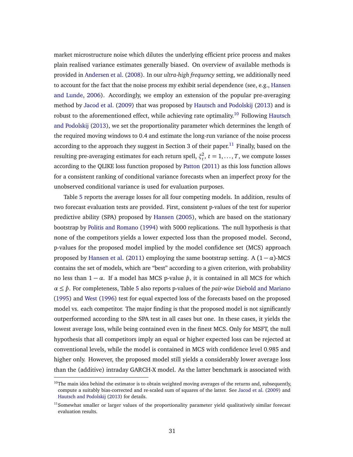market microstructure noise which dilutes the underlying efficient price process and makes plain realised variance estimates generally biased. On overview of available methods is provided in [Andersen et al.](#page-33-8) [\(2008\)](#page-33-8). In our *ultra-high frequency* setting, we additionally need to account for the fact that the noise process my exhibit serial dependence (see, e.g., [Hansen](#page-35-10) [and Lunde,](#page-35-10) [2006\)](#page-35-10). Accordingly, we employ an extension of the popular pre-averaging method by [Jacod et al.](#page-36-11) [\(2009\)](#page-36-11) that was proposed by [Hautsch and Podolskij](#page-35-11) [\(2013\)](#page-35-11) and is robust to the aforementioned effect, while achieving rate optimality.<sup>[10](#page-1-0)</sup> Following [Hautsch](#page-35-11) [and Podolskij](#page-35-11) [\(2013\)](#page-35-11), we set the proportionality parameter which determines the length of the required moving windows to 0.4 and estimate the long-run variance of the noise process according to the approach they suggest in Section 3 of their paper.<sup>[11](#page-1-0)</sup> Finally, based on the resulting pre-averaging estimates for each return spell,  $\tilde{\zeta}_t^2$ ,  $t = 1, \ldots, T$ , we compute losses according to the QLIKE loss function proposed by [Patton](#page-37-9) [\(2011\)](#page-37-9) as this loss function allows for a consistent ranking of conditional variance forecasts when an imperfect proxy for the unobserved conditional variance is used for evaluation purposes.

Table [5](#page-32-1) reports the average losses for all four competing models. In addition, results of two forecast evaluation tests are provided. First, consistent p-values of the test for superior predictive ability (SPA) proposed by [Hansen](#page-35-12) [\(2005\)](#page-35-12), which are based on the stationary bootstrap by [Politis and Romano](#page-37-10) [\(1994\)](#page-37-10) with 5000 replications. The null hypothesis is that none of the competitors yields a lower expected loss than the proposed model. Second, p-values for the proposed model implied by the model confidence set (MCS) approach proposed by [Hansen et al.](#page-35-13) [\(2011\)](#page-35-13) employing the same bootstrap setting. A  $(1 - \alpha)$ -MCS contains the set of models, which are "best" according to a given criterion, with probability no less than  $1 - \alpha$ . If a model has MCS p-value  $\hat{p}$ , it is contained in all MCS for which *α* ≤  $\hat{p}$ . For completeness, Table [5](#page-32-1) also reports p-values of the *pair-wise* [Diebold and Mariano](#page-34-13) [\(1995\)](#page-34-13) and [West](#page-37-11) [\(1996\)](#page-37-11) test for equal expected loss of the forecasts based on the proposed model vs. each competitor. The major finding is that the proposed model is not significantly outperformed according to the SPA test in all cases but one. In these cases, it yields the lowest average loss, while being contained even in the finest MCS. Only for MSFT, the null hypothesis that all competitors imply an equal or higher expected loss can be rejected at conventional levels, while the model is contained in MCS with confidence level 0.985 and higher only. However, the proposed model still yields a considerably lower average loss than the (additive) intraday GARCH-X model. As the latter benchmark is associated with

 $10$ The main idea behind the estimator is to obtain weighted moving averages of the returns and, subsequently, compute a suitably bias-corrected and re-scaled sum of squares of the latter. See [Jacod et al.](#page-36-11) [\(2009\)](#page-36-11) and [Hautsch and Podolskij](#page-35-11) [\(2013\)](#page-35-11) for details.

 $11$ Somewhat smaller or larger values of the proportionality parameter yield qualitatively similar forecast evaluation results.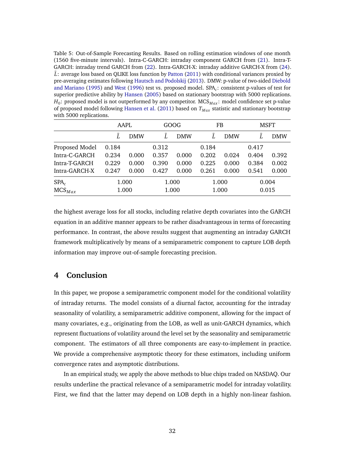<span id="page-32-1"></span>Table 5: Out-of-Sample Forecasting Results. Based on rolling estimation windows of one month (1560 five-minute intervals). Intra-C-GARCH: intraday component GARCH from [\(21\)](#page-29-1). Intra-T-GARCH: intraday trend GARCH from [\(22\)](#page-30-0). Intra-GARCH-X: intraday additive GARCH-X from [\(24\)](#page-30-1).  $\bar{L}$ : average loss based on OLIKE loss function by [Patton](#page-37-9) [\(2011\)](#page-37-9) with conditional variances proxied by pre-averaging estimates following [Hautsch and Podolskij](#page-35-11) [\(2013\)](#page-35-11). DMW: p-value of two-sided [Diebold](#page-34-13) [and Mariano](#page-34-13) [\(1995\)](#page-34-13) and [West](#page-37-11) [\(1996\)](#page-37-11) test vs. proposed model.  $\text{SPA}_c$ : consistent p-values of test for superior predictive ability by [Hansen](#page-35-12) [\(2005\)](#page-35-12) based on stationary bootstrap with 5000 replications.  $H_0$ : proposed model is not outperformed by any competitor. MCS $_{Max}$ : model confidence set p-value of proposed model following [Hansen et al.](#page-35-13) [\(2011\)](#page-35-13) based on  $T_{Max}$  statistic and stationary bootstrap with 5000 replications.

|                |       | AAPL       |       | GOOG       |       | FB         |       | MSFT       |
|----------------|-------|------------|-------|------------|-------|------------|-------|------------|
|                |       | <b>DMW</b> |       | <b>DMW</b> |       | <b>DMW</b> |       | <b>DMW</b> |
| Proposed Model | 0.184 |            | 0.312 |            | 0.184 |            | 0.417 |            |
| Intra-C-GARCH  | 0.234 | 0.000      | 0.357 | 0.000      | 0.202 | 0.024      | 0.404 | 0.392      |
| Intra-T-GARCH  | 0.229 | 0.000      | 0.390 | 0.000      | 0.225 | 0.000      | 0.384 | 0.002      |
| Intra-GARCH-X  | 0.247 | 0.000      | 0.427 | 0.000      | 0.261 | 0.000      | 0.541 | 0.000      |
| $SPA_c$        |       | 1.000      |       | 1.000      |       | 1.000      |       | 0.004      |
| $MCS_{Max}$    |       | 1.000      |       | 1.000      |       | 1.000      |       | 0.015      |

the highest average loss for all stocks, including relative depth covariates into the GARCH equation in an additive manner appears to be rather disadvantageous in terms of forecasting performance. In contrast, the above results suggest that augmenting an intraday GARCH framework multiplicatively by means of a semiparametric component to capture LOB depth information may improve out-of-sample forecasting precision.

### <span id="page-32-0"></span>**4 Conclusion**

In this paper, we propose a semiparametric component model for the conditional volatility of intraday returns. The model consists of a diurnal factor, accounting for the intraday seasonality of volatility, a semiparametric additive component, allowing for the impact of many covariates, e.g., originating from the LOB, as well as unit-GARCH dynamics, which represent fluctuations of volatility around the level set by the seasonality and semiparametric component. The estimators of all three components are easy-to-implement in practice. We provide a comprehensive asymptotic theory for these estimators, including uniform convergence rates and asymptotic distributions.

In an empirical study, we apply the above methods to blue chips traded on NASDAQ. Our results underline the practical relevance of a semiparametric model for intraday volatility. First, we find that the latter may depend on LOB depth in a highly non-linear fashion.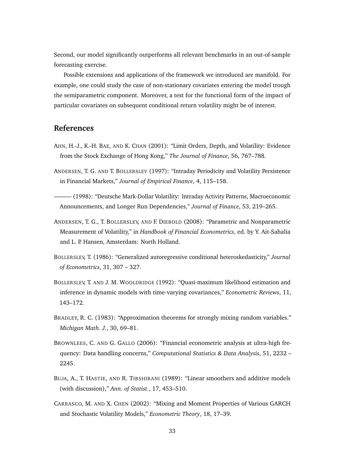Second, our model significantly outperforms all relevant benchmarks in an out-of-sample forecasting exercise.

Possible extensions and applications of the framework we introduced are manifold. For example, one could study the case of non-stationary covariates entering the model trough the semiparametric component. Moreover, a test for the functional form of the impact of particular covariates on subsequent conditional return volatility might be of interest.

### **References**

- <span id="page-33-0"></span>AHN, H.-J., K.-H. BAE, AND K. CHAN (2001): "Limit Orders, Depth, and Volatility: Evidence from the Stock Exchange of Hong Kong," *The Journal of Finance*, 56, 767–788.
- <span id="page-33-2"></span>ANDERSEN, T. G. AND T. BOLLERSLEV (1997): "Intraday Periodicity and Volatility Persistence in Financial Markets," *Journal of Empirical Finance*, 4, 115–158.
- <span id="page-33-3"></span>——— (1998): "Deutsche Mark-Dollar Volatility: Intraday Activity Patterns, Macroeconomic Announcements, and Longer Run Dependencies," *Journal of Finance*, 53, 219–265.
- <span id="page-33-8"></span>ANDERSEN, T. G., T. BOLLERSLEV, AND F. DIEBOLD (2008): "Parametric and Nonparametric Measurement of Volatility," in *Handbook of Financial Econometrics*, ed. by Y. Ait-Sahalia and L. P. Hansen, Amsterdam: North Holland.
- <span id="page-33-1"></span>BOLLERSLEV, T. (1986): "Generalized autoregressive conditional heteroskedasticity," *Journal of Econometrics*, 31, 307 – 327.
- <span id="page-33-6"></span>BOLLERSLEV, T. AND J. M. WOOLDRIDGE (1992): "Quasi-maximum likelihood estimation and inference in dynamic models with time-varying covariances," *Econometric Reviews*, 11, 143–172.
- <span id="page-33-9"></span>BRADLEY, R. C. (1983): "Approximation theorems for strongly mixing random variables." *Michigan Math. J.*, 30, 69–81.
- <span id="page-33-7"></span>BROWNLEES, C. AND G. GALLO (2006): "Financial econometric analysis at ultra-high frequency: Data handling concerns," *Computational Statistics & Data Analysis*, 51, 2232 – 2245.
- <span id="page-33-4"></span>BUJA, A., T. HASTIE, AND R. TIBSHIRANI (1989): "Linear smoothers and additive models (with discussion)," *Ann. of Statist.*, 17, 453–510.
- <span id="page-33-5"></span>CARRASCO, M. AND X. CHEN (2002): "Mixing and Moment Properties of Various GARCH and Stochastic Volatility Models," *Econometric Theory*, 18, 17–39.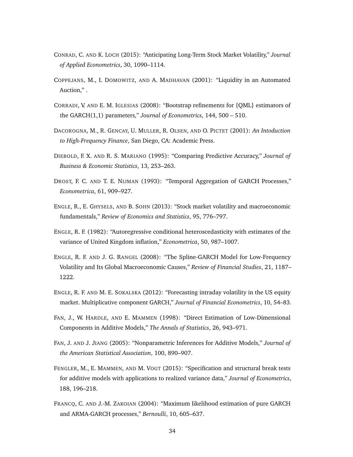- <span id="page-34-5"></span>CONRAD, C. AND K. LOCH (2015): "Anticipating Long-Term Stock Market Volatility," *Journal of Applied Econometrics*, 30, 1090–1114.
- <span id="page-34-0"></span>COPPEJANS, M., I. DOMOWITZ, AND A. MADHAVAN (2001): "Liquidity in an Automated Auction," .
- <span id="page-34-10"></span>CORRADI, V. AND E. M. IGLESIAS (2008): "Bootstrap refinements for {QML} estimators of the GARCH(1,1) parameters," *Journal of Econometrics*, 144, 500 – 510.
- <span id="page-34-12"></span>DACOROGNA, M., R. GENCAY, U. MULLER, R. OLSEN, AND O. PICTET (2001): *An Intoduction to High-Frequency Finance*, San Diego, CA: Academic Press.
- <span id="page-34-13"></span>DIEBOLD, F. X. AND R. S. MARIANO (1995): "Comparing Predictive Accuracy," *Journal of Business & Economic Statistics*, 13, 253–263.
- <span id="page-34-2"></span>DROST, F. C. AND T. E. NIJMAN (1993): "Temporal Aggregation of GARCH Processes," *Econometrica*, 61, 909–927.
- <span id="page-34-4"></span>ENGLE, R., E. GHYSELS, AND B. SOHN (2013): "Stock market volatility and macroeconomic fundamentals," *Review of Economics and Statistics*, 95, 776–797.
- <span id="page-34-1"></span>ENGLE, R. F. (1982): "Autoregressive conditional heteroscedasticity with estimates of the variance of United Kingdom inflation," *Econometrica*, 50, 987–1007.
- <span id="page-34-3"></span>ENGLE, R. F. AND J. G. RANGEL (2008): "The Spline-GARCH Model for Low-Frequency Volatility and Its Global Macroeconomic Causes," *Review of Financial Studies*, 21, 1187– 1222.
- <span id="page-34-6"></span>ENGLE, R. F. AND M. E. SOKALSKA (2012): "Forecasting intraday volatility in the US equity market. Multiplicative component GARCH," *Journal of Financial Econometrics*, 10, 54–83.
- <span id="page-34-8"></span>FAN, J., W. HARDLE, AND E. MAMMEN (1998): "Direct Estimation of Low-Dimensional Components in Additive Models," *The Annals of Statistics*, 26, 943–971.
- <span id="page-34-11"></span>FAN, J. AND J. JIANG (2005): "Nonparametric Inferences for Additive Models," *Journal of the American Statistical Association*, 100, 890–907.
- <span id="page-34-7"></span>FENGLER, M., E. MAMMEN, AND M. VOGT (2015): "Specification and structural break tests for additive models with applications to realized variance data," *Journal of Econometrics*, 188, 196–218.
- <span id="page-34-9"></span>FRANCQ, C. AND J.-M. ZAKOIAN (2004): "Maximum likelihood estimation of pure GARCH and ARMA-GARCH processes," *Bernoulli*, 10, 605–637.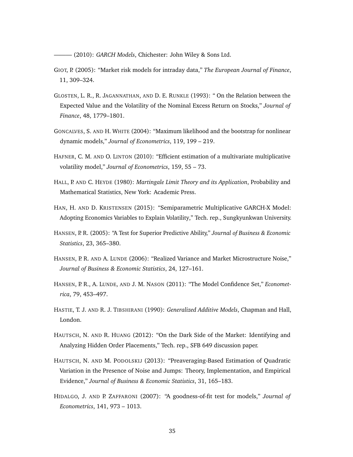<span id="page-35-5"></span>——— (2010): *GARCH Models*, Chichester: John Wiley & Sons Ltd.

- <span id="page-35-2"></span>GIOT, P. (2005): "Market risk models for intraday data," *The European Journal of Finance*, 11, 309–324.
- <span id="page-35-3"></span>GLOSTEN, L. R., R. JAGANNATHAN, AND D. E. RUNKLE (1993): " On the Relation between the Expected Value and the Volatility of the Nominal Excess Return on Stocks," *Journal of Finance*, 48, 1779–1801.
- <span id="page-35-7"></span>GONCALVES, S. AND H. WHITE (2004): "Maximum likelihood and the bootstrap for nonlinear dynamic models," *Journal of Econometrics*, 119, 199 – 219.
- <span id="page-35-0"></span>HAFNER, C. M. AND O. LINTON (2010): "Efficient estimation of a multivariate multiplicative volatility model," *Journal of Econometrics*, 159, 55 – 73.
- <span id="page-35-6"></span>HALL, P. AND C. HEYDE (1980): *Martingale Limit Theory and its Application*, Probability and Mathematical Statistics, New York: Academic Press.
- <span id="page-35-1"></span>HAN, H. AND D. KRISTENSEN (2015): "Semiparametric Multiplicative GARCH-X Model: Adopting Economics Variables to Explain Volatility," Tech. rep., Sungkyunkwan University.
- <span id="page-35-12"></span>HANSEN, P. R. (2005): "A Test for Superior Predictive Ability," *Journal of Business & Economic Statistics*, 23, 365–380.
- <span id="page-35-10"></span>HANSEN, P. R. AND A. LUNDE (2006): "Realized Variance and Market Microstructure Noise," *Journal of Business & Economic Statistics*, 24, 127–161.
- <span id="page-35-13"></span>HANSEN, P. R., A. LUNDE, AND J. M. NASON (2011): "The Model Confidence Set," *Econometrica*, 79, 453–497.
- <span id="page-35-4"></span>HASTIE, T. J. AND R. J. TIBSHIRANI (1990): *Generalized Additive Models*, Chapman and Hall, London.
- <span id="page-35-9"></span>HAUTSCH, N. AND R. HUANG (2012): "On the Dark Side of the Market: Identifying and Analyzing Hidden Order Placements," Tech. rep., SFB 649 discussion paper.
- <span id="page-35-11"></span>HAUTSCH, N. AND M. PODOLSKIJ (2013): "Preaveraging-Based Estimation of Quadratic Variation in the Presence of Noise and Jumps: Theory, Implementation, and Empirical Evidence," *Journal of Business & Economic Statistics*, 31, 165–183.
- <span id="page-35-8"></span>HIDALGO, J. AND P. ZAFFARONI (2007): "A goodness-of-fit test for models," *Journal of Econometrics*, 141, 973 – 1013.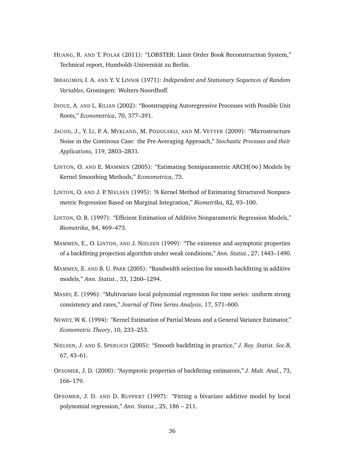- <span id="page-36-10"></span>HUANG, R. AND T. POLAK (2011): "LOBSTER: Limit Order Book Reconstruction System," Technical report, Humboldt-Universität zu Berlin.
- <span id="page-36-12"></span>IBRAGIMOV, I. A. AND Y. V. LINNIK (1971): *Independent and Stationary Sequences of Random Variables*, Groningen: Wolters-Noordhoff.
- <span id="page-36-9"></span>INOUE, A. AND L. KILIAN (2002): "Bootstrapping Autoregressive Processes with Possible Unit Roots," *Econometrica*, 70, 377–391.
- <span id="page-36-11"></span>JACOD, J., Y. LI, P. A. MYKLAND, M. PODOLSKIJ, AND M. VETTER (2009): "Microstructure Noise in the Continous Case: the Pre-Averaging Approach," *Stochastic Processes and their Applications*, 119, 2803–2831.
- <span id="page-36-0"></span>LINTON, O. AND E. MAMMEN (2005): "Estimating Semiparametric ARCH( $\infty$ ) Models by Kernel Smoothing Methods," *Econometrica*, 73.
- <span id="page-36-2"></span>LINTON, O. AND J. P. NIELSEN (1995): "A Kernel Method of Estimating Structured Nonparametric Regression Based on Marginal Integration," *Biometrika*, 82, 93–100.
- <span id="page-36-7"></span>LINTON, O. B. (1997): "Efficient Estimation of Additive Nonparametric Regression Models," *Biometrika*, 84, 469–473.
- <span id="page-36-1"></span>MAMMEN, E., O. LINTON, AND J. NIELSEN (1999): "The existence and asymptotic properties of a backfitting projection algorithm under weak conditions," *Ann. Statist.*, 27, 1443–1490.
- <span id="page-36-8"></span>MAMMEN, E. AND B. U. PARK (2005): "Bandwidth selection for smooth backfitting in additive models," *Ann. Statist.*, 33, 1260–1294.
- <span id="page-36-13"></span>MASRY, E. (1996): "Multivariate local polynomial regression for time series: uniform strong consistency and rates," *Journal of Time Series Analysis*, 17, 571–600.
- <span id="page-36-3"></span>NEWEY, W. K. (1994): "Kernel Estimation of Partial Means and a General Variance Estimator," *Econometric Theory*, 10, 233–253.
- <span id="page-36-6"></span>NIELSEN, J. AND S. SPERLICH (2005): "Smooth backfitting in practice," *J. Roy. Statist. Soc.B*, 67, 43–61.
- <span id="page-36-4"></span>OPSOMER, J. D. (2000): "Asymptotic properties of backfitting estimators," *J. Mult. Anal.*, 73, 166–179.
- <span id="page-36-5"></span>OPSOMER, J. D. AND D. RUPPERT (1997): "Fitting a bivariate additive model by local polynomial regression," *Ann. Statist.*, 25, 186 – 211.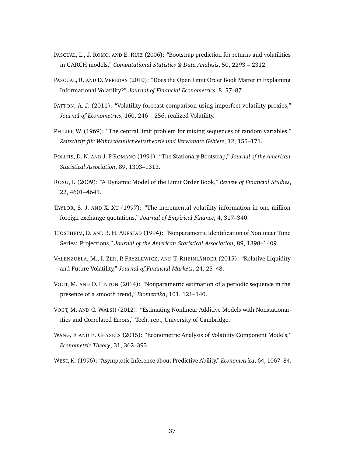- <span id="page-37-8"></span>PASCUAL, L., J. ROMO, AND E. RUIZ (2006): "Bootstrap prediction for returns and volatilities in GARCH models," *Computational Statistics & Data Analysis*, 50, 2293 – 2312.
- <span id="page-37-0"></span>PASCUAL, R. AND D. VEREDAS (2010): "Does the Open Limit Order Book Matter in Explaining Informational Volatility?" *Journal of Financial Econometrics*, 8, 57–87.
- <span id="page-37-9"></span>PATTON, A. J. (2011): "Volatility forecast comparison using imperfect volatility proxies," *Journal of Econometrics*, 160, 246 – 256, realized Volatility.
- <span id="page-37-12"></span>PHILIPP, W. (1969): "The central limit problem for mixing sequences of random variables," *Zeitschrift für Wahrscheinlichkeitstheorie und Verwandte Gebiete*, 12, 155–171.
- <span id="page-37-10"></span>POLITIS, D. N. AND J. P. ROMANO (1994): "The Stationary Bootstrap," *Journal of the American Statistical Association*, 89, 1303–1313.
- <span id="page-37-2"></span>ROSU, I. (2009): "A Dynamic Model of the Limit Order Book," *Review of Financial Studies*, 22, 4601–4641.
- <span id="page-37-4"></span>TAYLOR, S. J. AND X. XU (1997): "The incremental volatility information in one million foreign exchange quotations," *Journal of Empirical Finance*, 4, 317–340.
- <span id="page-37-7"></span>TJOSTHEIM, D. AND B. H. AUESTAD (1994): "Nonparametric Identification of Nonlinear Time Series: Projections," *Journal of the American Statistical Association*, 89, 1398–1409.
- <span id="page-37-1"></span>VALENZUELA, M., I. ZER, P. FRYZLEWICZ, AND T. RHEINLÄNDER (2015): "Relative Liquidity and Future Volatility," *Journal of Financial Markets*, 24, 25–48.
- <span id="page-37-6"></span>VOGT, M. AND O. LINTON (2014): "Nonparametric estimation of a periodic sequence in the presence of a smooth trend," *Biometrika*, 101, 121–140.
- <span id="page-37-5"></span>VOGT, M. AND C. WALSH (2012): "Estimating Nonlinear Additive Models with Nonstationarities and Correlated Errors," Tech. rep., University of Cambridge.
- <span id="page-37-3"></span>WANG, F. AND E. GHYSELS (2015): "Econometric Analysis of Volatility Component Models," *Econometric Theory*, 31, 362–393.
- <span id="page-37-11"></span>WEST, K. (1996): "Asymptotic Inference about Predictive Ability," *Econometrica*, 64, 1067–84.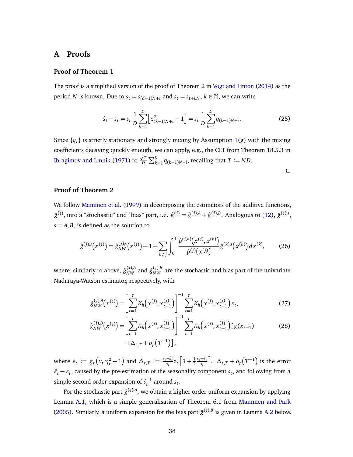### <span id="page-38-0"></span>**A Proofs**

#### **Proof of Theorem 1**

The proof is a simplified version of the proof of Theorem 2 in [Vogt and Linton](#page-37-6) [\(2014\)](#page-37-6) as the period *N* is known. Due to  $s_t = s_{(d-1)N+i}$  and  $s_t = s_{t+kN}$ ,  $k \in \mathbb{N}$ , we can write

$$
\hat{s}_t - s_t = s_t \frac{1}{D} \sum_{k=1}^{D} \left[ z_{(k-1)N+i}^2 - 1 \right] = s_t \frac{1}{D} \sum_{k=1}^{D} q_{(k-1)N+i}.
$$
 (25)

Since {*q<sup>t</sup>* } is strictly stationary and strongly mixing by Assumption [1\(](#page-9-1)g) with the mixing coefficients decaying quickly enough, we can apply, e.g., the CLT from Theorem 18.5.3 in p [Ibragimov and Linnik](#page-36-12) [\(1971\)](#page-36-12) to  $\frac{\sqrt{T}}{D}$  $\frac{d}{dt} \sum_{k=1}^{D} q_{(k-1)N+i}$ , recalling that  $T := ND$ .

<span id="page-38-3"></span><span id="page-38-2"></span><span id="page-38-1"></span> $\Box$ 

### **Proof of Theorem 2**

We follow [Mammen et al.](#page-36-1) [\(1999\)](#page-36-1) in decomposing the estimators of the additive functions,  $\hat{g}^{(j)}$ , into a "stochastic" and "bias" part, i.e.  $\hat{g}^{(j)} = \hat{g}^{(j),A} + \hat{g}^{(j),B}$ . Analogous to [\(12\)](#page-8-1),  $\hat{g}^{(j),s}$ ,  $s = A, B$ , is defined as the solution to

$$
\hat{g}^{(j),s}(x^{(j)}) = \hat{g}_{NW}^{(j),s}(x^{(j)}) - 1 - \sum_{k \neq j} \int_0^1 \frac{\hat{p}^{(j,k)}(x^{(j)}, x^{(k)})}{\hat{p}^{(j)}(x^{(j)})} \hat{g}^{(k),s}(x^{(k)}) dx^{(k)},
$$
(26)

where, similarly to above,  $\hat{g}_{NW}^{(j),A}$  and  $\hat{g}_{NW}^{(j),B}$  are the stochastic and bias part of the univariate Nadaraya-Watson estimator, respectively, with

$$
\hat{g}_{NW}^{(j),A}(x^{(j)}) = \left[\sum_{t=1}^{T} K_h(x^{(j)}, x_{t-1}^{(j)})\right]^{-1} \sum_{t=1}^{T} K_h(x^{(j)}, x_{t-1}^{(j)}) \varepsilon_t,\tag{27}
$$

$$
\hat{g}_{NW}^{(j),B}(x^{(j)}) = \left[\sum_{t=1}^{T} K_h(x^{(j)}, x_{t-1}^{(j)})\right]^{-1} \sum_{t=1}^{T} K_h(x^{(j)}, x_{t-1}^{(j)}) [g(x_{t-1}) + \Delta_{t,T} + o_p(T^{-1})],
$$
\n(28)

where  $\varepsilon_t := g_t \left( \nu_t \, \eta_t^2 - 1 \right)$  and  $\Delta_{t,T} := \frac{s_t - \hat{s}_t}{s_t}$  $\frac{-\hat{s}_t}{s_t}z_t\left[1+\frac{1}{2}\right]$  $rac{1}{2}$  $rac{s_t-\hat{s}_t}{s_t}$ *st*  $\left[ \therefore$  ∆<sub>*t*,*T*</sub> + *o*<sub>*p*</sub>(*T*<sup>-1</sup>) is the error  $\tilde{\varepsilon}_t - \varepsilon_t$ , caused by the pre-estimation of the seasonality component  $s_t$ , and following from a simple second order expansion of  $\hat{s}_t^{-1}$  around  $s_t$ .

For the stochastic part  $\hat{g}^{(j),A},$  we obtain a higher order uniform expansion by applying Lemma [A.1,](#page-39-0) which is a simple generalisation of Theorem 6.1 from [Mammen and Park](#page-36-8) [\(2005\)](#page-36-8). Similarly, a uniform expansion for the bias part  $\hat{g}^{(j),B}$  is given in Lemma [A.2](#page-39-1) below.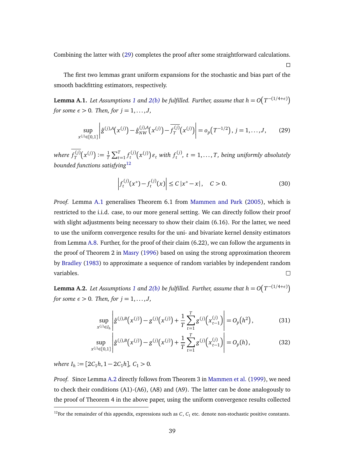Combining the latter with [\(29\)](#page-39-2) completes the proof after some straightforward calculations.

The first two lemmas grant uniform expansions for the stochastic and bias part of the smooth backfitting estimators, respectively.

<span id="page-39-0"></span>**Lemma A.[1](#page-9-1).** *Let Assumptions 1 and [2](#page-10-3)[\(b\)](#page-10-6) be fulfilled. Further, assume that*  $h = O\big(T^{-(1/4+\epsilon)}\big)$ *for some*  $\epsilon > 0$ *. Then, for*  $j = 1, \ldots, J$ ,

$$
\sup_{x^{(j)} \in [0,1]} \left| \hat{g}^{(j),A}(x^{(j)}) - \hat{g}_{NW}^{(j),A}(x^{(j)}) - \overline{f_T^{(j)}}(x^{(j)}) \right| = o_p(T^{-1/2}), j = 1,...,J,
$$
 (29)

where  $f^{(j)}_{\scriptscriptstyle T}$  $T^{(j)}(x^{(j)}) := \frac{1}{T}$  $\frac{1}{T}\sum_{t=1}^{T} f_t^{(j)}(x^{(j)}) \varepsilon_t$  with  $f_t^{(j)}$ ,  $t = 1, ..., T$ , being uniformly absolutely *bounded functions satisfying*[12](#page-1-0)

$$
\left| f_t^{(j)}(x^*) - f_t^{(j)}(x) \right| \le C |x^* - x|, \quad C > 0.
$$
 (30)

<span id="page-39-2"></span> $\Box$ 

*Proof.* Lemma [A.1](#page-39-0) generalises Theorem 6.1 from [Mammen and Park](#page-36-8) [\(2005\)](#page-36-8), which is restricted to the i.i.d. case, to our more general setting. We can directly follow their proof with slight adjustments being necessary to show their claim (6.16). For the latter, we need to use the uniform convergence results for the uni- and bivariate kernel density estimators from Lemma [A.8.](#page-54-0) Further, for the proof of their claim (6.22), we can follow the arguments in the proof of Theorem 2 in [Masry](#page-36-13) [\(1996\)](#page-36-13) based on using the strong approximation theorem by [Bradley](#page-33-9) [\(1983\)](#page-33-9) to approximate a sequence of random variables by independent random variables.  $\Box$ 

<span id="page-39-1"></span>**Lemma A.[2](#page-10-3).** *Let Assumptions [1](#page-9-1) and 2[\(b\)](#page-10-6) be fulfilled. Further, assume that*  $h = O\big(T^{-(1/4+\epsilon)}\big)$ *for some*  $\epsilon > 0$ *. Then, for*  $j = 1, \ldots, J$ *,* 

<span id="page-39-3"></span>
$$
\sup_{x^{(j)} \in I_h} \left| \hat{g}^{(j),B}(x^{(j)}) - g^{(j)}(x^{(j)}) + \frac{1}{T} \sum_{t=1}^T g^{(j)}(x_{t-1}^{(j)}) \right| = O_p(h^2), \tag{31}
$$

$$
\sup_{x^{(j)} \in [0,1]} \left| \hat{g}^{(j),B}(x^{(j)}) - g^{(j)}(x^{(j)}) + \frac{1}{T} \sum_{t=1}^{T} g^{(j)}(x_{t-1}^{(j)}) \right| = O_p(h), \tag{32}
$$

 $where I_h := [2C_1h, 1 - 2C_1h], C_1 > 0.$ 

*Proof.* Since Lemma [A.2](#page-39-1) directly follows from Theorem 3 in [Mammen et al.](#page-36-1) [\(1999\)](#page-36-1), we need to check their conditions (A1)-(A6), (A8) and (A9). The latter can be done analogously to the proof of Theorem 4 in the above paper, using the uniform convergence results collected

<sup>&</sup>lt;sup>12</sup>For the remainder of this appendix, expressions such as  $C$ ,  $C_1$  etc. denote non-stochastic positive constants.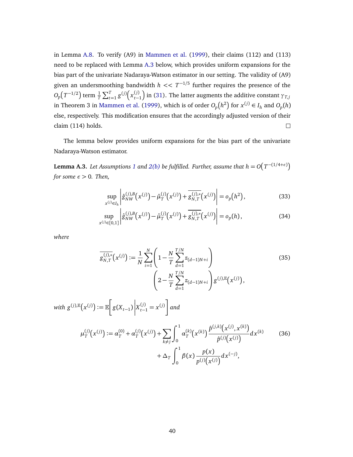in Lemma [A.8.](#page-54-0) To verify (A9) in [Mammen et al.](#page-36-1) [\(1999\)](#page-36-1), their claims (112) and (113) need to be replaced with Lemma [A.3](#page-40-0) below, which provides uniform expansions for the bias part of the univariate Nadaraya-Watson estimator in our setting. The validity of (A9) given an undersmoothing bandwidth  $h \ll T^{-1/5}$  further requires the presence of the  $O_p(T^{-1/2})$  term  $\frac{1}{T}\sum_{t=1}^T g^{(j)}\big(x_{t-1}^{(j)}\big)$  in [\(31\)](#page-39-3). The latter augments the additive constant  $\gamma_{T,j}$ in Theorem 3 in [Mammen et al.](#page-36-1) [\(1999\)](#page-36-1), which is of order  $O_p(h^2)$  for  $x^{(j)} \in I_h$  and  $O_p(h)$ else, respectively. This modification ensures that the accordingly adjusted version of their claim (114) holds.  $\Box$ 

The lemma below provides uniform expansions for the bias part of the univariate Nadaraya-Watson estimator.

<span id="page-40-0"></span>**Lemma A.3.** *Let Assumptions [1](#page-9-1) and [2](#page-10-3)[\(b\)](#page-10-6) be fulfilled. Further, assume that*  $h = O\big(T^{-(1/4+\epsilon)}\big)$ *for some*  $\epsilon > 0$ *. Then,* 

$$
\sup_{x^{(j)} \in I_h} \left| \hat{g}_{NW}^{(j),B}(x^{(j)}) - \hat{\mu}_T^{(j)}(x^{(j)}) + \overline{g_{N,T}^{(j),*}}(x^{(j)}) \right| = o_p(h^2),\tag{33}
$$

$$
\sup_{x^{(j)} \in [0,1]} \left| \hat{g}_{NW}^{(j),B}(x^{(j)}) - \hat{\mu}_T^{(j)}(x^{(j)}) + \overline{g_{N,T}^{(j),*}}(x^{(j)}) \right| = o_p(h), \tag{34}
$$

*where*

$$
\overline{g_{N,T}^{(j),*}}(x^{(j)}) := \frac{1}{N} \sum_{i=1}^{N} \left( 1 - \frac{N}{T} \sum_{d=1}^{T/N} z_{(d-1)N+i} \right)
$$
\n
$$
\left( 2 - \frac{N}{T} \sum_{d=1}^{T/N} z_{(d-1)N+i} \right) g^{(j),\mathbb{E}}(x^{(j)}),
$$
\n(35)

 $with g^{(j),\mathbb{E}}(x^{(j)}) \mathop{:=} \mathbb{E} \Big[$  $g(X_{t-1})$  $\begin{array}{c} \begin{array}{c} \begin{array}{c} \end{array} \\ \begin{array}{c} \end{array} \end{array} \end{array}$  $X_{t-1}^{(j)} = x^{(j)}$ *and*

$$
\mu_T^{(j)}(x^{(j)}) := \alpha_T^{(0)} + \alpha_T^{(j)}(x^{(j)}) + \sum_{k \neq j} \int_0^1 \alpha_T^{(k)}(x^{(k)}) \frac{\hat{p}^{(j,k)}(x^{(j)}, x^{(k)})}{\hat{p}^{(j)}(x^{(j)})} dx^{(k)} \tag{36}
$$

$$
+ \Delta_T \int_0^1 \beta(x) \frac{p(x)}{p^{(j)}(x^{(j)})} dx^{(-j)},
$$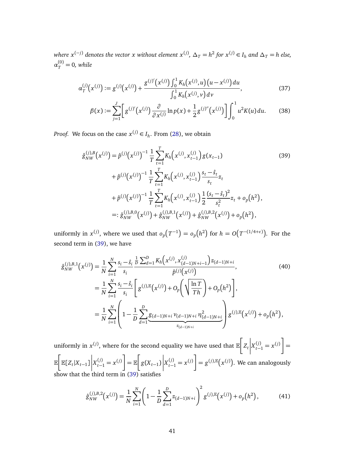where  $x^{(-j)}$  denotes the vector x without element  $x^{(j)}$ ,  $\Delta_T = h^2$  for  $x^{(j)} \in I_h$  and  $\Delta_T = h$  else,  $\alpha_T^{(0)} = 0$ , while

$$
\alpha_T^{(j)}(x^{(j)}) := g^{(j)}(x^{(j)}) + \frac{g^{(j)'}(x^{(j)}) \int_0^1 K_h(x^{(j)}, u) (u - x^{(j)}) du}{\int_0^1 K_h(x^{(j)}, v) dv}, \tag{37}
$$

<span id="page-41-0"></span>
$$
\beta(x) := \sum_{j=1}^{J} \left[ g^{(j)'}(x^{(j)}) \frac{\partial}{\partial x^{(j)}} \ln p(x) + \frac{1}{2} g^{(j)''}(x^{(j)}) \right] \int_{0}^{1} u^{2} K(u) du. \tag{38}
$$

*Proof.* We focus on the case  $x^{(j)} \in I_h$ . From [\(28\)](#page-38-1), we obtain

$$
\hat{g}_{NW}^{(j),B}(x^{(j)}) = \hat{p}^{(j)}(x^{(j)})^{-1} \frac{1}{T} \sum_{t=1}^{T} K_h(x^{(j)}, x_{t-1}^{(j)}) g(x_{t-1}) \n+ \hat{p}^{(j)}(x^{(j)})^{-1} \frac{1}{T} \sum_{t=1}^{T} K_h(x^{(j)}, x_{t-1}^{(j)}) \frac{s_t - \hat{s}_t}{s_t} z_t \n+ \hat{p}^{(j)}(x^{(j)})^{-1} \frac{1}{T} \sum_{t=1}^{T} K_h(x^{(j)}, x_{t-1}^{(j)}) \frac{1}{2} \frac{(s_t - \hat{s}_t)^2}{s_t^2} z_t + o_p(h^2), \n=:\hat{g}_{NW}^{(j),B,0}(x^{(j)}) + \hat{g}_{NW}^{(j),B,1}(x^{(j)}) + \hat{g}_{NW}^{(j),B,2}(x^{(j)}) + o_p(h^2),
$$
\n(39)

uniformly in  $x^{(j)}$ , where we used that  $o_p(T^{-1}) = o_p(h^2)$  for  $h = O(T^{-(1/4+\epsilon)})$ . For the second term in [\(39\)](#page-41-0), we have

<span id="page-41-1"></span>
$$
\hat{g}_{NW}^{(j),B,1}(x^{(j)}) = \frac{1}{N} \sum_{i=1}^{N} \frac{s_i - \hat{s}_i}{s_i} \frac{\frac{1}{D} \sum_{d=1}^{D} K_h(x^{(j)}, x_{(d-1)N+i-1}^{(j)}) z_{(d-1)N+i}}{\hat{p}^{(j)}(x^{(j)})},
$$
\n
$$
= \frac{1}{N} \sum_{i=1}^{N} \frac{s_i - \hat{s}_i}{s_i} \left[ g^{(j),E}(x^{(j)}) + O_p\left(\sqrt{\frac{\ln T}{Th}}\right) + O_p(h^2) \right],
$$
\n
$$
= \frac{1}{N} \sum_{i=1}^{N} \left( 1 - \frac{1}{D} \sum_{d=1}^{D} \underbrace{g_{(d-1)N+i} \nu_{(d-1)N+i} \eta_{(d-1)N+i}^2}_{z_{(d-1)N+i}} \right) g^{(j),E}(x^{(j)}) + o_p(h^2),
$$
\n(40)

uniformly in  $x^{(j)}$ , where for the second equality we have used that  $\mathbb{E}\Big[$ *Zt*  $\begin{array}{c} \n\end{array}$  $X_{t-1}^{(j)} = x^{(j)}$ =  $\mathbb{E}\Big[\mathbb{E}[Z_t|X_{t-1}]$  $\begin{array}{c} \begin{array}{c} \begin{array}{c} \end{array} \\ \begin{array}{c} \end{array} \end{array} \end{array}$  $X_{t-1}^{(j)} = x^{(j)}$  =  $\mathbb{E}\left[$  $g(X_{t-1})$  $\begin{array}{c} \n\end{array}$  $X_{t-1}^{(j)} = x^{(j)}$  $= g^{(j),\mathbb{E}}\big(x^{(j)}\big).$  We can analogously show that the third term in [\(39\)](#page-41-0) satisfies

<span id="page-41-2"></span>
$$
\hat{g}_{NW}^{(j),B,2}(x^{(j)}) = \frac{1}{N} \sum_{i=1}^{N} \left( 1 - \frac{1}{D} \sum_{d=1}^{D} z_{(d-1)N+i} \right)^2 g^{(j),\mathbb{E}}(x^{(j)}) + o_p(h^2),\tag{41}
$$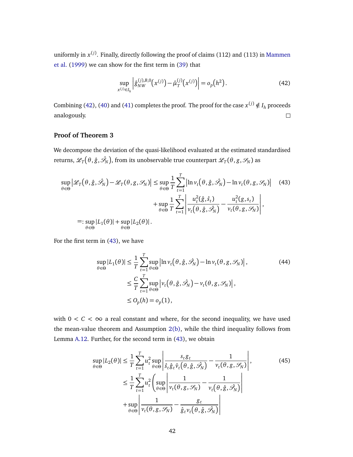uniformly in  $x^{(j)}$ . Finally, directly following the proof of claims (112) and (113) in [Mammen](#page-36-1) [et al.](#page-36-1) [\(1999\)](#page-36-1) we can show for the first term in [\(39\)](#page-41-0) that

<span id="page-42-1"></span><span id="page-42-0"></span>
$$
\sup_{x^{(j)} \in I_h} \left| \hat{g}_{NW}^{(j),B,0}(x^{(j)}) - \hat{\mu}_T^{(j)}(x^{(j)}) \right| = o_p(h^2).
$$
 (42)

Combining [\(42\)](#page-42-0), [\(40\)](#page-41-1) and [\(41\)](#page-41-2) completes the proof. The proof for the case  $x^{(j)} \notin I_h$  proceeds analogously.  $\Box$ 

### **Proof of Theorem 3**

We decompose the deviation of the quasi-likelihood evaluated at the estimated standardised returns,  $\mathscr{L}_T\big(\theta, \hat{g}, \hat{\mathscr{S}}_N\big)$ , from its unobservable true counterpart  $\mathscr{L}_T(\theta, g, \mathscr{S}_N)$  as

$$
\sup_{\theta \in \Theta} \left| \mathcal{L}_T(\theta, \hat{g}, \hat{\mathcal{S}}_N) - \mathcal{L}_T(\theta, g, \mathcal{S}_N) \right| \leq \sup_{\theta \in \Theta} \frac{1}{T} \sum_{t=1}^T \left| \ln v_t(\theta, \hat{g}, \hat{\mathcal{S}}_N) - \ln v_t(\theta, g, \mathcal{S}_N) \right| \tag{43}
$$
\n
$$
+ \sup_{\theta \in \Theta} \frac{1}{T} \sum_{t=1}^T \left| \frac{u_t^2(\hat{g}, \hat{s}_t)}{v_t(\theta, \hat{g}, \hat{\mathcal{S}}_N)} - \frac{u_t^2(g, s_t)}{v_t(\theta, g, \mathcal{S}_N)} \right|,
$$
\n
$$
=: \sup_{\theta \in \Theta} |L_1(\theta)| + \sup_{\theta \in \Theta} |L_2(\theta)|.
$$

For the first term in [\(43\)](#page-42-1), we have

$$
\sup_{\theta \in \Theta} |L_1(\theta)| \le \frac{1}{T} \sum_{t=1}^T \sup_{\theta \in \Theta} \left| \ln v_t(\theta, \hat{g}, \hat{\mathcal{S}}_N) - \ln v_t(\theta, g, \mathcal{S}_N) \right|,
$$
\n
$$
\le \frac{C}{T} \sum_{t=1}^T \sup_{\theta \in \Theta} \left| v_t(\theta, \hat{g}, \hat{\mathcal{S}}_N) - v_t(\theta, g, \mathcal{S}_N) \right|,
$$
\n
$$
\le O_p(h) = o_p(1),
$$
\n(44)

with  $0 < C < \infty$  a real constant and where, for the second inequality, we have used the mean-value theorem and Assumption [2](#page-10-3)[\(b\),](#page-10-6) while the third inequality follows from Lemma [A.12.](#page-56-0) Further, for the second term in [\(43\)](#page-42-1), we obtain

$$
\sup_{\theta \in \Theta} |L_2(\theta)| \leq \frac{1}{T} \sum_{t=1}^T u_t^2 \sup_{\theta \in \Theta} \left| \frac{s_t g_t}{\hat{s}_t \hat{g}_t \hat{v}_t(\theta, \hat{g}, \hat{\mathscr{S}}_N)} - \frac{1}{v_t(\theta, g, \mathscr{S}_N)} \right|,
$$
\n
$$
\leq \frac{1}{T} \sum_{t=1}^T u_t^2 \left( \sup_{\theta \in \Theta} \left| \frac{1}{v_t(\theta, g, \mathscr{S}_N)} - \frac{1}{v_t(\theta, \hat{g}, \hat{\mathscr{S}}_N)} \right| + \sup_{\theta \in \Theta} \left| \frac{1}{v_t(\theta, g, \mathscr{S}_N)} - \frac{g_t}{\hat{g}_t v_t(\theta, \hat{g}, \hat{\mathscr{S}}_N)} \right| \right|
$$
\n(45)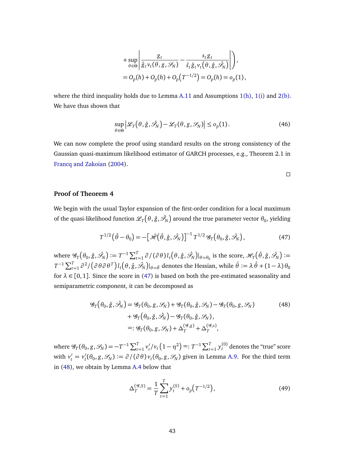$$
+ \sup_{\theta \in \Theta} \left| \frac{g_t}{\hat{g}_t v_t(\theta, g, \mathcal{S}_N)} - \frac{s_t g_t}{\hat{s}_t \hat{g}_t v_t(\theta, \hat{g}, \hat{\mathcal{S}}_N)} \right| \right),
$$
  
=  $O_p(h) + O_p(h) + O_p(T^{-1/2}) = O_p(h) = o_p(1),$ 

where the third inequality holds due to Lemma [A.11](#page-56-1) and Assumptions  $1(h)$  $1(h)$ ,  $1(i)$  $1(i)$  and  $2(b)$  $2(b)$ . We have thus shown that

$$
\sup_{\theta \in \Theta} \left| \mathcal{L}_T(\theta, \hat{g}, \hat{\mathcal{S}}_N) - \mathcal{L}_T(\theta, g, \mathcal{S}_N) \right| \le o_p(1). \tag{46}
$$

We can now complete the proof using standard results on the strong consistency of the Gaussian quasi-maximum likelihood estimator of GARCH processes, e.g., Theorem 2.1 in [Francq and Zakoian](#page-34-9) [\(2004\)](#page-34-9).

<span id="page-43-1"></span><span id="page-43-0"></span> $\Box$ 

### **Proof of Theorem 4**

We begin with the usual Taylor expansion of the first-order condition for a local maximum of the quasi-likelihood function  $\mathscr{L}_T\big(\theta,\hat{g},\hat{\mathscr{S}}_N\big)$  around the true parameter vector  $\theta_0$ , yielding

$$
T^{1/2}(\hat{\theta} - \theta_0) = -\left[\hat{\mathcal{H}}(\bar{\theta}, \hat{g}, \hat{\mathcal{S}}_N)\right]^{-1} T^{1/2} \mathcal{G}_T(\theta_0, \hat{g}, \hat{\mathcal{S}}_N), \tag{47}
$$

where  $\mathscr{G}_{T}\left(\theta_{0}, \hat{g}, \hat{\mathscr{S}}_{N}\right) \coloneqq T^{-1}\sum_{t=1}^{T}\partial/(\partial\theta)l_{t}\big(\theta, \hat{g}, \hat{\mathscr{S}}_{N}\big)|_{\theta=\theta_{0}}$  is the score,  $\mathscr{H}_{T}\big(\bar{\theta}, \hat{g}, \hat{\mathscr{S}}_{N}\big) \coloneqq$  $T^{-1}\sum_{t=1}^T\partial^2/\big(\partial\theta\partial\theta^T\big)l_t\big(\theta,\hat{g},\hat{\mathscr{S}}_N\big)|_{\theta=\bar{\theta}}$  denotes the Hessian, while  $\bar{\theta}\vcentcolon=\lambda\,\hat{\theta}+(1-\lambda)\,\theta_0$ for  $\lambda \in [0,1]$ . Since the score in [\(47\)](#page-43-0) is based on both the pre-estimated seasonality and semiparametric component, it can be decomposed as

$$
\mathcal{G}_T(\theta_0, \hat{g}, \hat{\mathcal{S}}_N) = \mathcal{G}_T(\theta_0, g, \mathcal{S}_N) + \mathcal{G}_T(\theta_0, \hat{g}, \mathcal{S}_N) - \mathcal{G}_T(\theta_0, g, \mathcal{S}_N)
$$
  
+ 
$$
\mathcal{G}_T(\theta_0, \hat{g}, \hat{\mathcal{S}}_N) - \mathcal{G}_T(\theta_0, \hat{g}, \mathcal{S}_N),
$$
  
=: 
$$
\mathcal{G}_T(\theta_0, g, \mathcal{S}_N) + \Delta_T^{(\mathcal{G}, g)} + \Delta_T^{(\mathcal{G}, s)},
$$
(48)

where  $\mathcal{G}_T(\theta_0, g, \mathcal{S}_N) = -T^{-1} \sum_{t=1}^T v_t^t$  $T_t / v_t (1 - \eta^2) =: T^{-1} \sum_{t=1}^T y_t^{(0)}$  denotes the "true" score with  $v'_t = v'_t$  $t'_t(\theta_0, g, \mathscr{S}_N) := \partial / (\partial \theta) v_t(\theta_0, g, \mathscr{S}_N)$  given in Lemma [A.9.](#page-55-0) For the third term in [\(48\)](#page-43-1), we obtain by Lemma [A.4](#page-45-0) below that

$$
\Delta_T^{(g,s)} = \frac{1}{T} \sum_{t=1}^T y_t^{(s)} + o_p(T^{-1/2}),\tag{49}
$$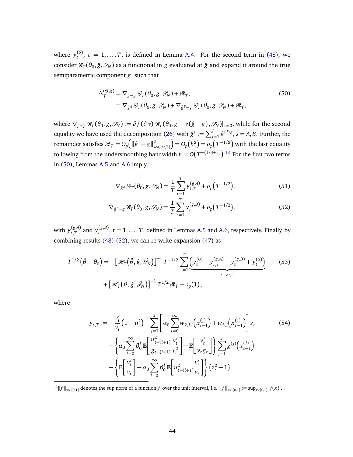where  $y_t^{(S)}$ ,  $t = 1, ..., T$ , is defined in Lemma [A.4.](#page-45-0) For the second term in [\(48\)](#page-43-1), we consider  $\mathscr{G}_T(\theta_0, \hat{g}, \mathscr{S}_N)$  as a functional in  $g$  evaluated at  $\hat{g}$  and expand it around the true semiparametric component *g*, such that

<span id="page-44-1"></span>
$$
\Delta_T^{(g,g)} = \nabla_{\hat{g}-g} g_T(\theta_0, g, \mathcal{S}_N) + \mathcal{R}_T, \n= \nabla_{\hat{g}^A} g_T(\theta_0, g, \mathcal{S}_N) + \nabla_{\hat{g}^B - g} g_T(\theta_0, g, \mathcal{S}_N) + \mathcal{R}_T,
$$
\n(50)

where  $\nabla_{\hat{g}-g}$   $\mathscr{G}_T(\theta_0,g,\mathscr{S}_N) := \partial/(\partial \nu) \mathscr{G}_T(\theta_0,g+\nu(\hat{g}-g),\mathscr{S}_N)|_{\nu=0}$ , while for the second equality we have used the decomposition [\(26\)](#page-38-2) with  $\hat{g}^s := \sum_{j=1}^J \hat{g}^{(j),s}$ ,  $s = A, B$ . Further, the remainder satisfies  $\mathscr{R}_{T} = O_{p} \Big( \|\hat{g}\| - g\|_{\infty,[0,1]}^{2}$  $\mathcal{O}_p(n^2) = o_p(T^{-1/2})$  with the last equality following from the undersmoothing bandwidth  $h = O\bigl(T^{-(1/4+\epsilon)}\bigr).^{13}$  $h = O\bigl(T^{-(1/4+\epsilon)}\bigr).^{13}$  $h = O\bigl(T^{-(1/4+\epsilon)}\bigr).^{13}$  For the first two terms in [\(50\)](#page-44-1), Lemmas [A.5](#page-46-0) and [A.6](#page-52-0) imply

<span id="page-44-2"></span>
$$
\nabla_{\hat{g}^A} \mathcal{G}_T(\theta_0, g, \mathcal{S}_N) = \frac{1}{T} \sum_{t=1}^T \mathcal{Y}_{t,T}^{(g,A)} + o_p(T^{-1/2}), \tag{51}
$$

$$
\nabla_{\hat{g}^B - g} \mathcal{G}_T(\theta_0, g, \mathcal{S}_N) = \frac{1}{T} \sum_{t=1}^T y_t^{(g, B)} + o_p(T^{-1/2}), \qquad (52)
$$

with  $y_{tT}^{(g,A)}$  $t_{t,T}^{(g,A)}$  and  $y_t^{(g,B)}$ ,  $t = 1, ..., T$ , defined in Lemmas [A.5](#page-46-0) and [A.6,](#page-52-0) respectively. Finally, by combining results [\(48\)](#page-43-1)-[\(52\)](#page-44-2), we can re-write expansion [\(47\)](#page-43-0) as

$$
T^{1/2}(\hat{\theta} - \theta_0) = -\left[\mathcal{H}_T(\bar{\theta}, \hat{g}, \hat{\mathcal{S}}_N)\right]^{-1} T^{-1/2} \sum_{t=1}^T \underbrace{\left(y_t^{(0)} + y_{t,T}^{(g,A)} + y_t^{(g,B)} + y_t^{(S)}\right)}_{:= y_{t,T}} \tag{53}
$$
\n
$$
+ \left[\mathcal{H}_T(\bar{\theta}, \hat{g}, \hat{\mathcal{S}}_N)\right]^{-1} T^{1/2} \mathcal{R}_T + o_p(1),
$$

where

<span id="page-44-0"></span>
$$
y_{t,T} := -\frac{v'_t}{v_t} \left(1 - \eta_t^2\right) - \sum_{j=1}^J \left[ \alpha_0 \sum_{l=0}^\infty w_{2,j,l} \left(x_{t-1}^{(j)}\right) + w_{3,j} \left(x_{t-1}^{(j)}\right) \right] \varepsilon_t
$$
\n
$$
- \left\{ \alpha_0 \sum_{l=0}^\infty \beta_0^l \mathbb{E} \left[ \frac{u_{t-(l+1)}^2}{g_{t-(l+1)}} \frac{v'_t}{v_t^2} \right] - \mathbb{E} \left[ \frac{v'_t}{v_t g_t} \right] \right\} \sum_{j=1}^J g^{(j)} \left(x_{t-1}^{(j)}\right)
$$
\n
$$
- \left\{ \mathbb{E} \left[ \frac{v'_t}{v_t} \right] - \alpha_0 \sum_{l=0}^\infty \beta_0^l \mathbb{E} \left[ u_{t-(l+1)}^2 \frac{v'_t}{v_t} \right] \right\} \left(z_t^2 - 1\right),
$$
\n
$$
(54)
$$

<sup>13</sup>||*f* ||<sub>∞,[0,1]</sub> denotes the sup norm of a function *f* over the unit interval, i.e.  $||f||_{\infty,[0,1]} := \sup_{x \in [0,1]} |f(x)|$ .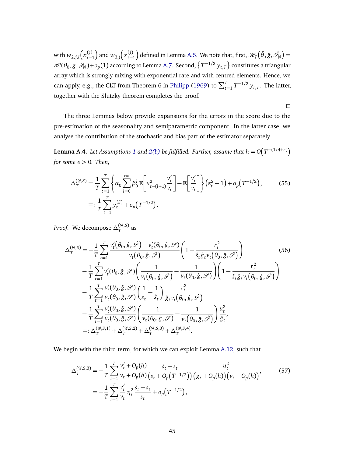with  $w_{2,j,l}\Big(x_{t-1}^{(j)}\Big)$  and  $w_{3,j}\Big(x_{t-1}^{(j)}\Big)$  defined in Lemma [A.5.](#page-46-0) We note that, first,  $\mathscr{H}_T\big(\bar{\theta},\hat{g},\hat{\mathscr{S}}_N\big)$   $=$  $\mathscr{H}(\theta_0,g,\mathscr{S}_N)$  +  $o_p(1)$  according to Lemma [A.7.](#page-54-1) Second,  $\left\{T^{-1/2}\,y_{t,T}\right\}$  constitutes a triangular array which is strongly mixing with exponential rate and with centred elements. Hence, we can apply, e.g., the CLT from Theorem 6 in [Philipp](#page-37-12) [\(1969\)](#page-37-12) to  $\sum_{t=1}^{T} T^{-1/2} y_{t,T}$ . The latter, together with the Slutzky theorem completes the proof.

<span id="page-45-1"></span> $\Box$ 

The three Lemmas below provide expansions for the errors in the score due to the pre-estimation of the seasonality and semiparametric component. In the latter case, we analyse the contribution of the stochastic and bias part of the estimator separately.

<span id="page-45-0"></span>**Lemma A.4.** *Let Assumptions [1](#page-9-1) and [2](#page-10-3)[\(b\)](#page-10-6) be fulfilled. Further, assume that*  $h = O\big(T^{-(1/4+\epsilon)}\big)$ *for some*  $\epsilon > 0$ *. Then,* 

$$
\Delta_T^{(g,s)} = \frac{1}{T} \sum_{t=1}^T \left\{ \alpha_0 \sum_{l=0}^\infty \beta_0^l \mathbb{E} \left[ u_{t-(l+1)}^2 \frac{v_t'}{v_t} \right] - \mathbb{E} \left[ \frac{v_t'}{v_t} \right] \right\} (z_t^2 - 1) + o_p(T^{-1/2}), \tag{55}
$$
  

$$
=: \frac{1}{T} \sum_{t=1}^T y_t^{(S)} + o_p(T^{-1/2}).
$$

*Proof.* We decompose  $\Delta_T^{(\mathscr{G},S)}$  as

$$
\Delta_{T}^{(g,s)} = -\frac{1}{T} \sum_{t=1}^{T} \frac{\nu_{t}'(\theta_{0}, \hat{g}, \hat{\mathscr{S}}) - \nu_{t}'(\theta_{0}, \hat{g}, \mathscr{S})}{\nu_{t}(\theta_{0}, \hat{g}, \hat{\mathscr{S}})} \left(1 - \frac{r_{t}^{2}}{\hat{s}_{t}\hat{g}_{t}\nu_{t}(\theta_{0}, \hat{g}, \hat{\mathscr{S}})}\right) \n- \frac{1}{T} \sum_{t=1}^{T} \nu_{t}'(\theta_{0}, \hat{g}, \mathscr{S}) \left(\frac{1}{\nu_{t}(\theta_{0}, \hat{g}, \hat{\mathscr{S}})} - \frac{1}{\nu_{t}(\theta_{0}, \hat{g}, \mathscr{S})}\right) \left(1 - \frac{r_{t}^{2}}{\hat{s}_{t}\hat{g}_{t}\nu_{t}(\theta_{0}, \hat{g}, \hat{\mathscr{S}})}\right) \n- \frac{1}{T} \sum_{t=1}^{T} \frac{\nu_{t}'(\theta_{0}, \hat{g}, \mathscr{S})}{\nu_{t}(\theta_{0}, \hat{g}, \mathscr{S})} \left(\frac{1}{s_{t}} - \frac{1}{\hat{s}_{t}}\right) \frac{r_{t}^{2}}{\hat{g}_{t}\nu_{t}(\theta_{0}, \hat{g}, \hat{\mathscr{S}})} \n- \frac{1}{T} \sum_{t=1}^{T} \frac{\nu_{t}'(\theta_{0}, \hat{g}, \mathscr{S})}{\nu_{t}(\theta_{0}, \hat{g}, \mathscr{S})} \left(\frac{1}{\nu_{t}(\theta_{0}, \hat{g}, \mathscr{S})} - \frac{1}{\nu_{t}(\theta_{0}, \hat{g}, \hat{\mathscr{S}})}\right) \frac{u_{t}^{2}}{\hat{g}_{t}}, \n=:\Delta_{T}^{(g,s,1)} + \Delta_{T}^{(g,s,2)} + \Delta_{T}^{(g,s,3)} + \Delta_{T}^{(g,s,4)}.
$$
\n(9.5.1)

We begin with the third term, for which we can exploit Lemma [A.12,](#page-56-0) such that

$$
\Delta_{T}^{(g,s,3)} = -\frac{1}{T} \sum_{t=1}^{T} \frac{v_t' + O_p(h)}{v_t + O_p(h)} \frac{\hat{s}_t - s_t}{(s_t + O_p(T^{-1/2}))} \frac{u_t^2}{(g_t + O_p(h)) (v_t + O_p(h))},
$$
\n
$$
= -\frac{1}{T} \sum_{t=1}^{T} \frac{v_t'}{v_t} \eta_t^2 \frac{\hat{s}_t - s_t}{s_t} + o_p(T^{-1/2}),
$$
\n(57)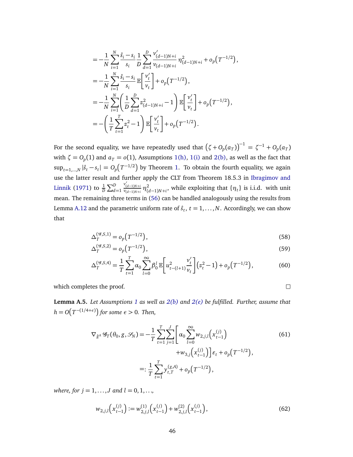$$
= -\frac{1}{N} \sum_{i=1}^{N} \frac{\hat{s}_i - s_i}{s_i} \frac{1}{D} \sum_{d=1}^{D} \frac{v'_{(d-1)N+i}}{v_{(d-1)N+i}} \eta_{(d-1)N+i}^2 + o_p(T^{-1/2}),
$$
  
\n
$$
= -\frac{1}{N} \sum_{i=1}^{N} \frac{\hat{s}_i - s_i}{s_i} \mathbb{E} \left[ \frac{v'_t}{v_t} \right] + o_p(T^{-1/2}),
$$
  
\n
$$
= -\frac{1}{N} \sum_{i=1}^{N} \left( \frac{1}{D} \sum_{d=1}^{D} z_{(d-1)N+i}^2 - 1 \right) \mathbb{E} \left[ \frac{v'_t}{v_t} \right] + o_p(T^{-1/2}),
$$
  
\n
$$
= -\left( \frac{1}{T} \sum_{t=1}^{T} z_t^2 - 1 \right) \mathbb{E} \left[ \frac{v'_t}{v_t} \right] + o_p(T^{-1/2}).
$$

For the second equality, we have repeatedly used that  $\left(\zeta + O_p(a_T)\right)^{-1} = \zeta^{-1} + O_p(a_T)$ with  $\zeta = O_p(1)$  $\zeta = O_p(1)$  $\zeta = O_p(1)$  and  $a_T = o(1)$ , Assumptions 1[\(h\),](#page-10-8) 1[\(i\)](#page-10-9) and [2](#page-10-3)[\(b\),](#page-10-6) as well as the fact that  $\sup_{t=1,\dots,N} |\hat{s}_t - s_t| = O_p(T^{-1/2})$  by Theorem [1.](#page-11-0) To obtain the fourth equality, we again use the latter result and further apply the CLT from Theorem 18.5.3 in [Ibragimov and](#page-36-12) [Linnik](#page-36-12) [\(1971\)](#page-36-12) to  $\frac{1}{D}\sum_{d=1}^{D}$ *v*<sup>'</sup><sub>(</sub>*d*−1)*N*+*i*  $\int_{\nu_{(d-1)N+i}}^{\nu_{(d-1)N+i}} \eta_{(d-1)N+i}^2$ , while exploiting that {*η<sub>t</sub>*} is i.i.d. with unit mean. The remaining three terms in [\(56\)](#page-45-1) can be handled analogously using the results from Lemma [A.12](#page-56-0) and the parametric uniform rate of  $\hat{s}_t$ ,  $t = 1, \ldots, N$ . Accordingly, we can show that

$$
\Delta_T^{(\mathcal{G},S,1)} = o_p(T^{-1/2}),\tag{58}
$$

$$
\Delta_T^{(g,s,2)} = o_p(T^{-1/2}),\tag{59}
$$

$$
\Delta_T^{(\mathcal{G},S,4)} = \frac{1}{T} \sum_{t=1}^T \alpha_0 \sum_{l=0}^\infty \beta_0^l \mathbb{E} \bigg[ u_{t-(l+1)}^2 \frac{v_t'}{v_t} \bigg] \bigg( z_t^2 - 1 \bigg) + o_p(T^{-1/2}), \tag{60}
$$

 $\Box$ 

which completes the proof.

<span id="page-46-0"></span>**Lemma A.5.** *Let Assumptions [1](#page-9-1) as well as [2](#page-10-3)[\(b\)](#page-10-6) and [2](#page-10-3)[\(e\)](#page-10-4) be fulfilled. Further, assume that h* =  $O(T^{-(1/4+\epsilon)})$  for some  $\epsilon > 0$ . Then,

$$
\nabla_{\hat{g}^A} g_T(\theta_0, g, \mathcal{S}_N) = -\frac{1}{T} \sum_{t=1}^T \sum_{j=1}^J \left[ \alpha_0 \sum_{l=0}^\infty w_{2,j,l} \left( x_{t-1}^{(j)} \right) + w_{3,j} \left( x_{t-1}^{(j)} \right) \right] \varepsilon_t + o_p(T^{-1/2}),
$$
\n
$$
=: \frac{1}{T} \sum_{t=1}^T y_{t,T}^{(g,A)} + o_p(T^{-1/2}),
$$
\n(61)

*where, for*  $j = 1, ..., J$  *and*  $l = 0, 1, ...,$ 

$$
w_{2,j,l}\left(x_{t-1}^{(j)}\right) := w_{2,j,l}^{(1)}\left(x_{t-1}^{(j)}\right) + w_{2,j,l}^{(2)}\left(x_{t-1}^{(j)}\right),\tag{62}
$$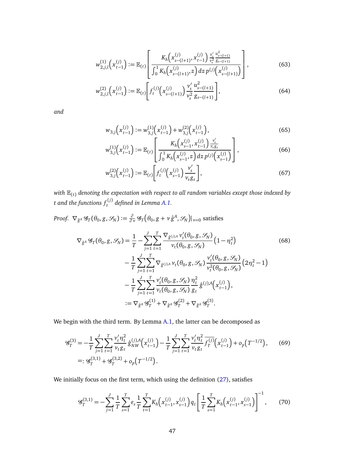$$
w_{2,j,l}^{(1)}(x_{t-1}^{(j)}) := \mathbb{E}_{(t)}\left[\frac{K_h\left(x_{s-(l+1)}^{(j)}, x_{t-1}^{(j)}\right) \frac{v_s'}{v_s^2} \frac{u_{s-(l+1)}^2}{g_{s-(l+1)}}}{\int_0^1 K_h\left(x_{s-(l+1)}^{(j)}, z\right) dz \, p^{(j)}\left(x_{s-(l+1)}^{(j)}\right)}\right],\tag{63}
$$

$$
w_{2,j,l}^{(2)}\left(x_{t-1}^{(j)}\right) := \mathbb{E}_{(t)}\left[f_t^{(j)}\left(x_{s-(l+1)}^{(j)}\right)\frac{v_s'}{v_s^2}\frac{u_{s-(l+1)}^2}{g_{s-(l+1)}}\right],\tag{64}
$$

*and*

$$
w_{3,j}\left(x_{t-1}^{(j)}\right) := w_{3,j}^{(1)}\left(x_{t-1}^{(j)}\right) + w_{3,j}^{(2)}\left(x_{t-1}^{(j)}\right),\tag{65}
$$

$$
w_{3,j}^{(1)}(x_{t-1}^{(j)}) := \mathbb{E}_{(t)}\left[\frac{K_h(x_{s-1}^{(j)}, x_{t-1}^{(j)})\frac{v_s'}{v_s g_s}}{\int_0^1 K_h(x_{s-1}^{(j)}, z)\, dz\, p^{(j)}(x_{s-1}^{(j)})}\right],\tag{66}
$$

<span id="page-47-1"></span>
$$
w_{3,j}^{(2)}(x_{t-1}^{(j)}) := \mathbb{E}_{(t)}\bigg[f_t^{(j)}(x_{s-1}^{(j)})\frac{v_s'}{v_s g_s}\bigg],\tag{67}
$$

with  $\mathbb{E}_{(t)}$  denoting the expectation with respect to all random variables except those indexed by  $t$  and the functions  $f_t^{(j)}$  defined in Lemma [A.1.](#page-39-0)

*Proof.*  $\nabla_{\hat{g}^A} g_T(\theta_0, g, \mathscr{S}_N) := \frac{\partial}{\partial \nu} g_T(\theta_0, g + \nu \, \hat{g}^A, \mathscr{S}_N)|_{\nu=0}$  satisfies

$$
\nabla_{\hat{g}^A} g_T(\theta_0, g, \mathcal{S}_N) = \frac{1}{T} - \sum_{j=1}^J \sum_{t=1}^T \frac{\nabla_{\hat{g}^{(j),A}} v_t'(\theta_0, g, \mathcal{S}_N)}{v_t(\theta_0, g, \mathcal{S}_N)} (1 - \eta_t^2) \qquad (68)
$$

$$
- \frac{1}{T} \sum_{j=1}^J \sum_{t=1}^T \nabla_{\hat{g}^{(j),A}} v_t(\theta_0, g, \mathcal{S}_N) \frac{v_t'(\theta_0, g, \mathcal{S}_N)}{v_t^2(\theta_0, g, \mathcal{S}_N)} (2\eta_t^2 - 1)
$$

$$
- \frac{1}{T} \sum_{j=1}^J \sum_{t=1}^T \frac{v_t'(\theta_0, g, \mathcal{S}_N)}{v_t(\theta_0, g, \mathcal{S}_N)} \frac{\eta_t^2}{g_t} \hat{g}^{(j),A}(x_{t-1}^{(j)}),
$$

$$
:= \nabla_{\hat{g}^A} g_T^{(1)} + \nabla_{\hat{g}^A} g_T^{(2)} + \nabla_{\hat{g}^A} g_T^{(3)}.
$$

We begin with the third term. By Lemma [A.1,](#page-39-0) the latter can be decomposed as

$$
\mathcal{G}_{T}^{(3)} = -\frac{1}{T} \sum_{j=1}^{J} \sum_{t=1}^{T} \frac{\nu_{t}' \eta_{t}^{2}}{\nu_{t} g_{t}} \hat{g}_{NW}^{(j),A}(x_{t-1}^{(j)}) - \frac{1}{T} \sum_{j=1}^{J} \sum_{t=1}^{T} \frac{\nu_{t}' \eta_{t}^{2}}{\nu_{t} g_{t}} \overline{f}_{T}^{(j)}(x_{t-1}^{(j)}) + o_{p}(T^{-1/2}), \qquad (69)
$$

$$
=: \mathcal{G}_{T}^{(3,1)} + \mathcal{G}_{T}^{(3,2)} + o_{p}(T^{-1/2}).
$$

We initially focus on the first term, which using the definition [\(27\)](#page-38-3), satisfies

<span id="page-47-0"></span>
$$
\mathcal{G}_{T}^{(3,1)} = -\sum_{j=1}^{J} \frac{1}{T} \sum_{s=1}^{T} \varepsilon_{s} \frac{1}{T} \sum_{t=1}^{T} K_{h} \left( x_{t-1}^{(j)}, x_{s-1}^{(j)} \right) q_{t} \left[ \frac{1}{T} \sum_{s=1}^{T} K_{h} \left( x_{t-1}^{(j)}, x_{s-1}^{(j)} \right) \right]^{-1}, \tag{70}
$$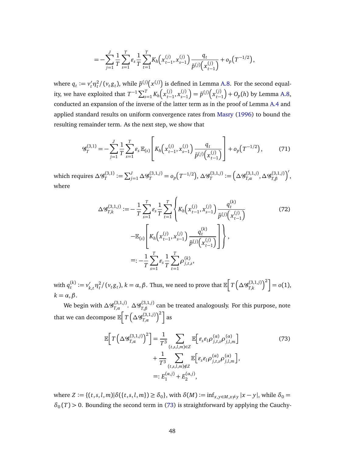$$
=-\sum_{j=1}^J\frac{1}{T}\sum_{s=1}^T\varepsilon_s\frac{1}{T}\sum_{t=1}^T K_h\big(x_{t-1}^{(j)},x_{s-1}^{(j)}\big)\frac{q_t}{\tilde{p}^{(j)}\big(x_{t-1}^{(j)}\big)}+o_p(T^{-1/2}),
$$

where  $q_t := v'_t$  $\int_t^t \eta_t^2 / (\nu_t g_t)$ , while  $\tilde{p}^{(j)}(x^{(j)})$  is defined in Lemma [A.8.](#page-54-0) For the second equality, we have exploited that  $T^{-1} \sum_{s=1}^{T} K_h(x_{t-1}^{(j)}, x_{s-1}^{(j)}) = \tilde{p}^{(j)}(x_{t-1}^{(j)}) + O_p(h)$  by Lemma [A.8,](#page-54-0) conducted an expansion of the inverse of the latter term as in the proof of Lemma [A.4](#page-45-0) and applied standard results on uniform convergence rates from [Masry](#page-36-13) [\(1996\)](#page-36-13) to bound the resulting remainder term. As the next step, we show that

$$
\mathcal{G}_{T}^{(3,1)} = -\sum_{j=1}^{J} \frac{1}{T} \sum_{s=1}^{T} \varepsilon_{s} \mathbb{E}_{(s)} \left[ K_{h} \left( x_{t-1}^{(j)}, x_{s-1}^{(j)} \right) \frac{q_{t}}{\tilde{p}^{(j)} \left( x_{t-1}^{(j)} \right)} \right] + o_{p} \left( T^{-1/2} \right), \tag{71}
$$

which requires  $\Delta \mathcal{G}_T^{(3,1)} := \sum_{j=1}^J \Delta \mathcal{G}_T^{(3,1,j)} = o_p\left(T^{-1/2}\right), \Delta \mathcal{G}_T^{(3,1,j)}$  $\sigma_T^{(3,1,j)}:=\left(\Delta \mathcal{G}^{(3,1,j)}_{T,\alpha}\right)$ *T*,α<sup>(3,1,*j*)</sup>, Δ $\mathscr{G}_{T,\beta}^{(3,1,j)}$  $T$ , $\beta$ <sup>(3,1,j)</sup>, where

<span id="page-48-1"></span>
$$
\Delta \mathcal{G}_{T,k}^{(3,1,j)} := -\frac{1}{T} \sum_{s=1}^{T} \varepsilon_s \frac{1}{T} \sum_{t=1}^{T} \left\{ K_h \left( x_{t-1}^{(j)}, x_{s-1}^{(j)} \right) \frac{q_t^{(k)}}{\tilde{p}^{(j)} \left( x_{t-1}^{(j)} \right)} \right\} - \mathbb{E}_{(s)} \left[ K_h \left( x_{t-1}^{(j)}, x_{s-1}^{(j)} \right) \frac{q_t^{(k)}}{\tilde{p}^{(j)} \left( x_{t-1}^{(j)} \right)} \right] \right\},
$$
\n
$$
=:-\frac{1}{T} \sum_{s=1}^{T} \varepsilon_s \frac{1}{T} \sum_{t=1}^{T} \rho_{j,t,s}^{(k)},
$$
\n(72)

with  $q_t^{(k)} := v'_k$  $\int_{k,t}^t \eta_t^2/(\nu_t g_t)$ ,  $k = \alpha, \beta$ . Thus, we need to prove that  $\mathbb{E}\bigg[ T\bigg(\Delta \mathscr{G}_{T, k}^{(3,1,j)}\bigg)$  $\left[\begin{matrix} (3,1,j) \\ T,k \end{matrix}\right]^2$  = *o*(1),  $k = \alpha, \beta$ .

We begin with  $\Delta \mathscr{G}^{(3,1,j)}_{T\alpha}$ *T*,*α* . *∆*G (3,1,*j*) *T*,*β* can be treated analogously. For this purpose, note that we can decompose  $\mathbb{E}\Big[\,T\big(\Delta \mathcal{G}_{T,\alpha}^{(3,1,j)}\big)$  $\left(\begin{matrix} (3,1,j) \\ T,\alpha \end{matrix}\right)^2$  as

<span id="page-48-0"></span>
$$
\mathbb{E}\Big[T\Big(\Delta \mathcal{G}_{T,\alpha}^{(3,1,j)}\Big)^{2}\Big] = \frac{1}{T^{3}} \sum_{(t,s,l,m)\in Z} \mathbb{E}\Big[\varepsilon_{s}\varepsilon_{l}\rho_{j,t,s}^{(\alpha)}\rho_{j,l,m}^{(\alpha)}\Big] + \frac{1}{T^{3}} \sum_{(t,s,l,m)\notin Z} \mathbb{E}\Big[\varepsilon_{s}\varepsilon_{l}\rho_{j,t,s}^{(\alpha)}\rho_{j,l,m}^{(\alpha)}\Big], =: E_{1}^{(\alpha,j)} + E_{2}^{(\alpha,j)},
$$
(73)

where  $Z := \{(t,s,l,m)|\delta(\{t,s,l,m\}) \ge \delta_0\}$ , with  $\delta(M) := \inf_{x,y \in M, x \ne y} |x-y|$ , while  $\delta_0 =$  $\delta_0(T)$  > 0. Bounding the second term in [\(73\)](#page-48-0) is straightforward by applying the Cauchy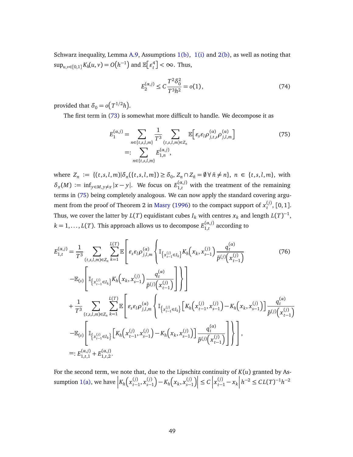Schwarz inequality, Lemma [A.9,](#page-55-0) Assumptions  $1(b)$  $1(b)$ ,  $1(i)$  $1(i)$  and  $2(b)$  $2(b)$ , as well as noting that  $\sup_{u,v\in[0,1]} K_h(u,v) = O(h^{-1})$  and  $\mathbb{E}\big[\varepsilon_t^4\big] < \infty$ . Thus,

<span id="page-49-2"></span><span id="page-49-0"></span>
$$
E_2^{(\alpha,j)} \le C \frac{T^2 \delta_0^2}{T^3 h^2} = o(1),\tag{74}
$$

provided that  $\delta_0 = o(T^{1/2}h)$ .

The first term in [\(73\)](#page-48-0) is somewhat more difficult to handle. We decompose it as

<span id="page-49-1"></span>
$$
E_1^{(\alpha,j)} = \sum_{n \in \{t,s,l,m\}} \frac{1}{T^3} \sum_{(t,s,l,m) \in Z_n} \mathbb{E} \Big[ \varepsilon_s \varepsilon_l \rho_{j,t,s}^{(\alpha)} \rho_{j,l,m}^{(\alpha)} \Big] =: \sum_{n \in \{t,s,l,m\}} E_{1,n}^{(\alpha,j)},
$$
(75)

where  $Z_n := \{(t,s,l,m)|\delta_n(\{t,s,l,m\}) \ge \delta_0, Z_n \cap Z_{\tilde{n}} = \emptyset \,\forall \,\tilde{n} \ne n\},\ n \in \{t,s,l,m\},\$  with  $\delta_x(M) := \inf_{y \in M, y \neq x} |x - y|$ . We focus on  $E_{1,t}^{(\alpha,j)}$  with the treatment of the remaining terms in [\(75\)](#page-49-0) being completely analogous. We can now apply the standard covering argu-ment from the proof of Theorem 2 in [Masry](#page-36-13) [\(1996\)](#page-36-13) to the compact support of  $x_t^{(j)}$ , [0,1]. Thus, we cover the latter by  $L(T)$  equidistant cubes  $I_k$  with centres  $x_k$  and length  $L(T)^{-1}$ ,  $k = 1, \ldots, L(T)$ . This approach allows us to decompose  $E_{1,t}^{(\alpha,j)}$  $\int_{1,t}^{(\alpha,j)}$  according to

$$
E_{1,t}^{(\alpha,j)} = \frac{1}{T^3} \sum_{(t,s,l,m)\in Z_n} \sum_{k=1}^{L(T)} \mathbb{E} \left[ \varepsilon_s \varepsilon_l \rho_{j,l,m}^{(\alpha)} \left\{ \mathbb{I}_{\{x_{t-1}^{(j)} \in I_k\}} K_h(x_k, x_{s-1}^{(j)}) \frac{q_t^{(\alpha)}}{\tilde{p}^{(j)}(x_{t-1}^{(j)})} \right. \right] \tag{76}
$$
\n
$$
- \mathbb{E}_{(s)} \left[ \mathbb{I}_{\{x_{t-1}^{(j)} \in I_k\}} K_h(x_k, x_{s-1}^{(j)}) \frac{q_t^{(\alpha)}}{\tilde{p}^{(j)}(x_{t-1}^{(j)})} \right] \right\} \right] + \frac{1}{T^3} \sum_{(t,s,l,m)\in Z_n} \sum_{k=1}^{L(T)} \mathbb{E} \left[ \varepsilon_s \varepsilon_l \rho_{j,l,m}^{(\alpha)} \left\{ \mathbb{I}_{\{x_{t-1}^{(j)} \in I_k\}} \left[ K_h(x_{t-1}^{(j)}, x_{s-1}^{(j)}) - K_h(x_k, x_{s-1}^{(j)}) \right] \frac{q_t^{(\alpha)}}{\tilde{p}^{(j)}(x_{t-1}^{(j)})} \right] \right] \right] \tag{76}
$$
\n
$$
- \mathbb{E}_{(s)} \left[ \mathbb{I}_{\{x_{t-1}^{(j)} \in I_k\}} \left[ K_h(x_{t-1}^{(j)}, x_{s-1}^{(j)}) - K_h(x_k, x_{s-1}^{(j)}) \right] \frac{q_t^{(\alpha)}}{\tilde{p}^{(j)}(x_{t-1}^{(j)})} \right] \right\} \right],
$$
\n
$$
=: E_{1,t,1}^{(\alpha,j)} + E_{1,t,2}^{(\alpha,j)}.
$$

For the second term, we note that, due to the Lipschitz continuity of *K*(*u*) granted by As-sumption [1](#page-9-1)[\(a\),](#page-9-3) we have  $\left| K_h(x_{t-1}^{(j)}, x_{s-1}^{(j)}) - K_h(x_k, x_{s-1}^{(j)}) \right| \le C \left| x_{t-1}^{(j)} - x_k \right| h^{-2} \le CL(T)^{-1}h^{-2}$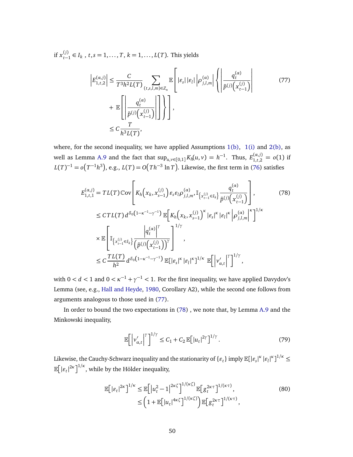<span id="page-50-0"></span>if 
$$
x_{t-1}^{(j)} \in I_k
$$
,  $t, s = 1, ..., T$ ,  $k = 1, ..., L(T)$ . This yields  
\n
$$
\left| E_{1,t,2}^{(\alpha,j)} \right| \leq \frac{C}{T^3 h^2 L(T)} \sum_{(t,s,l,m) \in Z_n} \mathbb{E} \left[ \left| \varepsilon_s \right| \left| \varepsilon_l \right| \left| \rho_{j,l,m}^{(\alpha)} \right| \left\{ \left| \frac{q_t^{(\alpha)}}{\tilde{p}^{(j)}(x_{t-1}^{(j)})} \right| \right\} + \mathbb{E} \left[ \left| \frac{q_t^{(\alpha)}}{\tilde{p}^{(j)}(x_{t-1}^{(j)})} \right| \right] \right\},
$$
\n
$$
\leq C \frac{T}{h^3 L(T)},
$$
\n(77)

where, for the second inequality, we have applied Assumptions  $1(b)$  $1(b)$ ,  $1(i)$  $1(i)$  and  $2(b)$  $2(b)$ , as well as Lemma [A.9](#page-55-0) and the fact that  $\sup_{u,v \in [0,1]} K_h(u,v) = h^{-1}$ . Thus,  $E_{1,t,2}^{(\alpha,j)} = o(1)$  if  $L(T)^{-1} = o(T^{-1}h^3)$ , e.g.,  $L(T) = O(Th^{-3} \ln T)$ . Likewise, the first term in [\(76\)](#page-49-1) satisfies

<span id="page-50-1"></span>
$$
E_{1,t,1}^{(\alpha,j)} = TL(T) \text{Cov} \left[ K_h(x_k, x_{s-1}^{(j)}) \varepsilon_s \varepsilon_l \rho_{j,l,m}^{(\alpha)}, \mathbb{I}_{\{x_{t-1}^{(j)} \in I_k\}} \frac{q_t^{(\alpha)}}{\tilde{p}^{(j)}(x_{t-1}^{(j)})} \right],
$$
\n
$$
\leq CTL(T) d^{\delta_0(1-\kappa^{-1}-\gamma^{-1})} \mathbb{E} \left[ K_h(x_k, x_{s-1}^{(j)})^{\kappa} |\varepsilon_s|^{\kappa} |\varepsilon_l|^{\kappa} \left| \rho_{j,l,m}^{(\alpha)} \right|^{\kappa} \right]^{1/\kappa}
$$
\n
$$
\times \mathbb{E} \left[ \mathbb{I}_{\{x_{t-1}^{(j)} \in I_k\}} \frac{|q_t^{(\alpha)}|^\gamma}{(\tilde{p}^{(j)}(x_{t-1}^{(j)}))^\gamma} \right]^{1/\gamma},
$$
\n
$$
\leq C \frac{TL(T)}{h^2} d^{\delta_0(1-\kappa^{-1}-\gamma^{-1})} \mathbb{E} [|\varepsilon_s|^{\kappa} |\varepsilon_l|^{\kappa}]^{1/\kappa} \mathbb{E} \left[ |\nu_{\alpha,t}^{'}|^{\gamma} \right]^{1/\gamma},
$$
\n(78)

with  $0 < d < 1$  and  $0 < \kappa^{-1} + \gamma^{-1} < 1$ . For the first inequality, we have applied Davydov's Lemma (see, e.g., [Hall and Heyde,](#page-35-6) [1980,](#page-35-6) Corollary A2), while the second one follows from arguments analogous to those used in [\(77\)](#page-50-0).

In order to bound the two expectations in [\(78\)](#page-50-1) , we note that, by Lemma [A.9](#page-55-0) and the Minkowski inequality,

<span id="page-50-2"></span>
$$
\mathbb{E}\bigg[\Big|\nu'_{\alpha,t}\Big|^{\gamma}\bigg]^{1/\gamma} \leq C_1 + C_2 \mathbb{E}\big[\,|u_t|^{2\gamma}\,\big]^{1/\gamma} \,. \tag{79}
$$

Likewise, the Cauchy-Schwarz inequality and the stationarity of  $\{\varepsilon_t\}$  imply  $\mathbb{E}[|\varepsilon_s|^{\kappa} \, |\varepsilon_l|^{\kappa}]^{1/\kappa} \leq$  $\mathbb{E}\big[|\varepsilon_{t}|^{2\kappa}\big]^{1/\kappa},$  while by the Hölder inequality,

$$
\mathbb{E}\big[|\varepsilon_t|^{2\kappa}\big]^{1/\kappa} \leq \mathbb{E}\big[|u_t^2 - 1|^{2\kappa\zeta}\big]^{1/(\kappa\zeta)} \mathbb{E}\big[g_t^{2\kappa\tau}\big]^{1/(\kappa\tau)},
$$
\n
$$
\leq \bigg(1 + \mathbb{E}\big[|u_t|^{4\kappa\zeta}\big]^{1/(\kappa\zeta)}\bigg) \mathbb{E}\big[g_t^{2\kappa\tau}\big]^{1/(\kappa\tau)},
$$
\n(80)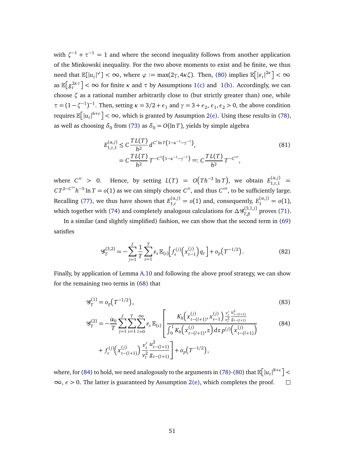with  $\zeta^{-1} + \tau^{-1} = 1$  and where the second inequality follows from another application of the Minkowski inequality. For the two above moments to exist and be finite, we thus  $\alpha$  need that  $\mathbb{E}[|u_t|^{\varphi}] < \infty$ , where  $\varphi \vcentcolon= \max(2\gamma, 4\kappa\zeta)$ . Then, [\(80\)](#page-50-2) implies  $\mathbb{E}[|{\varepsilon}_t|^{2\kappa}] < \infty$ as  $\mathbb{E}\left[g_t^{2\kappa\tau}\right] < \infty$  for finite  $\kappa$  and  $\tau$  by Assumptions [1](#page-9-1)[\(c\)](#page-9-4) and 1[\(b\).](#page-9-2) Accordingly, we can choose *ζ* as a rational number arbitrarily close to (but strictly greater than) one, while  $\tau = (1 - \zeta^{-1})^{-1}$ . Then, setting  $\kappa = 3/2 + \epsilon_1$  and  $\gamma = 3 + \epsilon_2$ ,  $\epsilon_1$ ,  $\epsilon_2 > 0$ , the above condition requires  $\mathbb{E}\big[|u_t|^{6+\epsilon}\big]<\infty$ , which is granted by Assumption [2](#page-10-3)[\(e\).](#page-10-4) Using these results in [\(78\)](#page-50-1), as well as choosing  $\delta_0$  from [\(73\)](#page-48-0) as  $\delta_0 = O(\ln T)$ , yields by simple algebra

$$
E_{1,t,1}^{(\alpha,j)} \le C \frac{T L(T)}{h^2} d^{C' \ln T (1 - \kappa^{-1} - \gamma^{-1})},
$$
  
=  $C \frac{T L(T)}{h^2} T^{-C'' (1 - \kappa^{-1} - \gamma^{-1})} =: C \frac{T L(T)}{h^2} T^{-C'''},$  (81)

where  $C''$  > 0. Hence, by setting  $L(T) = O(Th^{-3} \ln T)$ , we obtain  $E_{1,t,1}^{(\alpha,j)}$  =  $CT^{2-C'''}h^{-5}\ln T = o(1)$  as we can simply choose  $C''$ , and thus  $C'''$ , to be sufficiently large. Recalling [\(77\)](#page-50-0), we thus have shown that  $E_{1,t}^{(\alpha,j)} = o(1)$  and, consequently,  $E_1^{(\alpha,j)} = o(1)$ , which together with [\(74\)](#page-49-2) and completely analogous calculations for  $\Delta \mathscr{G}^{(3,1,j)}_{T,\beta}$ *T*,*β* proves [\(71\)](#page-48-1).

In a similar (and slightly simplified) fashion, we can show that the second term in [\(69\)](#page-47-0) satisfies

<span id="page-51-0"></span>
$$
\mathcal{G}_T^{(3,2)} = -\sum_{j=1}^J \frac{1}{T} \sum_{s=1}^T \varepsilon_s \mathbb{E}_{(s)} \Big[ f_s^{(j)} \Big( x_{t-1}^{(j)} \Big) q_t \Big] + o_p(T^{-1/2}). \tag{82}
$$

Finally, by application of Lemma [A.10](#page-55-1) and following the above proof strategy, we can show for the remaining two terms in [\(68\)](#page-47-1) that

$$
\mathcal{G}_T^{(1)} = o_p(T^{-1/2}),\tag{83}
$$

$$
\mathcal{G}_{T}^{(2)} = -\frac{\alpha_{0}}{T} \sum_{j=1}^{J} \sum_{s=1}^{T} \sum_{l=0}^{\infty} \varepsilon_{s} \mathbb{E}_{(s)} \left[ \frac{K_{h} \left( x_{t-(l+1)}^{(j)}, x_{s-1}^{(j)} \right) \frac{v_{t}^{j}}{v_{t}^{2}} \frac{u_{t-(l+1)}^{2}}{g_{t-(l+1)}}}{\int_{0}^{1} K_{h} \left( x_{t-(l+1)}^{(j)}, z \right) dz \, p^{(j)} \left( x_{t-(l+1)}^{(j)} \right)} \right] + f_{s}^{(j)} \left( x_{t-(l+1)}^{(j)} \right) \frac{v_{t}^{j}}{v_{t}^{2}} \frac{u_{t-(l+1)}^{2}}{g_{t-(l+1)}} \right] + o_{p} \left( T^{-1/2} \right), \tag{84}
$$

where, for [\(84\)](#page-51-0) to hold, we need analogously to the arguments in [\(78\)](#page-50-1)-[\(80\)](#page-50-2) that  $\mathbb{E}\big[\left|u_t\right|^{8+\epsilon}\big]<$  $\infty$ ,  $\epsilon$  > 0. The latter is guaranteed by Assumption [2](#page-10-3)[\(e\),](#page-10-4) which completes the proof.  $\Box$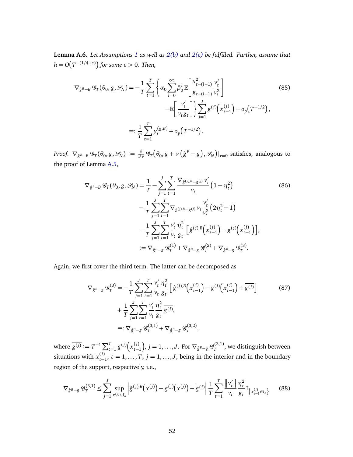<span id="page-52-0"></span>**Lemma A.6.** *Let Assumptions [1](#page-9-1) as well as [2](#page-10-3)[\(b\)](#page-10-6) and [2](#page-10-3)[\(e\)](#page-10-4) be fulfilled. Further, assume that h* =  $O(T^{-(1/4+\epsilon)})$  for some  $\epsilon > 0$ . Then,

$$
\nabla_{\hat{g}^B - B} \mathcal{G}_T(\theta_0, g, \mathcal{S}_N) = -\frac{1}{T} \sum_{t=1}^T \left\{ \alpha_0 \sum_{l=0}^\infty \beta_0^l \mathbb{E} \left[ \frac{u_{t-(l+1)}^2}{g_{t-(l+1)}} \frac{v_t'}{v_t^2} \right] - \mathbb{E} \left[ \frac{v_t'}{v_t g_t} \right] \right\} \sum_{j=1}^J g^{(j)}(x_{t-1}^{(j)}) + o_p(T^{-1/2}),
$$
\n
$$
=: \frac{1}{T} \sum_{t=1}^T y_t^{(g, B)} + o_p(T^{-1/2}).
$$
\n(85)

Proof.  $\nabla_{\hat{g}^B-B} \mathcal{G}_T(\theta_0,g,\mathscr{S}_N) := \frac{\partial}{\partial \nu} \mathcal{G}_T\big(\theta_0,g+\nu\big(\hat{g}^B-g\big),\mathcal{S}_N\big)\vert_{\nu=0}$  satisfies, analogous to the proof of Lemma [A.5,](#page-46-0)

<span id="page-52-3"></span>
$$
\nabla_{\hat{g}^{B}-B} \mathcal{G}_{T}(\theta_{0}, g, \mathcal{S}_{N}) = \frac{1}{T} - \sum_{j=1}^{J} \sum_{t=1}^{T} \frac{\nabla_{\hat{g}^{(j),B}-g^{(j)}} \nu_{t}'}{\nu_{t}} \left(1 - \eta_{t}^{2}\right) \n- \frac{1}{T} \sum_{j=1}^{J} \sum_{t=1}^{T} \nabla_{\hat{g}^{(j),B}-g^{(j)}} \nu_{t} \frac{\nu_{t}'}{\nu_{t}^{2}} \left(2 \eta_{t}^{2} - 1\right) \n- \frac{1}{T} \sum_{j=1}^{J} \sum_{t=1}^{T} \frac{\nu_{t}'}{\nu_{t}} \frac{\eta_{t}^{2}}{g_{t}} \left[\hat{g}^{(j),B}\left(x_{t-1}^{(j)}\right) - g^{(j)}\left(x_{t-1}^{(j)}\right)\right], \n:= \nabla_{\hat{g}^{B}-g} \mathcal{G}_{T}^{(1)} + \nabla_{\hat{g}^{B}-g} \mathcal{G}_{T}^{(2)} + \nabla_{\hat{g}^{B}-g} \mathcal{G}_{T}^{(3)}.
$$
\n
$$
(86)
$$

Again, we first cover the third term. The latter can be decomposed as

<span id="page-52-2"></span>
$$
\nabla_{\hat{g}^B - g} \mathcal{G}_T^{(3)} = -\frac{1}{T} \sum_{j=1}^J \sum_{t=1}^T \frac{\nu'_t}{\nu_t} \frac{\eta_t^2}{g_t} \left[ \hat{g}^{(j),B} \left( x_{t-1}^{(j)} \right) - g^{(j)} \left( x_{t-1}^{(j)} \right) + \frac{1}{T} \sum_{j=1}^J \sum_{t=1}^T \frac{\nu'_t}{\nu_t} \frac{\eta_t^2}{g_t} \frac{\eta_t^2}{g^{(j)}},
$$
\n
$$
=:\nabla_{\hat{g}^B - g} \mathcal{G}_T^{(3,1)} + \nabla_{\hat{g}^B - g} \mathcal{G}_T^{(3,2)},
$$
\n(87)

where  $\overline{g^{(j)}} := T^{-1} \sum_{t=1}^{T} g^{(j)}\left(x_{t-1}^{(j)}\right), j = 1, \ldots, J$ . For  $\nabla_{\hat{g}^B - g} \mathcal{G}_T^{(3,1)},$  we distinguish between situations with  $x_{t-1}^{(j)}$ ,  $t = 1, ..., T$ ,  $j = 1, ..., J$ , being in the interior and in the boundary region of the support, respectively, i.e.,

<span id="page-52-1"></span>
$$
\nabla_{\hat{g}^B - g} \mathcal{G}_T^{(3,1)} \le \sum_{j=1}^J \sup_{x^{(j)} \in I_h} \left| \hat{g}^{(j),B}(x^{(j)}) - g^{(j)}(x^{(j)}) + \overline{g^{(j)}} \right| \frac{1}{T} \sum_{t=1}^T \frac{\left\| v_t' \right\|}{v_t} \frac{\eta_t^2}{g_t} \mathbb{I}_{\left\{ x_{t-1}^{(j)} \in I_h \right\}} \tag{88}
$$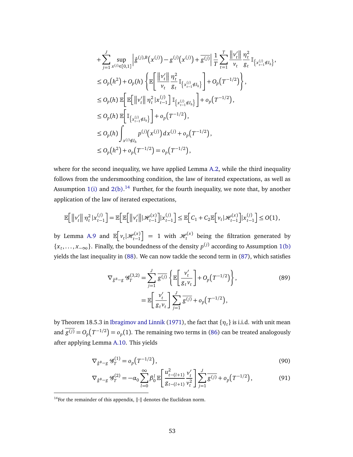$$
\begin{split}\n&+ \sum_{j=1}^{J} \sup_{x^{(j)} \in [0,1]} \left| \hat{g}^{(j),B}\big(x^{(j)}\big) - g^{(j)}\big(x^{(j)}\big) + \overline{g^{(j)}} \right| \frac{1}{T} \sum_{t=1}^{T} \frac{\left\| v_t' \right\|}{v_t} \frac{\eta_t^2}{g_t} \mathbb{I}_{\left\{ x_{t-1}^{(j)} \notin I_h \right\}}, \\
&\leq O_p\big(h^2\big) + O_p(h) \left\{ \mathbb{E} \bigg[ \frac{\left\| v_t' \right\|}{v_t} \frac{\eta_t^2}{g_t} \mathbb{I}_{\left\{ x_{t-1}^{(j)} \notin I_h \right\}} \right] + O_p\big(T^{-1/2}\big) \right\}, \\
&\leq O_p(h) \, \mathbb{E} \bigg[ \mathbb{E} \bigg[ \left\| v_t' \right\| \eta_t^2 \left\| x_{t-1}^{(j)} \right\| \mathbb{I}_{\left\{ x_{t-1}^{(j)} \notin I_h \right\}} \bigg] + o_p\big(T^{-1/2}\big), \\
&\leq O_p(h) \, \mathbb{E} \bigg[ \mathbb{I}_{\left\{ x_{t-1}^{(j)} \notin I_h \right\}} \bigg] + o_p\big(T^{-1/2}\big), \\
&\leq O_p(h) \int_{x^{(j)} \notin I_h} p^{(j)}\big(x^{(j)}\big) dx^{(j)} + o_p\big(T^{-1/2}\big), \\
&\leq O_p\big(h^2\big) + o_p\big(T^{-1/2}\big) = o_p\big(T^{-1/2}\big),\n\end{split}
$$

where for the second inequality, we have applied Lemma [A.2,](#page-39-1) while the third inequality follows from the undersmoothing condition, the law of iterated expectations, as well as Assumption  $1(i)$  $1(i)$  and  $2(b)$  $2(b)$ .<sup>[14](#page-1-0)</sup> Further, for the fourth inequality, we note that, by another application of the law of iterated expectations,

$$
\mathbb{E}\bigg[\left\|v'_{t}\right\|\eta_t^2|x_{t-1}^{(j)}\bigg] = \mathbb{E}\bigg[\mathbb{E}\bigg[\left\|v'_{t}\right\|\big|\mathcal{H}_{t-1}^{(x)}\bigg]|x_{t-1}^{(j)}\bigg] \leq \mathbb{E}\bigg[C_1 + C_2 \mathbb{E}\bigg[v_t|\mathcal{H}_{t-1}^{(x)}\bigg]|x_{t-1}^{(j)}\bigg] \leq O(1),
$$

by Lemma [A.9](#page-55-0) and  $\mathbb{E}\left[v_t|\mathcal{H}_{t-1}^{(x)}\right] = 1$  with  $\mathcal{H}_t^{(x)}$  being the filtration generated by {*xt* , . . . , *x*−∞}. Finally, the boundedness of the density *p* (*j*) according to Assumption [1](#page-9-1)[\(b\)](#page-9-2) yields the last inequality in [\(88\)](#page-52-1). We can now tackle the second term in [\(87\)](#page-52-2), which satisfies

$$
\nabla_{\hat{g}^B - g} \mathcal{G}_T^{(3,2)} = \sum_{j=1}^J \overline{g^{(j)}} \left\{ \mathbb{E} \left[ \frac{\nu'_t}{g_t \nu_t} \right] + O_p(T^{-1/2}) \right\},
$$
\n
$$
= \mathbb{E} \left[ \frac{\nu'_t}{g_t \nu_t} \right] \sum_{j=1}^J \overline{g^{(j)}} + o_p(T^{-1/2}),
$$
\n(89)

by Theorem 18.5.3 in [Ibragimov and Linnik](#page-36-12) [\(1971\)](#page-36-12), the fact that  $\{\eta_t\}$  is i.i.d. with unit mean and  $\overline{g^{(j)}} = O_p(T^{-1/2}) = o_p(1)$ . The remaining two terms in [\(86\)](#page-52-3) can be treated analogously after applying Lemma [A.10.](#page-55-1) This yields

$$
\nabla_{\hat{g}^B - g} \mathcal{G}_T^{(1)} = o_p(T^{-1/2}),\tag{90}
$$

<span id="page-53-0"></span>
$$
\nabla_{\hat{g}^B - g} g_T^{(2)} = -\alpha_0 \sum_{l=0}^{\infty} \beta_0^l \mathbb{E} \left[ \frac{u_{t-(l+1)}^2}{g_{t-(l+1)}} \frac{v_t'}{v_t^2} \right] \sum_{j=1}^J \overline{g^{(j)}} + o_p(T^{-1/2}), \tag{91}
$$

<sup>&</sup>lt;sup>14</sup>For the remainder of this appendix,  $\left\|\cdot\right\|$  denotes the Euclidean norm.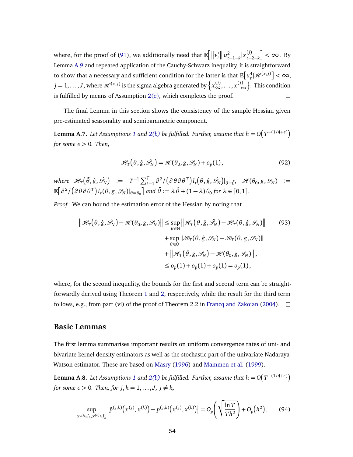where, for the proof of [\(91\)](#page-53-0), we additionally need that  $\mathbb{E}\Big[\,\big\Vert v_t'\big\Vert$  $\|u^2_{t-1-k} |x^{(j)}_{t-1}$  $\begin{bmatrix} (j) \\ t-2-k \end{bmatrix}$  < ∞. By Lemma [A.9](#page-55-0) and repeated application of the Cauchy-Schwarz inequality, it is straightforward to show that a necessary and sufficient condition for the latter is that  $\mathbb{E}\big[u_t^4|\mathscr{H}^{(x,j)}\big]<\infty,$  $j=1,\ldots,J,$  where  $\mathscr{H}^{(x,j)}$  is the sigma algebra generated by  $\left\{ x^{(j)}_\infty,\ldots,x^{(j)}_{-\infty} \right\}$ . This condition is fulfilled by means of Assumption  $2(e)$  $2(e)$ , which completes the proof.  $\Box$ 

The final Lemma in this section shows the consistency of the sample Hessian given pre-estimated seasonality and semiparametric component.

<span id="page-54-1"></span>**Lemma A.7.** *Let Assumptions [1](#page-9-1) and [2](#page-10-3)[\(b\)](#page-10-6) be fulfilled. Further, assume that*  $h = O\big(T^{-(1/4+\epsilon)}\big)$ *for some*  $\epsilon > 0$ *. Then,* 

$$
\mathcal{H}_T(\bar{\theta}, \hat{g}, \hat{\mathcal{S}}_N) = \mathcal{H}(\theta_0, g, \mathcal{S}_N) + o_p(1),\tag{92}
$$

where  $\mathscr{H}_T(\tilde{\theta}, \hat{g}, \hat{\mathscr{S}}_N) \coloneqq T^{-1} \sum_{t=1}^T \partial^2 / (\partial \theta \partial \theta^T) l_t(\theta, \hat{g}, \hat{\mathscr{S}}_N)|_{\theta = \tilde{\theta}}, \ \ \mathscr{H}(\theta_0, g, \mathscr{S}_N) \ \coloneqq$  $\mathbb{E}\big[\partial^2/(\partial\theta\partial\theta^T)l_t(\theta, g, \mathscr{S}_N)|_{\theta=\theta_0}\big]$  and  $\bar{\theta} := \lambda\,\hat{\theta} + (1-\lambda)\,\theta_0$  for  $\lambda \in [0,1]$ *.* 

*Proof.* We can bound the estimation error of the Hessian by noting that

$$
\|\mathcal{H}_{T}(\bar{\theta}, \hat{g}, \hat{\mathcal{S}}_{N}) - \mathcal{H}(\theta_{0}, g, \mathcal{S}_{N})\| \le \sup_{\theta \in \Theta} \|\mathcal{H}_{T}(\theta, \hat{g}, \hat{\mathcal{S}}_{N}) - \mathcal{H}_{T}(\theta, \hat{g}, \mathcal{S}_{N})\|
$$
(93)  
+ 
$$
\sup_{\theta \in \Theta} \|\mathcal{H}_{T}(\theta, \hat{g}, \mathcal{S}_{N}) - \mathcal{H}_{T}(\theta, g, \mathcal{S}_{N})\|
$$

$$
+ \|\mathcal{H}_{T}(\bar{\theta}, g, \mathcal{S}_{N}) - \mathcal{H}(\theta_{0}, g, \mathcal{S}_{N})\|,
$$

$$
\le o_{p}(1) + o_{p}(1) + o_{p}(1) = o_{p}(1),
$$

where, for the second inequality, the bounds for the first and second term can be straightforwardly derived using Theorem [1](#page-11-0) and [2,](#page-12-0) respectively, while the result for the third term follows, e.g., from part (vi) of the proof of Theorem 2.2 in [Francq and Zakoian](#page-34-9) [\(2004\)](#page-34-9).  $\Box$ 

### **Basic Lemmas**

The first lemma summarises important results on uniform convergence rates of uni- and bivariate kernel density estimators as well as the stochastic part of the univariate Nadaraya-Watson estimator. These are based on [Masry](#page-36-13) [\(1996\)](#page-36-13) and [Mammen et al.](#page-36-1) [\(1999\)](#page-36-1).

<span id="page-54-0"></span>**Lemma A.8.** *Let Assumptions [1](#page-9-1) and [2](#page-10-3)[\(b\)](#page-10-6) be fulfilled. Further, assume that*  $h = O\big(T^{-(1/4+\epsilon)}\big)$ *for some*  $\epsilon > 0$ *. Then, for*  $j, k = 1, \ldots, J, j \neq k$ ,

$$
\sup_{x^{(j)} \in I_h, x^{(k)} \in I_h} \left| \hat{p}^{(j,k)}(x^{(j)}, x^{(k)}) - p^{(j,k)}(x^{(j)}, x^{(k)}) \right| = O_p\left(\sqrt{\frac{\ln T}{Th^2}}\right) + O_p(h^2),\tag{94}
$$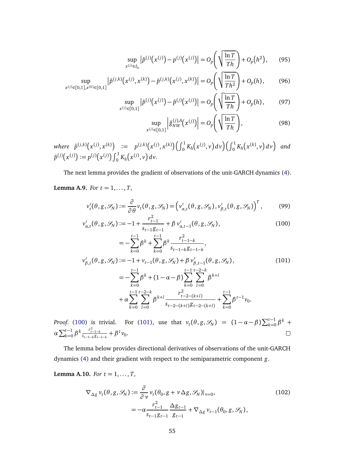$$
\sup_{x^{(j)} \in I_h} |\hat{p}^{(j)}(x^{(j)}) - p^{(j)}(x^{(j)})| = O_p\left(\sqrt{\frac{\ln T}{Th}}\right) + O_p(h^2), \quad (95)
$$

$$
\sup_{x^{(j)} \in [0,1], x^{(k)} \in [0,1]} \left| \hat{p}^{(j,k)}(x^{(j)}, x^{(k)}) - \tilde{p}^{(j,k)}(x^{(j)}, x^{(k)}) \right| = O_p\left(\sqrt{\frac{\ln T}{Th^2}}\right) + O_p(h),\tag{96}
$$

$$
\sup_{x^{(j)} \in [0,1]} |\hat{p}^{(j)}(x^{(j)}) - \tilde{p}^{(j)}(x^{(j)})| = O_p\left(\sqrt{\frac{\ln T}{Th}}\right) + O_p(h),\tag{97}
$$

<span id="page-55-2"></span>
$$
\sup_{x^{(j)} \in [0,1]} \left| \hat{g}_{NW}^{(j),A}(x^{(j)}) \right| = O_p\left(\sqrt{\frac{\ln T}{Th}}\right),\tag{98}
$$

where  $\tilde{p}^{(j,k)}(x^{(j)},x^{(k)}) \coloneqq p^{(j,k)}(x^{(j)},x^{(k)}) (\int_0^1 K_h(x^{(j)},v) dv)(\int_0^1 K_h(x^{(k)},v) dv)$  and  $\tilde{p}^{(j)}(x^{(j)}) := p^{(j)}(x^{(j)}) \int_0^1 K_h(x^{(j)}, v) dv.$ 

The next lemma provides the gradient of observations of the unit-GARCH dynamics [\(4\)](#page-5-1).

<span id="page-55-0"></span>**Lemma A.9.** *For*  $t = 1, ..., T$ ,

 $v'_{\ell}$ 

$$
v_t'(\theta, g, \mathcal{S}_N) := \frac{\partial}{\partial \theta} v_t(\theta, g, \mathcal{S}_N) = \left(v_{\alpha, t}'(\theta, g, \mathcal{S}_N), v_{\beta, t}'(\theta, g, \mathcal{S}_N)\right)^T, \tag{99}
$$

$$
v'_{\alpha,t}(\theta, g, \mathcal{S}_N) := -1 + \frac{r_{t-1}^2}{s_{t-1}g_{t-1}} + \beta v'_{\alpha,t-1}(\theta, g, \mathcal{S}_N),
$$
(100)

$$
= -\sum_{k=0}^{t-1} \beta^k + \sum_{k=0}^{t-1} \beta^k \frac{r_{t-1-k}^2}{s_{t-1-k}g_{t-1-k}},
$$
  

$$
\beta_{\beta,t}(\theta, g, \mathcal{S}_N) := -1 + v_{t-1}(\theta, g, \mathcal{S}_N) + \beta v_{\beta,t-1}'(\theta, g, \mathcal{S}_N),
$$

$$
= -\sum_{k=0}^{t-1} \beta^k + (1 - \alpha - \beta) \sum_{k=0}^{t-1} \sum_{k=0}^{t-1} \beta^{k+1} g_{k+1}
$$
 (101)

<span id="page-55-3"></span>
$$
= -\sum_{k=0}^{k} \beta^{k} + (1 - \alpha - \beta) \sum_{k=0}^{k} \sum_{l=0}^{k+l} \beta^{k+l}
$$
  
+  $\alpha \sum_{k=0}^{t-1} \sum_{l=0}^{t-2-k} \beta^{k+l} \frac{r_{t-2-(k+l)}^{2}}{s_{t-2-(k+l)} s_{t-2-(k+l)}} + \sum_{k=0}^{t-1} \beta^{t-1} v_{0}.$ 

*Proof.* [\(100\)](#page-55-2) is trivial. For [\(101\)](#page-55-3), use that  $v_t(\theta, g, \mathcal{S}_N) = (1 - \alpha - \beta) \sum_{k=0}^{t-1} \beta^k$  +  $\alpha \sum_{k=0}^{t-1} \beta^k \frac{r_{t-1-k}^2}{s_{t-1-k}g_{t-1-k}} + \beta^t v_0.$ 

The lemma below provides directional derivatives of observations of the unit-GARCH dynamics [\(4\)](#page-5-1) and their gradient with respect to the semiparametric component *g*.

<span id="page-55-1"></span>**Lemma A.10.** *For*  $t = 1, ..., T$ ,

<span id="page-55-4"></span>
$$
\nabla_{\Delta g} v_t(\theta, g, \mathcal{S}_N) := \frac{\partial}{\partial v} v_t(\theta_0, g + v \Delta g, \mathcal{S}_N)|_{v=0},
$$
\n
$$
= -\alpha \frac{r_{t-1}^2}{s_{t-1}g_{t-1}} \frac{\Delta g_{t-1}}{g_{t-1}} + \nabla_{\Delta g} v_{t-1}(\theta_0, g, \mathcal{S}_N),
$$
\n(102)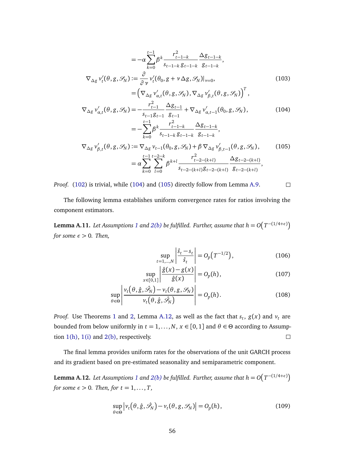$$
= -\alpha \sum_{k=0}^{t-1} \beta^k \frac{r_{t-1-k}^2}{s_{t-1-k}} \frac{\Delta g_{t-1-k}}{g_{t-1-k}},
$$
  
\n
$$
\nabla_{\Delta g} v_t'(\theta, g, \mathcal{S}_N) := \frac{\partial}{\partial v} v_t'(\theta_0, g + v \Delta g, \mathcal{S}_N)|_{v=0},
$$
  
\n
$$
= (\nabla_{\Delta g} v_{\alpha,t}'(\theta, g, \mathcal{S}_N), \nabla_{\Delta g} v_{\beta,t}'(\theta, g, \mathcal{S}_N))^{T},
$$
  
\n
$$
\nabla_{\Delta g} v_{\alpha,t}'(\theta, g, \mathcal{S}_N) = -\frac{r_{t-1}^2}{s_{t-1}g_{t-1}} \frac{\Delta g_{t-1}}{g_{t-1}} + \nabla_{\Delta g} v_{\alpha,t-1}'(\theta_0, g, \mathcal{S}_N),
$$
  
\n
$$
= -\sum_{k=0}^{t-1} \beta^k \frac{r_{t-1-k}^2}{s_{t-1-k}} \frac{\Delta g_{t-1-k}}{g_{t-1-k}},
$$
  
\n(104)

$$
\nabla_{\Delta g} \nu'_{\beta,t}(\theta, g, \mathcal{S}_N) := \nabla_{\Delta g} \nu_{t-1}(\theta_0, g, \mathcal{S}_N) + \beta \nabla_{\Delta g} \nu'_{\beta,t-1}(\theta, g, \mathcal{S}_N),
$$
(105)  

$$
= \alpha \sum_{k=0}^{t-1} \sum_{l=0}^{t-2-k} \beta^{k+l} \frac{r_{t-2-(k+l)}^2}{s_{t-2-(k+l)} s_{t-2-(k+l)}} \frac{\Delta g_{t-2-(k+l)}}{s_{t-2-(k+l)}},
$$

*Proof.* [\(102\)](#page-55-4) is trivial, while [\(104\)](#page-56-2) and [\(105\)](#page-56-3) directly follow from Lemma [A.9.](#page-55-0)  $\Box$ 

The following lemma establishes uniform convergence rates for ratios involving the component estimators.

<span id="page-56-1"></span>**Lemma A.[1](#page-9-1)1.** *Let Assumptions 1 and [2](#page-10-3)[\(b\)](#page-10-6) be fulfilled. Further, assume that*  $h = O\big(T^{-(1/4+\epsilon)}\big)$ *for some*  $\epsilon > 0$ *. Then,* 

<span id="page-56-3"></span><span id="page-56-2"></span>
$$
\sup_{t=1,\dots,N} \left| \frac{\hat{s}_t - s_t}{\hat{s}_t} \right| = O_p(T^{-1/2}), \tag{106}
$$

$$
\sup_{x \in [0,1]} \left| \frac{\hat{g}(x) - g(x)}{\hat{g}(x)} \right| = O_p(h),\tag{107}
$$

$$
\sup_{\theta \in \Theta} \left| \frac{v_t(\theta, \hat{g}, \hat{\mathcal{S}}_N) - v_t(\theta, g, \mathcal{S}_N)}{v_t(\theta, \hat{g}, \hat{\mathcal{S}}_N)} \right| = O_p(h). \tag{108}
$$

*Proof.* Use Theorems [1](#page-11-0) and [2,](#page-12-0) Lemma [A.12,](#page-56-0) as well as the fact that  $s_t$ ,  $g(x)$  and  $v_t$  are bounded from below uniformly in  $t = 1, ..., N$ ,  $x \in [0, 1]$  and  $\theta \in \Theta$  according to Assumption  $1(h)$  $1(h)$ ,  $1(i)$  $1(i)$  and  $2(b)$  $2(b)$ , respectively.  $\Box$ 

The final lemma provides uniform rates for the observations of the unit GARCH process and its gradient based on pre-estimated seasonality and semiparametric component.

<span id="page-56-0"></span><code>Lemma A.[1](#page-9-1)[2](#page-10-3).</code> *Let Assumptions 1 and 2[\(b\)](#page-10-6) be fulfilled. Further, assume that*  $h = O\big(T^{-(1/4+\epsilon)}\big)$ *for some*  $\epsilon > 0$ *. Then, for*  $t = 1, \ldots, T$ *,* 

<span id="page-56-4"></span>
$$
\sup_{\theta \in \Theta} \left| v_t(\theta, \hat{g}, \hat{\mathcal{S}}_N) - v_t(\theta, g, \mathcal{S}_N) \right| = O_p(h),\tag{109}
$$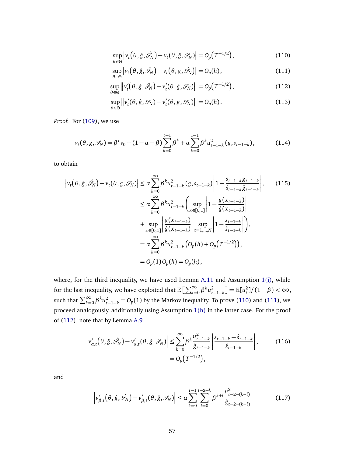<span id="page-57-1"></span><span id="page-57-0"></span>
$$
\sup_{\theta \in \Theta} \left| \nu_t(\theta, \hat{g}, \hat{\mathcal{S}}_N) - \nu_t(\theta, \hat{g}, \mathcal{S}_N) \right| = O_p(T^{-1/2}),\tag{110}
$$

<span id="page-57-2"></span>
$$
\sup_{\theta \in \Theta} \left| v_t(\theta, \hat{g}, \hat{\mathcal{S}}_N) - v_t(\theta, g, \hat{\mathcal{S}}_N) \right| = O_p(h),\tag{111}
$$

$$
\sup_{\theta \in \Theta} \left\| v_t' \big( \theta, \hat{g}, \hat{\mathcal{S}}_N \big) - v_t' \big( \theta, \hat{g}, \mathcal{S}_N \big) \right\| = O_p \big( T^{-1/2} \big),\tag{112}
$$

<span id="page-57-3"></span>
$$
\sup_{\theta \in \Theta} \left\| v_t'(\theta, \hat{g}, \mathcal{S}_N) - v_t'(\theta, g, \mathcal{S}_N) \right\| = O_p(h). \tag{113}
$$

*Proof.* For [\(109\)](#page-56-4), we use

$$
\nu_t(\theta, g, \mathcal{S}_N) = \beta^t \nu_0 + (1 - \alpha - \beta) \sum_{k=0}^{t-1} \beta^k + \alpha \sum_{k=0}^{t-1} \beta^k u_{t-1-k}^2(g, s_{t-1-k}), \tag{114}
$$

to obtain

$$
\left| \nu_{t}(\theta, \hat{g}, \hat{\mathscr{S}}_{N}) - \nu_{t}(\theta, g, \mathscr{S}_{N}) \right| \leq \alpha \sum_{k=0}^{\infty} \beta^{k} u_{t-1-k}^{2} (g, s_{t-1-k}) \left| 1 - \frac{s_{t-1-k}g_{t-1-k}}{\hat{s}_{t-1-k}\hat{g}_{t-1-k}} \right|, \qquad (115)
$$
  

$$
\leq \alpha \sum_{k=0}^{\infty} \beta^{k} u_{t-1-k}^{2} \left( \sup_{x \in [0,1]} \left| 1 - \frac{g(x_{t-1-k})}{\hat{g}(x_{t-1-k})} \right| + \sup_{x \in [0,1]} \left| \frac{g(x_{t-1-k})}{\hat{g}(x_{t-1-k})} \right| \sup_{t=1,\dots,N} \left| 1 - \frac{s_{t-1-k}}{\hat{s}_{t-1-k}} \right| \right),
$$
  

$$
= \alpha \sum_{k=0}^{\infty} \beta^{k} u_{t-1-k}^{2} \left( O_{p}(h) + O_{p}(T^{-1/2}) \right),
$$
  

$$
= O_{p}(1) O_{p}(h) = O_{p}(h),
$$
 (115)

where, for the third inequality, we have used Lemma [A.11](#page-56-1) and Assumption [1](#page-9-1)[\(i\),](#page-10-9) while for the last inequality, we have exploited that  $\mathbb{E}\left[\sum_{k=0}^{\infty} \beta^k u_{t-1-k}^2\right] = \mathbb{E}[u_t^2]/(1-\beta) < \infty$ , such that  $\sum_{k=0}^{\infty} \beta^k u_{t-1-k}^2 = O_p(1)$  by the Markov inequality. To prove [\(110\)](#page-57-0) and [\(111\)](#page-57-1), we proceed analogously, additionally using Assumption [1](#page-9-1)[\(h\)](#page-10-8) in the latter case. For the proof of [\(112\)](#page-57-2), note that by Lemma [A.9](#page-55-0)

$$
\left| v'_{\alpha,t}(\theta, \hat{g}, \hat{\mathscr{S}}_N) - v'_{\alpha,t}(\theta, \hat{g}, \mathscr{S}_N) \right| \le \sum_{k=0}^{\infty} \beta^k \frac{u_{t-1-k}^2}{\hat{g}_{t-1-k}} \left| \frac{s_{t-1-k} - \hat{s}_{t-1-k}}{\hat{s}_{t-1-k}} \right|,
$$
(116)  
=  $O_p(T^{-1/2}),$ 

and

$$
\left| \nu'_{\beta,t}(\theta,\hat{g},\hat{\mathscr{S}}_N) - \nu'_{\beta,t}(\theta,\hat{g},\mathscr{S}_N) \right| \le \alpha \sum_{k=0}^{t-1} \sum_{l=0}^{t-2-k} \beta^{k+l} \frac{u_{t-2-(k+l)}^2}{\hat{g}_{t-2-(k+l)}} \tag{117}
$$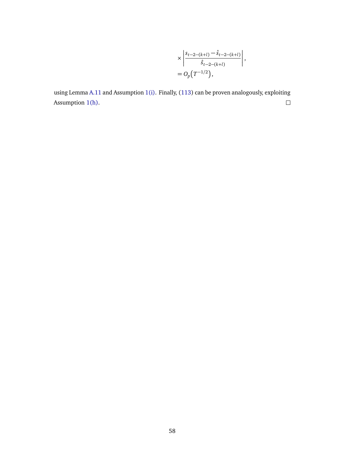$$
\times \left| \frac{s_{t-2-(k+l)} - \hat{s}_{t-2-(k+l)}}{\hat{s}_{t-2-(k+l)}} \right|,
$$
  
=  $O_p(T^{-1/2}),$ 

using Lemma [A.11](#page-56-1) and Assumption [1](#page-9-1)[\(i\).](#page-10-9) Finally, [\(113\)](#page-57-3) can be proven analogously, exploiting Assumption [1](#page-9-1)[\(h\).](#page-10-8)  $\Box$